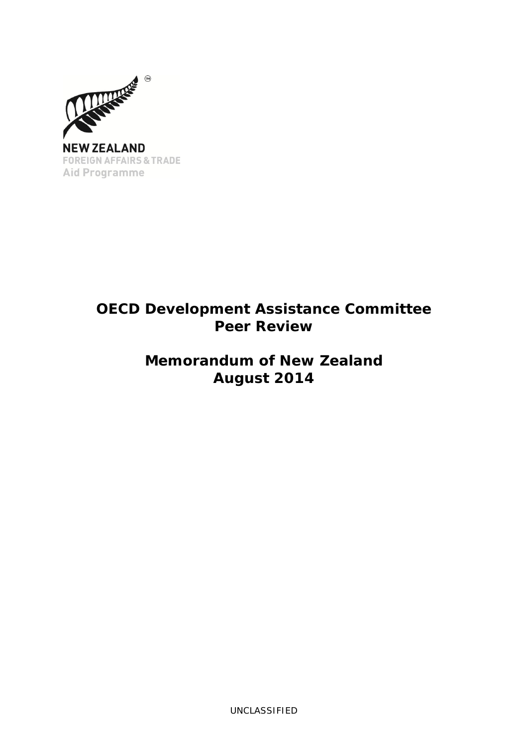

# **OECD Development Assistance Committee Peer Review**

# **Memorandum of New Zealand August 2014**

UNCLASSIFIED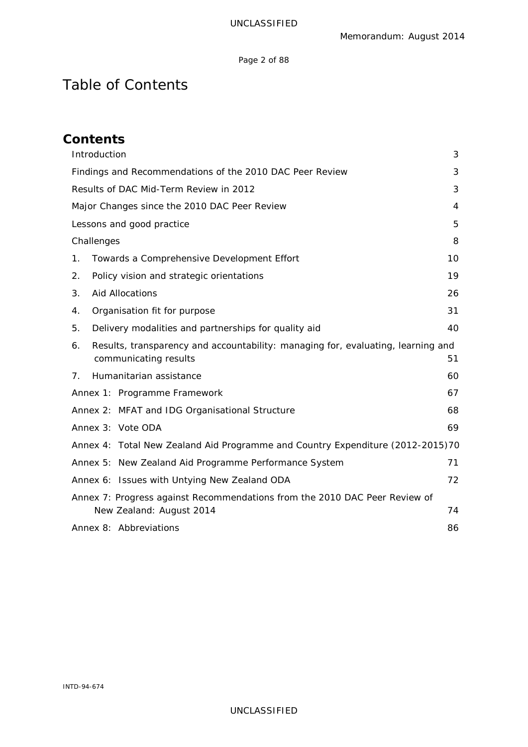## Page 2 of 88

# Table of Contents

| <b>Contents</b>                                                                                                 |                |
|-----------------------------------------------------------------------------------------------------------------|----------------|
| Introduction                                                                                                    | 3              |
| Findings and Recommendations of the 2010 DAC Peer Review                                                        | 3              |
| Results of DAC Mid-Term Review in 2012                                                                          | 3              |
| Major Changes since the 2010 DAC Peer Review                                                                    | $\overline{4}$ |
| Lessons and good practice                                                                                       | 5              |
| Challenges                                                                                                      | 8              |
| Towards a Comprehensive Development Effort<br>1.                                                                | 10             |
| Policy vision and strategic orientations<br>2.                                                                  | 19             |
| <b>Aid Allocations</b><br>3.                                                                                    | 26             |
| Organisation fit for purpose<br>4.                                                                              | 31             |
| Delivery modalities and partnerships for quality aid<br>5.                                                      | 40             |
| Results, transparency and accountability: managing for, evaluating, learning and<br>6.<br>communicating results | 51             |
| Humanitarian assistance<br>7.                                                                                   | 60             |
| Annex 1: Programme Framework                                                                                    | 67             |
| Annex 2: MFAT and IDG Organisational Structure                                                                  | 68             |
| Annex 3: Vote ODA                                                                                               | 69             |
| Annex 4: Total New Zealand Aid Programme and Country Expenditure (2012-2015)70                                  |                |
| Annex 5: New Zealand Aid Programme Performance System                                                           | 71             |
| Annex 6: Issues with Untying New Zealand ODA                                                                    | 72             |
| Annex 7: Progress against Recommendations from the 2010 DAC Peer Review of                                      |                |
| New Zealand: August 2014                                                                                        | 74             |
| Annex 8: Abbreviations                                                                                          | 86             |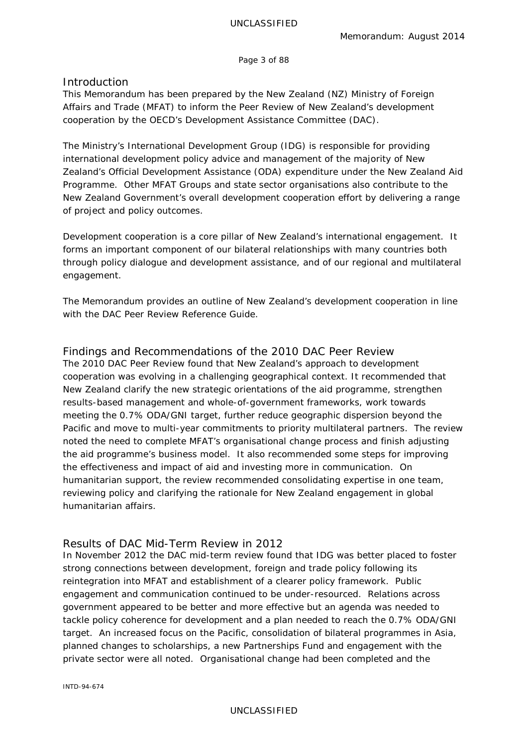Page 3 of 88

## <span id="page-2-0"></span>**Introduction**

This Memorandum has been prepared by the New Zealand (NZ) Ministry of Foreign Affairs and Trade (MFAT) to inform the Peer Review of New Zealand's development cooperation by the OECD's Development Assistance Committee (DAC).

The Ministry's International Development Group (IDG) is responsible for providing international development policy advice and management of the majority of New Zealand's Official Development Assistance (ODA) expenditure under the New Zealand Aid Programme. Other MFAT Groups and state sector organisations also contribute to the New Zealand Government's overall development cooperation effort by delivering a range of project and policy outcomes.

Development cooperation is a core pillar of New Zealand's international engagement. It forms an important component of our bilateral relationships with many countries both through policy dialogue and development assistance, and of our regional and multilateral engagement.

The Memorandum provides an outline of New Zealand's development cooperation in line with the DAC Peer Review Reference Guide.

<span id="page-2-1"></span>Findings and Recommendations of the 2010 DAC Peer Review The 2010 DAC Peer Review found that New Zealand's approach to development cooperation was evolving in a challenging geographical context. It recommended that New Zealand clarify the new strategic orientations of the aid programme, strengthen results-based management and whole-of-government frameworks, work towards meeting the 0.7% ODA/GNI target, further reduce geographic dispersion beyond the Pacific and move to multi-year commitments to priority multilateral partners. The review noted the need to complete MFAT's organisational change process and finish adjusting the aid programme's business model. It also recommended some steps for improving the effectiveness and impact of aid and investing more in communication. On humanitarian support, the review recommended consolidating expertise in one team, reviewing policy and clarifying the rationale for New Zealand engagement in global humanitarian affairs.

# <span id="page-2-2"></span>Results of DAC Mid-Term Review in 2012

In November 2012 the DAC mid-term review found that IDG was better placed to foster strong connections between development, foreign and trade policy following its reintegration into MFAT and establishment of a clearer policy framework. Public engagement and communication continued to be under-resourced. Relations across government appeared to be better and more effective but an agenda was needed to tackle policy coherence for development and a plan needed to reach the 0.7% ODA/GNI target. An increased focus on the Pacific, consolidation of bilateral programmes in Asia, planned changes to scholarships, a new Partnerships Fund and engagement with the private sector were all noted. Organisational change had been completed and the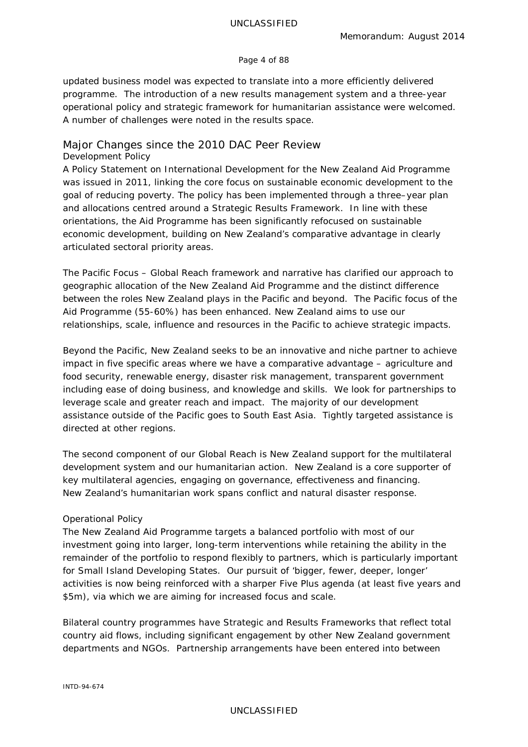#### Page 4 of 88

updated business model was expected to translate into a more efficiently delivered programme. The introduction of a new results management system and a three-year operational policy and strategic framework for humanitarian assistance were welcomed. A number of challenges were noted in the results space.

# <span id="page-3-0"></span>Major Changes since the 2010 DAC Peer Review *Development* Policy

A Policy Statement on International Development for the New Zealand Aid Programme was issued in 2011, linking the core focus on sustainable economic development to the goal of reducing poverty. The policy has been implemented through a three–year plan and allocations centred around a Strategic Results Framework. In line with these orientations, the Aid Programme has been significantly refocused on sustainable economic development, building on New Zealand's comparative advantage in clearly articulated sectoral priority areas.

The *Pacific Focus – Global Reach* framework and narrative has clarified our approach to geographic allocation of the New Zealand Aid Programme and the distinct difference between the roles New Zealand plays in the Pacific and beyond. The Pacific focus of the Aid Programme (55-60%) has been enhanced. New Zealand aims to use our relationships, scale, influence and resources in the Pacific to achieve strategic impacts.

Beyond the Pacific, New Zealand seeks to be an innovative and niche partner to achieve impact in five specific areas where we have a comparative advantage – agriculture and food security, renewable energy, disaster risk management, transparent government including ease of doing business, and knowledge and skills. We look for partnerships to leverage scale and greater reach and impact. The majority of our development assistance outside of the Pacific goes to South East Asia. Tightly targeted assistance is directed at other regions.

The second component of our *Global Reach* is New Zealand support for the multilateral development system and our humanitarian action. New Zealand is a core supporter of key multilateral agencies, engaging on governance, effectiveness and financing. New Zealand's humanitarian work spans conflict and natural disaster response.

## *Operational Policy*

The New Zealand Aid Programme targets a balanced portfolio with most of our investment going into larger, long-term interventions while retaining the ability in the remainder of the portfolio to respond flexibly to partners, which is particularly important for Small Island Developing States. Our pursuit of 'bigger, fewer, deeper, longer' activities is now being reinforced with a sharper *Five Plus* agenda (at least five years and \$5m), via which we are aiming for increased focus and scale.

Bilateral country programmes have *Strategic and Results Frameworks* that reflect total country aid flows, including significant engagement by other New Zealand government departments and NGOs. Partnership arrangements have been entered into between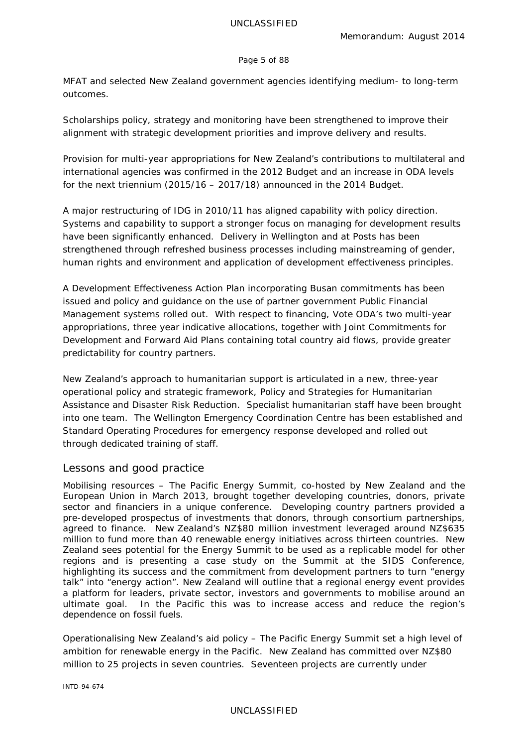#### Page 5 of 88

MFAT and selected New Zealand government agencies identifying medium- to long-term outcomes.

Scholarships policy, strategy and monitoring have been strengthened to improve their alignment with strategic development priorities and improve delivery and results.

Provision for multi-year appropriations for New Zealand's contributions to multilateral and international agencies was confirmed in the 2012 Budget and an increase in ODA levels for the next triennium (2015/16 – 2017/18) announced in the 2014 Budget.

A major restructuring of IDG in 2010/11 has aligned capability with policy direction. Systems and capability to support a stronger focus on managing for development results have been significantly enhanced. Delivery in Wellington and at Posts has been strengthened through refreshed business processes including mainstreaming of gender, human rights and environment and application of development effectiveness principles.

A *Development Effectiveness Action Plan* incorporating Busan commitments has been issued and policy and guidance on the use of partner government Public Financial Management systems rolled out. With respect to financing, Vote ODA's two multi-year appropriations, three year indicative allocations, together with *Joint Commitments for Development* and *Forward Aid Plans* containing total country aid flows, provide greater predictability for country partners.

New Zealand's approach to humanitarian support is articulated in a new, three-year operational policy and strategic framework, *Policy and Strategies for Humanitarian Assistance and Disaster Risk Reduction*. Specialist humanitarian staff have been brought into one team. The Wellington Emergency Coordination Centre has been established and Standard Operating Procedures for emergency response developed and rolled out through dedicated training of staff.

# <span id="page-4-0"></span>Lessons and good practice

*Mobilising resources –* The Pacific Energy Summit, co-hosted by New Zealand and the European Union in March 2013, brought together developing countries, donors, private sector and financiers in a unique conference. Developing country partners provided a pre-developed prospectus of investments that donors, through consortium partnerships, agreed to finance. New Zealand's NZ\$80 million investment leveraged around NZ\$635 million to fund more than 40 renewable energy initiatives across thirteen countries. New Zealand sees potential for the Energy Summit to be used as a replicable model for other regions and is presenting a case study on the Summit at the SIDS Conference, highlighting its success and the commitment from development partners to turn "energy talk" into "energy action". New Zealand will outline that a regional energy event provides a platform for leaders, private sector, investors and governments to mobilise around an ultimate goal. In the Pacific this was to increase access and reduce the region's dependence on fossil fuels.

*Operationalising New Zealand's aid policy* – The Pacific Energy Summit set a high level of ambition for renewable energy in the Pacific. New Zealand has committed over NZ\$80 million to 25 projects in seven countries. Seventeen projects are currently under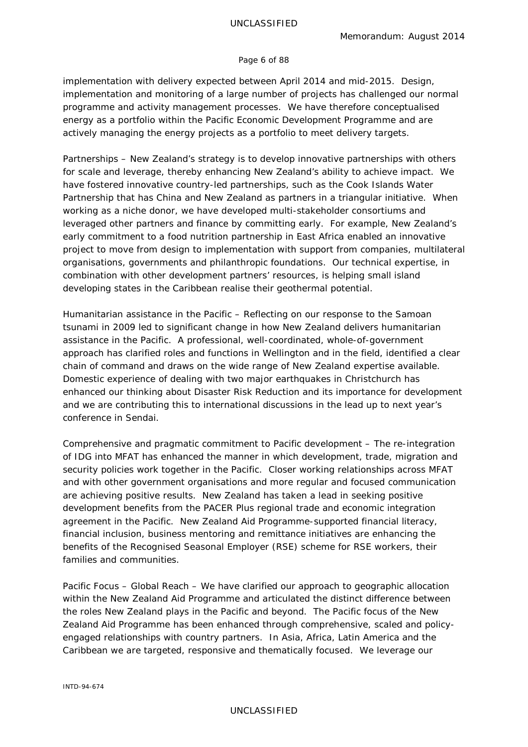#### Page 6 of 88

implementation with delivery expected between April 2014 and mid-2015. Design, implementation and monitoring of a large number of projects has challenged our normal programme and activity management processes. We have therefore conceptualised energy as a portfolio within the Pacific Economic Development Programme and are actively managing the energy projects as a portfolio to meet delivery targets.

*Partnerships* – New Zealand's strategy is to develop innovative partnerships with others for scale and leverage, thereby enhancing New Zealand's ability to achieve impact. We have fostered innovative country-led partnerships, such as the Cook Islands Water Partnership that has China and New Zealand as partners in a triangular initiative. When working as a niche donor, we have developed multi-stakeholder consortiums and leveraged other partners and finance by committing early. For example, New Zealand's early commitment to a food nutrition partnership in East Africa enabled an innovative project to move from design to implementation with support from companies, multilateral organisations, governments and philanthropic foundations. Our technical expertise, in combination with other development partners' resources, is helping small island developing states in the Caribbean realise their geothermal potential.

*Humanitarian assistance in the Pacific* – Reflecting on our response to the Samoan tsunami in 2009 led to significant change in how New Zealand delivers humanitarian assistance in the Pacific. A professional, well-coordinated, whole-of-government approach has clarified roles and functions in Wellington and in the field, identified a clear chain of command and draws on the wide range of New Zealand expertise available. Domestic experience of dealing with two major earthquakes in Christchurch has enhanced our thinking about Disaster Risk Reduction and its importance for development and we are contributing this to international discussions in the lead up to next year's conference in Sendai.

*Comprehensive and pragmatic commitment to Pacific development – The re-integration* of IDG into MFAT has enhanced the manner in which development, trade, migration and security policies work together in the Pacific. Closer working relationships across MFAT and with other government organisations and more regular and focused communication are achieving positive results. New Zealand has taken a lead in seeking positive development benefits from the PACER Plus regional trade and economic integration agreement in the Pacific. New Zealand Aid Programme-supported financial literacy, financial inclusion, business mentoring and remittance initiatives are enhancing the benefits of the Recognised Seasonal Employer (RSE) scheme for RSE workers, their families and communities.

*Pacific Focus – Global Reach* – We have clarified our approach to geographic allocation within the New Zealand Aid Programme and articulated the distinct difference between the roles New Zealand plays in the Pacific and beyond. The Pacific focus of the New Zealand Aid Programme has been enhanced through comprehensive, scaled and policyengaged relationships with country partners. In Asia, Africa, Latin America and the Caribbean we are targeted, responsive and thematically focused. We leverage our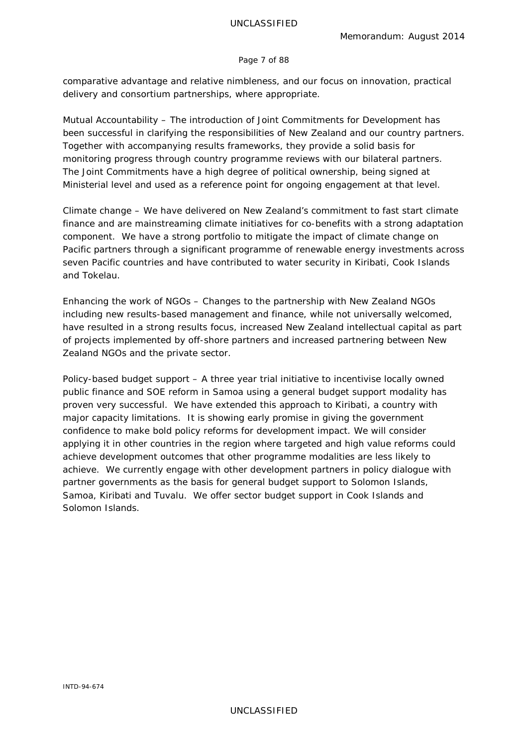#### Page 7 of 88

comparative advantage and relative nimbleness, and our focus on innovation, practical delivery and consortium partnerships, where appropriate.

*Mutual Accountability* – The introduction of Joint Commitments for Development has been successful in clarifying the responsibilities of New Zealand and our country partners. Together with accompanying results frameworks, they provide a solid basis for monitoring progress through country programme reviews with our bilateral partners. The Joint Commitments have a high degree of political ownership, being signed at Ministerial level and used as a reference point for ongoing engagement at that level.

*Climate change* – We have delivered on New Zealand's commitment to fast start climate finance and are mainstreaming climate initiatives for co-benefits with a strong adaptation component. We have a strong portfolio to mitigate the impact of climate change on Pacific partners through a significant programme of renewable energy investments across seven Pacific countries and have contributed to water security in Kiribati, Cook Islands and Tokelau.

*Enhancing the work of NGOs* – Changes to the partnership with New Zealand NGOs including new results-based management and finance, while not universally welcomed, have resulted in a strong results focus, increased New Zealand intellectual capital as part of projects implemented by off-shore partners and increased partnering between New Zealand NGOs and the private sector.

*Policy-based budget support* – A three year trial initiative to incentivise locally owned public finance and SOE reform in Samoa using a general budget support modality has proven very successful. We have extended this approach to Kiribati, a country with major capacity limitations. It is showing early promise in giving the government confidence to make bold policy reforms for development impact. We will consider applying it in other countries in the region where targeted and high value reforms could achieve development outcomes that other programme modalities are less likely to achieve. We currently engage with other development partners in policy dialogue with partner governments as the basis for general budget support to Solomon Islands, Samoa, Kiribati and Tuvalu. We offer sector budget support in Cook Islands and Solomon Islands.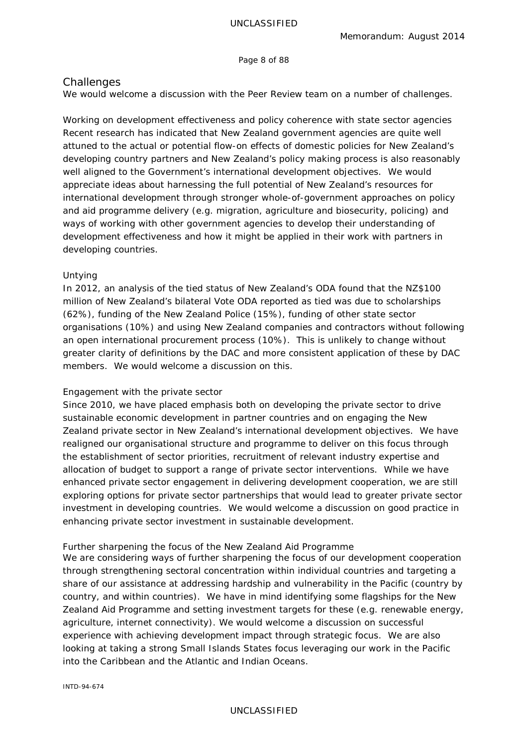Page 8 of 88

# <span id="page-7-0"></span>**Challenges**

We would welcome a discussion with the Peer Review team on a number of challenges.

*Working on development effectiveness and policy coherence with state sector agencies* Recent research has indicated that New Zealand government agencies are quite well attuned to the actual or potential flow-on effects of domestic policies for New Zealand's developing country partners and New Zealand's policy making process is also reasonably well aligned to the Government's international development objectives. We would appreciate ideas about harnessing the full potential of New Zealand's resources for international development through stronger whole-of-government approaches on policy and aid programme delivery (e.g. migration, agriculture and biosecurity, policing) and ways of working with other government agencies to develop their understanding of development effectiveness and how it might be applied in their work with partners in developing countries.

## *Untying*

In 2012, an analysis of the tied status of New Zealand's ODA found that the NZ\$100 million of New Zealand's bilateral Vote ODA reported as tied was due to scholarships (62%), funding of the New Zealand Police (15%), funding of other state sector organisations (10%) and using New Zealand companies and contractors without following an open international procurement process (10%). This is unlikely to change without greater clarity of definitions by the DAC and more consistent application of these by DAC members. We would welcome a discussion on this.

## *Engagement with the private sector*

Since 2010, we have placed emphasis both on developing the private sector to drive sustainable economic development in partner countries and on engaging the New Zealand private sector in New Zealand's international development objectives. We have realigned our organisational structure and programme to deliver on this focus through the establishment of sector priorities, recruitment of relevant industry expertise and allocation of budget to support a range of private sector interventions. While we have enhanced private sector engagement in delivering development cooperation, we are still exploring options for private sector partnerships that would lead to greater private sector investment in developing countries. We would welcome a discussion on good practice in enhancing private sector investment in sustainable development.

## *Further sharpening the focus of the New Zealand Aid Programme*

We are considering ways of further sharpening the focus of our development cooperation through strengthening sectoral concentration within individual countries and targeting a share of our assistance at addressing hardship and vulnerability in the Pacific (country by country, and within countries). We have in mind identifying some flagships for the New Zealand Aid Programme and setting investment targets for these (e.g. renewable energy, agriculture, internet connectivity). We would welcome a discussion on successful experience with achieving development impact through strategic focus. We are also looking at taking a strong Small Islands States focus leveraging our work in the Pacific into the Caribbean and the Atlantic and Indian Oceans.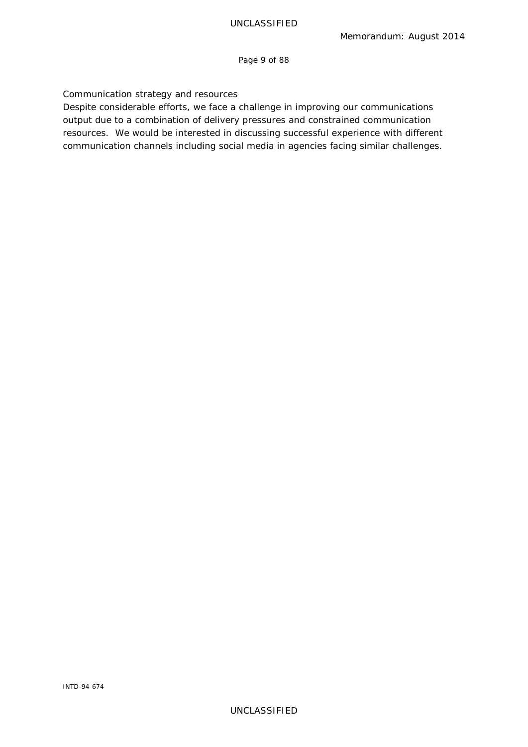Page 9 of 88

## *Communication strategy and resources*

Despite considerable efforts, we face a challenge in improving our communications output due to a combination of delivery pressures and constrained communication resources. We would be interested in discussing successful experience with different communication channels including social media in agencies facing similar challenges.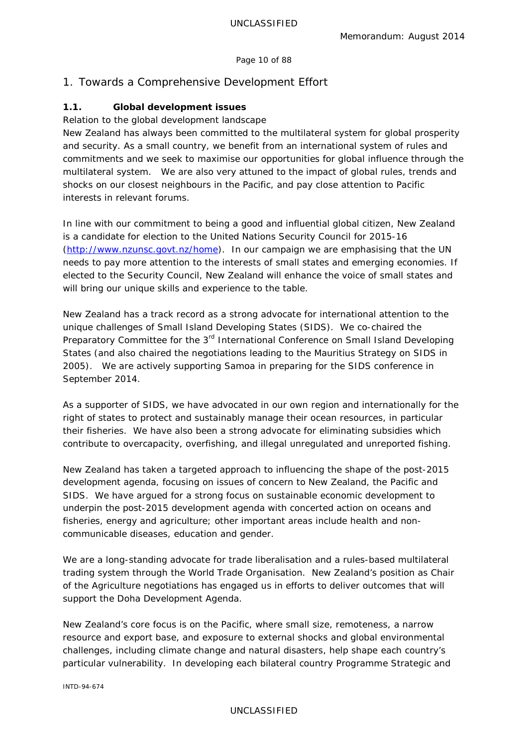#### Page 10 of 88

# <span id="page-9-0"></span>1. Towards a Comprehensive Development Effort

# **1.1. Global development issues**

#### *Relation to the global development landscape*

New Zealand has always been committed to the multilateral system for global prosperity and security. As a small country, we benefit from an international system of rules and commitments and we seek to maximise our opportunities for global influence through the multilateral system. We are also very attuned to the impact of global rules, trends and shocks on our closest neighbours in the Pacific, and pay close attention to Pacific interests in relevant forums.

In line with our commitment to being a good and influential global citizen, New Zealand is a candidate for election to the United Nations Security Council for 2015-16 [\(http://www.nzunsc.govt.nz/home\)](http://www.nzunsc.govt.nz/home). In our campaign we are emphasising that the UN needs to pay more attention to the interests of small states and emerging economies. If elected to the Security Council, New Zealand will enhance the voice of small states and will bring our unique skills and experience to the table.

New Zealand has a track record as a strong advocate for international attention to the unique challenges of Small Island Developing States (SIDS). We co-chaired the Preparatory Committee for the 3<sup>rd</sup> International Conference on Small Island Developing States (and also chaired the negotiations leading to the Mauritius Strategy on SIDS in 2005). We are actively supporting Samoa in preparing for the SIDS conference in September 2014.

As a supporter of SIDS, we have advocated in our own region and internationally for the right of states to protect and sustainably manage their ocean resources, in particular their fisheries. We have also been a strong advocate for eliminating subsidies which contribute to overcapacity, overfishing, and illegal unregulated and unreported fishing.

New Zealand has taken a targeted approach to influencing the shape of the post-2015 development agenda, focusing on issues of concern to New Zealand, the Pacific and SIDS. We have argued for a strong focus on sustainable economic development to underpin the post-2015 development agenda with concerted action on oceans and fisheries, energy and agriculture; other important areas include health and noncommunicable diseases, education and gender.

We are a long-standing advocate for trade liberalisation and a rules-based multilateral trading system through the World Trade Organisation. New Zealand's position as Chair of the Agriculture negotiations has engaged us in efforts to deliver outcomes that will support the Doha Development Agenda.

New Zealand's core focus is on the Pacific, where small size, remoteness, a narrow resource and export base, and exposure to external shocks and global environmental challenges, including climate change and natural disasters, help shape each country's particular vulnerability. In developing each bilateral country *Programme Strategic and* 

#### UNCLASSIFIED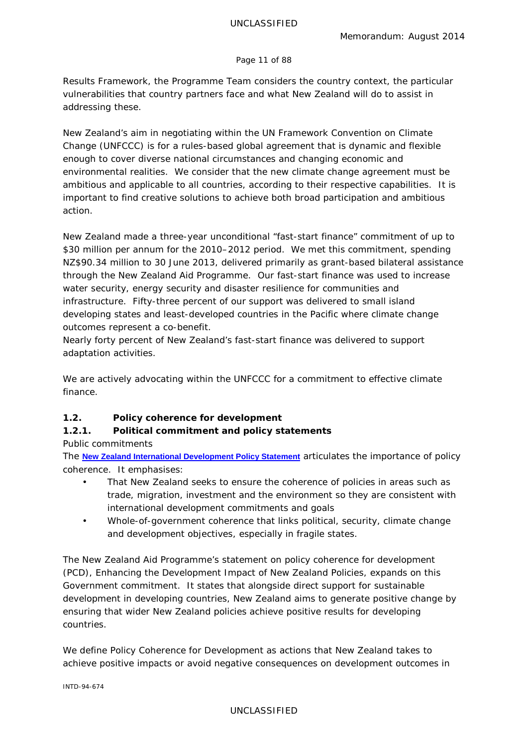#### Page 11 of 88

*Results Framework,* the Programme Team considers the country context, the particular vulnerabilities that country partners face and what New Zealand will do to assist in addressing these.

New Zealand's aim in negotiating within the UN Framework Convention on Climate Change (UNFCCC) is for a rules-based global agreement that is dynamic and flexible enough to cover diverse national circumstances and changing economic and environmental realities. We consider that the new climate change agreement must be ambitious and applicable to all countries, according to their respective capabilities. It is important to find creative solutions to achieve both broad participation and ambitious action.

New Zealand made a three-year unconditional "fast-start finance" commitment of up to \$30 million per annum for the 2010–2012 period. We met this commitment, spending NZ\$90.34 million to 30 June 2013, delivered primarily as grant-based bilateral assistance through the New Zealand Aid Programme. Our fast-start finance was used to increase water security, energy security and disaster resilience for communities and infrastructure. Fifty-three percent of our support was delivered to small island developing states and least-developed countries in the Pacific where climate change outcomes represent a co-benefit.

Nearly forty percent of New Zealand's fast-start finance was delivered to support adaptation activities.

We are actively advocating within the UNFCCC for a commitment to effective climate finance.

# **1.2. Policy coherence for development**

# **1.2.1. Political commitment and policy statements**

*Public commitments*

The **[New Zealand International Development Policy Statement](http://www.aid.govt.nz/webfm_send/454)** articulates the importance of policy coherence. It emphasises:

- That New Zealand seeks to ensure the coherence of policies in areas such as trade, migration, investment and the environment so they are consistent with international development commitments and goals
- Whole-of-government coherence that links political, security, climate change and development objectives, especially in fragile states.

The New Zealand Aid Programme's statement on policy coherence for development (PCD), *Enhancing the Development Impact of New Zealand Policies*, expands on this Government commitment. It states that alongside direct support for sustainable development in developing countries, New Zealand aims to generate positive change by ensuring that wider New Zealand policies achieve positive results for developing countries.

We define Policy Coherence for Development as actions that New Zealand takes to achieve positive impacts or avoid negative consequences on development outcomes in

INTD-94-674

## UNCLASSIFIED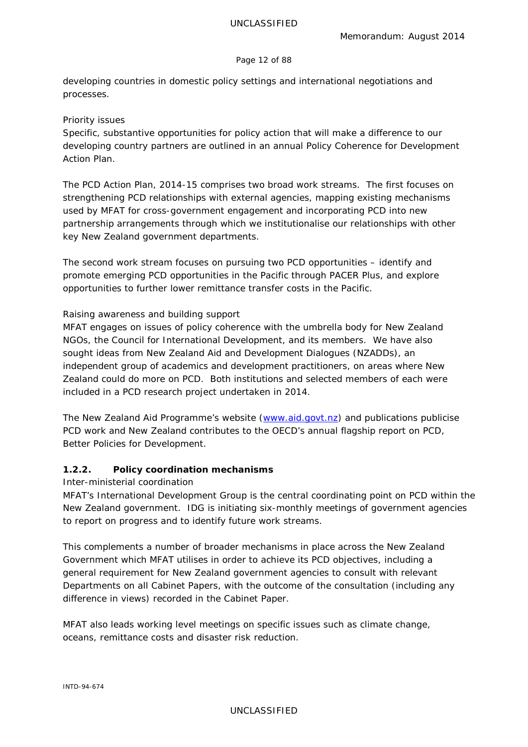#### Page 12 of 88

developing countries in domestic policy settings and international negotiations and processes.

#### *Priority issues*

Specific, substantive opportunities for policy action that will make a difference to our developing country partners are outlined in an annual *Policy Coherence for Development Action Plan*.

The *PCD Action Plan, 2014-15* comprises two broad work streams. The first focuses on strengthening PCD relationships with external agencies, mapping existing mechanisms used by MFAT for cross-government engagement and incorporating PCD into new partnership arrangements through which we institutionalise our relationships with other key New Zealand government departments.

The second work stream focuses on pursuing two PCD opportunities – identify and promote emerging PCD opportunities in the Pacific through PACER Plus, and explore opportunities to further lower remittance transfer costs in the Pacific.

#### *Raising awareness and building support*

MFAT engages on issues of policy coherence with the umbrella body for New Zealand NGOs, the Council for International Development, and its members. We have also sought ideas from New Zealand Aid and Development Dialogues (NZADDs), an independent group of academics and development practitioners, on areas where New Zealand could do more on PCD. Both institutions and selected members of each were included in a PCD research project undertaken in 2014.

The New Zealand Aid Programme's website [\(www.aid.govt.nz\)](http://www.aid.govt.nz/) and publications publicise PCD work and New Zealand contributes to the OECD's annual flagship report on PCD, *Better Policies for Development*.

## **1.2.2. Policy coordination mechanisms**

#### *Inter-ministerial coordination*

MFAT's International Development Group is the central coordinating point on PCD within the New Zealand government. IDG is initiating six-monthly meetings of government agencies to report on progress and to identify future work streams.

This complements a number of broader mechanisms in place across the New Zealand Government which MFAT utilises in order to achieve its PCD objectives, including a general requirement for New Zealand government agencies to consult with relevant Departments on all Cabinet Papers, with the outcome of the consultation (including any difference in views) recorded in the Cabinet Paper.

MFAT also leads working level meetings on specific issues such as climate change, oceans, remittance costs and disaster risk reduction.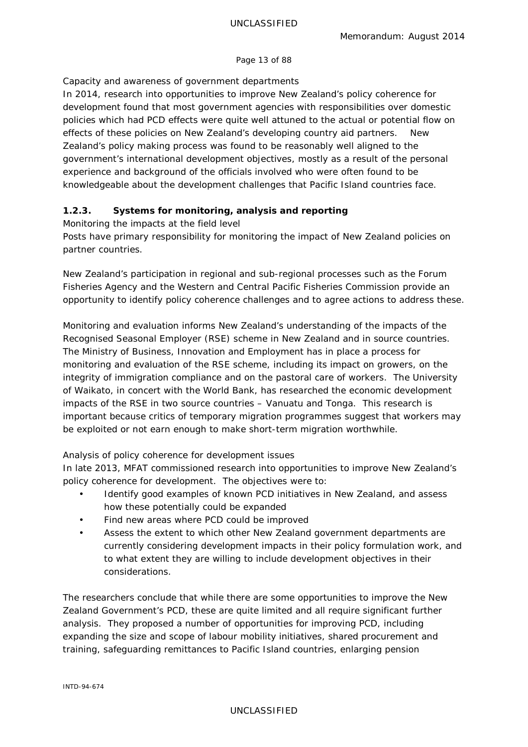#### Page 13 of 88

# *Capacity and awareness of government departments*

In 2014, research into opportunities to improve New Zealand's policy coherence for development found that most government agencies with responsibilities over domestic policies which had PCD effects were quite well attuned to the actual or potential flow on effects of these policies on New Zealand's developing country aid partners. New Zealand's policy making process was found to be reasonably well aligned to the government's international development objectives, mostly as a result of the personal experience and background of the officials involved who were often found to be knowledgeable about the development challenges that Pacific Island countries face.

# **1.2.3. Systems for monitoring, analysis and reporting**

## *Monitoring the impacts at the field level*

Posts have primary responsibility for monitoring the impact of New Zealand policies on partner countries.

New Zealand's participation in regional and sub-regional processes such as the Forum Fisheries Agency and the Western and Central Pacific Fisheries Commission provide an opportunity to identify policy coherence challenges and to agree actions to address these.

Monitoring and evaluation informs New Zealand's understanding of the impacts of the Recognised Seasonal Employer (RSE) scheme in New Zealand and in source countries. The Ministry of Business, Innovation and Employment has in place a process for monitoring and evaluation of the RSE scheme, including its impact on growers, on the integrity of immigration compliance and on the pastoral care of workers. The University of Waikato, in concert with the World Bank, has researched the economic development impacts of the RSE in two source countries – Vanuatu and Tonga. This research is important because critics of temporary migration programmes suggest that workers may be exploited or not earn enough to make short-term migration worthwhile.

# *Analysis of policy coherence for development issues*

In late 2013, MFAT commissioned research into opportunities to improve New Zealand's policy coherence for development. The objectives were to:

- Identify good examples of known PCD initiatives in New Zealand, and assess how these potentially could be expanded
- Find new areas where PCD could be improved
- Assess the extent to which other New Zealand government departments are currently considering development impacts in their policy formulation work, and to what extent they are willing to include development objectives in their considerations.

The researchers conclude that while there are some opportunities to improve the New Zealand Government's PCD, these are quite limited and all require significant further analysis. They proposed a number of opportunities for improving PCD, including expanding the size and scope of labour mobility initiatives, shared procurement and training, safeguarding remittances to Pacific Island countries, enlarging pension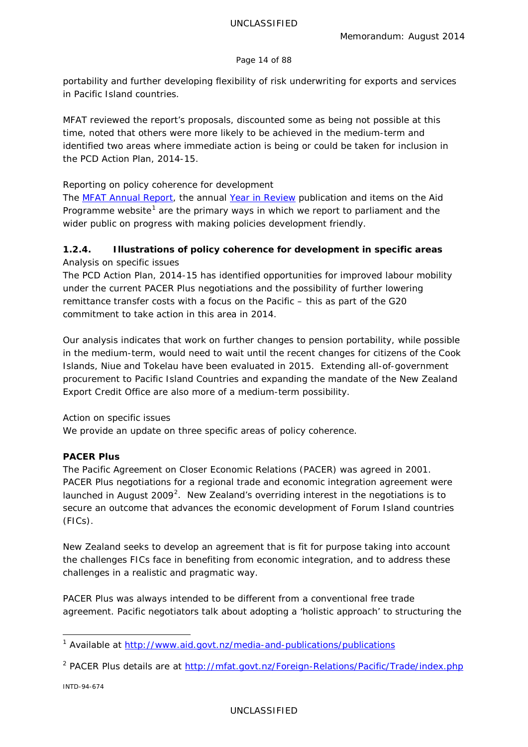#### Page 14 of 88

portability and further developing flexibility of risk underwriting for exports and services in Pacific Island countries.

MFAT reviewed the report's proposals, discounted some as being not possible at this time, noted that others were more likely to be achieved in the medium-term and identified two areas where immediate action is being or could be taken for inclusion in the *PCD Action Plan, 2014-15*.

# *Reporting on policy coherence for development*

The *[MFAT Annual Report](http://www.mfat.govt.nz/downloads/media-and-publications/annual-report/MFAT%20Annual%20Report%20201213.pdf)*, the annual *[Year in Review](http://www.aid.govt.nz/webfm_send/558)* publication and items on the Aid Programme website<sup>[1](#page-13-0)</sup> are the primary ways in which we report to parliament and the wider public on progress with making policies development friendly.

# **1.2.4. Illustrations of policy coherence for development in specific areas** *Analysis on specific issues*

The *PCD Action Plan, 2014-15* has identified opportunities for improved labour mobility under the current PACER Plus negotiations and the possibility of further lowering remittance transfer costs with a focus on the Pacific – this as part of the G20 commitment to take action in this area in 2014.

Our analysis indicates that work on further changes to pension portability, while possible in the medium-term, would need to wait until the recent changes for citizens of the Cook Islands, Niue and Tokelau have been evaluated in 2015. Extending all-of-government procurement to Pacific Island Countries and expanding the mandate of the New Zealand Export Credit Office are also more of a medium-term possibility.

## *Action on specific issues*

We provide an update on three specific areas of policy coherence.

# **PACER Plus**

The Pacific Agreement on Closer Economic Relations (PACER) was agreed in 2001. PACER Plus negotiations for a regional trade and economic integration agreement were launched in August [2](#page-13-1)009<sup>2</sup>. New Zealand's overriding interest in the negotiations is to secure an outcome that advances the economic development of Forum Island countries (FICs).

New Zealand seeks to develop an agreement that is fit for purpose taking into account the challenges FICs face in benefiting from economic integration, and to address these challenges in a realistic and pragmatic way.

PACER Plus was always intended to be different from a conventional free trade agreement. Pacific negotiators talk about adopting a 'holistic approach' to structuring the

<span id="page-13-1"></span><sup>2</sup> PACER Plus details are at<http://mfat.govt.nz/Foreign-Relations/Pacific/Trade/index.php>

INTD-94-674

<span id="page-13-0"></span><sup>&</sup>lt;sup>1</sup> Available at<http://www.aid.govt.nz/media-and-publications/publications>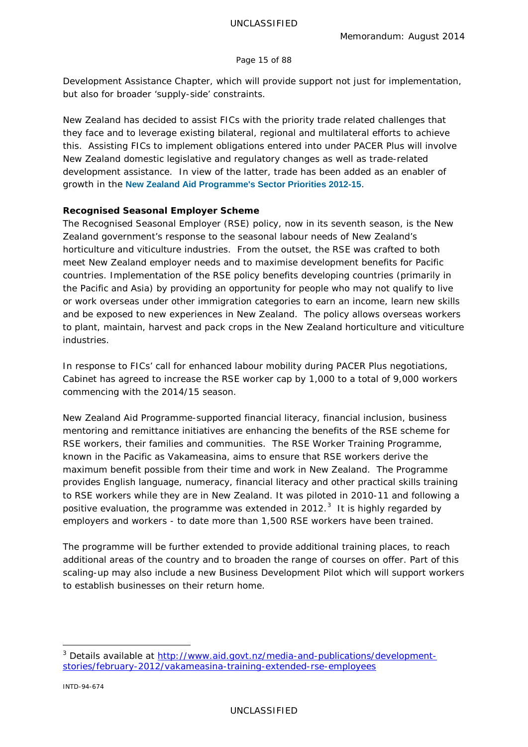#### Page 15 of 88

Development Assistance Chapter, which will provide support not just for implementation, but also for broader 'supply-side' constraints.

New Zealand has decided to assist FICs with the priority trade related challenges that they face and to leverage existing bilateral, regional and multilateral efforts to achieve this. Assisting FICs to implement obligations entered into under PACER Plus will involve New Zealand domestic legislative and regulatory changes as well as trade-related development assistance. In view of the latter, trade has been added as an enabler of growth in the **[New Zealand Aid Programme's Sector Priorities 2012-15](http://www.aid.govt.nz/webfm_send/509)**.

## **Recognised Seasonal Employer Scheme**

The Recognised Seasonal Employer (RSE) policy, now in its seventh season, is the New Zealand government's response to the seasonal labour needs of New Zealand's horticulture and viticulture industries. From the outset, the RSE was crafted to both meet New Zealand employer needs and to maximise development benefits for Pacific countries. Implementation of the RSE policy benefits developing countries (primarily in the Pacific and Asia) by providing an opportunity for people who may not qualify to live or work overseas under other immigration categories to earn an income, learn new skills and be exposed to new experiences in New Zealand. The policy allows overseas workers to plant, maintain, harvest and pack crops in the New Zealand horticulture and viticulture industries.

In response to FICs' call for enhanced labour mobility during PACER Plus negotiations, Cabinet has agreed to increase the RSE worker cap by 1,000 to a total of 9,000 workers commencing with the 2014/15 season.

New Zealand Aid Programme-supported financial literacy, financial inclusion, business mentoring and remittance initiatives are enhancing the benefits of the RSE scheme for RSE workers, their families and communities. The *RSE Worker Training Programme,* known in the Pacific as *Vakameasina*, aims to ensure that RSE workers derive the maximum benefit possible from their time and work in New Zealand. The Programme provides English language, numeracy, financial literacy and other practical skills training to RSE workers while they are in New Zealand. It was piloted in 2010-11 and following a positive evaluation, the programme was extended in 2012.<sup>[3](#page-14-0)</sup> It is highly regarded by employers and workers - to date more than 1,500 RSE workers have been trained.

The programme will be further extended to provide additional training places, to reach additional areas of the country and to broaden the range of courses on offer. Part of this scaling-up may also include a new Business Development Pilot which will support workers to establish businesses on their return home.

<span id="page-14-0"></span><sup>&</sup>lt;sup>3</sup> Details available at [http://www.aid.govt.nz/media-and-publications/development](http://www.aid.govt.nz/media-and-publications/development-stories/february-2012/vakameasina-training-extended-rse-employees)[stories/february-2012/vakameasina-training-extended-rse-employees](http://www.aid.govt.nz/media-and-publications/development-stories/february-2012/vakameasina-training-extended-rse-employees)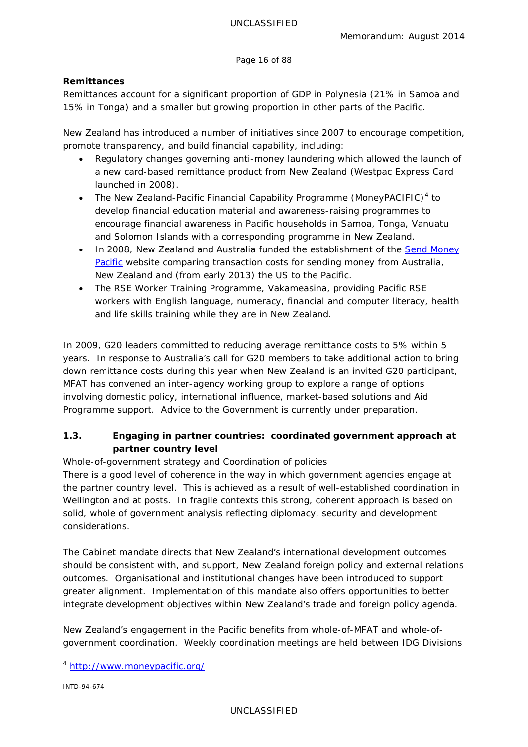Page 16 of 88

# **Remittances**

Remittances account for a significant proportion of GDP in Polynesia (21% in Samoa and 15% in Tonga) and a smaller but growing proportion in other parts of the Pacific.

New Zealand has introduced a number of initiatives since 2007 to encourage competition, promote transparency, and build financial capability, including:

- Regulatory changes governing anti-money laundering which allowed the launch of a new card-based remittance product from New Zealand (Westpac Express Card launched in 2008).
- The New Zealand-Pacific Financial Capability Programme (MoneyPACIFIC)<sup>[4](#page-15-0)</sup> to develop financial education material and awareness-raising programmes to encourage financial awareness in Pacific households in Samoa, Tonga, Vanuatu and Solomon Islands with a corresponding programme in New Zealand.
- In 2008, New Zealand and Australia funded the establishment of the [Send Money](http://www.sendmoneypacific.org/)  [Pacific](http://www.sendmoneypacific.org/) website comparing transaction costs for sending money from Australia, New Zealand and (from early 2013) the US to the Pacific.
- The RSE Worker Training Programme, *Vakameasina*, providing Pacific RSE workers with English language, numeracy, financial and computer literacy, health and life skills training while they are in New Zealand.

In 2009, G20 leaders committed to reducing average remittance costs to 5% within 5 years. In response to Australia's call for G20 members to take additional action to bring down remittance costs during this year when New Zealand is an invited G20 participant, MFAT has convened an inter-agency working group to explore a range of options involving domestic policy, international influence, market-based solutions and Aid Programme support. Advice to the Government is currently under preparation.

# **1.3. Engaging in partner countries: coordinated government approach at partner country level**

# *Whole-of-government strategy and Coordination of policies*

There is a good level of coherence in the way in which government agencies engage at the partner country level. This is achieved as a result of well-established coordination in Wellington and at posts. In fragile contexts this strong, coherent approach is based on solid, whole of government analysis reflecting diplomacy, security and development considerations.

The Cabinet mandate directs that New Zealand's international development outcomes should be consistent with, and support, New Zealand foreign policy and external relations outcomes. Organisational and institutional changes have been introduced to support greater alignment. Implementation of this mandate also offers opportunities to better integrate development objectives within New Zealand's trade and foreign policy agenda.

New Zealand's engagement in the Pacific benefits from whole-of-MFAT and whole-ofgovernment coordination. Weekly coordination meetings are held between IDG Divisions

INTD-94-674

<span id="page-15-0"></span> <sup>4</sup> <http://www.moneypacific.org/>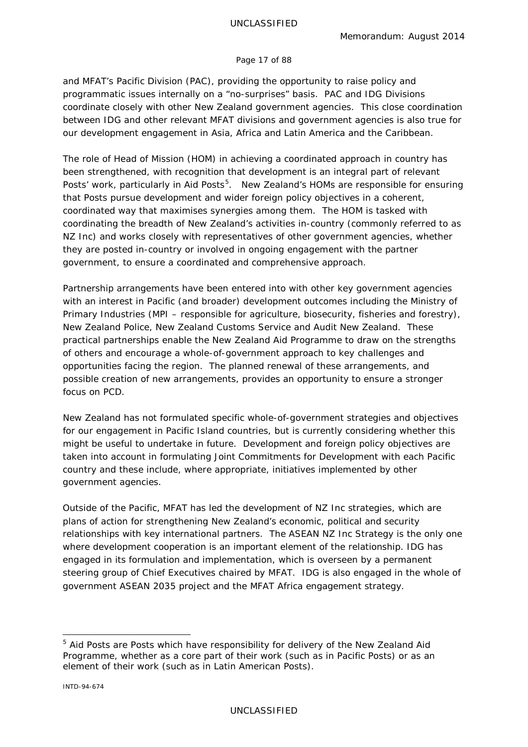#### Page 17 of 88

and MFAT's Pacific Division (PAC), providing the opportunity to raise policy and programmatic issues internally on a "no-surprises" basis. PAC and IDG Divisions coordinate closely with other New Zealand government agencies. This close coordination between IDG and other relevant MFAT divisions and government agencies is also true for our development engagement in Asia, Africa and Latin America and the Caribbean.

The role of Head of Mission (HOM) in achieving a coordinated approach in country has been strengthened, with recognition that development is an integral part of relevant Posts' work, particularly in Aid Posts<sup>[5](#page-16-0)</sup>. New Zealand's HOMs are responsible for ensuring that Posts pursue development and wider foreign policy objectives in a coherent, coordinated way that maximises synergies among them. The HOM is tasked with coordinating the breadth of New Zealand's activities in-country (commonly referred to as NZ Inc) and works closely with representatives of other government agencies, whether they are posted in-country or involved in ongoing engagement with the partner government, to ensure a coordinated and comprehensive approach.

Partnership arrangements have been entered into with other key government agencies with an interest in Pacific (and broader) development outcomes including the Ministry of Primary Industries (MPI – responsible for agriculture, biosecurity, fisheries and forestry), New Zealand Police, New Zealand Customs Service and Audit New Zealand. These practical partnerships enable the New Zealand Aid Programme to draw on the strengths of others and encourage a whole-of-government approach to key challenges and opportunities facing the region. The planned renewal of these arrangements, and possible creation of new arrangements, provides an opportunity to ensure a stronger focus on PCD.

New Zealand has not formulated specific whole-of-government strategies and objectives for our engagement in Pacific Island countries, but is currently considering whether this might be useful to undertake in future. Development and foreign policy objectives are taken into account in formulating *Joint Commitments for Development* with each Pacific country and these include, where appropriate, initiatives implemented by other government agencies.

Outside of the Pacific, MFAT has led the development of NZ Inc strategies, which are plans of action for strengthening New Zealand's economic, political and security relationships with key international partners. The ASEAN NZ Inc Strategy is the only one where development cooperation is an important element of the relationship. IDG has engaged in its formulation and implementation, which is overseen by a permanent steering group of Chief Executives chaired by MFAT. IDG is also engaged in the whole of government ASEAN 2035 project and the MFAT Africa engagement strategy.

<span id="page-16-0"></span><sup>&</sup>lt;sup>5</sup> Aid Posts are Posts which have responsibility for delivery of the New Zealand Aid Programme, whether as a core part of their work (such as in Pacific Posts) or as an element of their work (such as in Latin American Posts).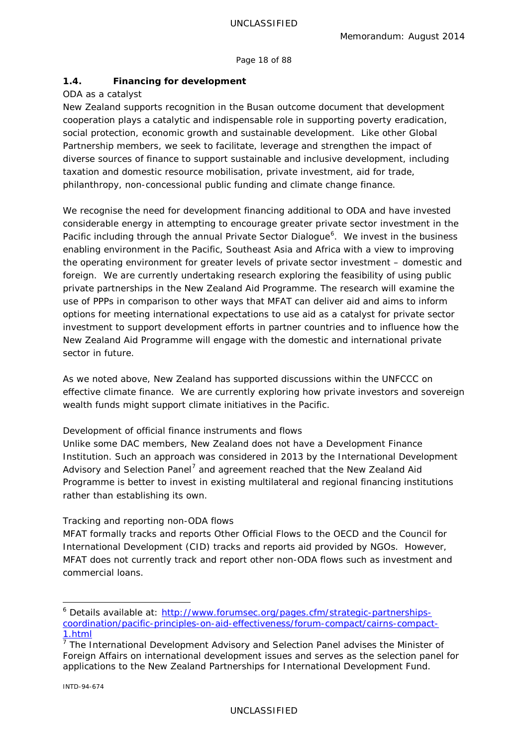Page 18 of 88

# **1.4. Financing for development**

## *ODA as a catalyst*

New Zealand supports recognition in the Busan outcome document that development cooperation plays a catalytic and indispensable role in supporting poverty eradication, social protection, economic growth and sustainable development. Like other Global Partnership members, we seek to facilitate, leverage and strengthen the impact of diverse sources of finance to support sustainable and inclusive development, including taxation and domestic resource mobilisation, private investment, aid for trade, philanthropy, non-concessional public funding and climate change finance.

We recognise the need for development financing additional to ODA and have invested considerable energy in attempting to encourage greater private sector investment in the Pacific including through the annual Private Sector Dialogue<sup>[6](#page-17-0)</sup>. We invest in the business enabling environment in the Pacific, Southeast Asia and Africa with a view to improving the operating environment for greater levels of private sector investment – domestic and foreign. We are currently undertaking research exploring the feasibility of using public private partnerships in the New Zealand Aid Programme. The research will examine the use of PPPs in comparison to other ways that MFAT can deliver aid and aims to inform options for meeting international expectations to use aid as a catalyst for private sector investment to support development efforts in partner countries and to influence how the New Zealand Aid Programme will engage with the domestic and international private sector in future.

As we noted above, New Zealand has supported discussions within the UNFCCC on effective climate finance. We are currently exploring how private investors and sovereign wealth funds might support climate initiatives in the Pacific.

## *Development of official finance instruments and flows*

Unlike some DAC members, New Zealand does not have a Development Finance Institution. Such an approach was considered in 2013 by the International Development Advisory and Selection Panel<sup>[7](#page-17-1)</sup> and agreement reached that the New Zealand Aid Programme is better to invest in existing multilateral and regional financing institutions rather than establishing its own.

## *Tracking and reporting non-ODA flows*

MFAT formally tracks and reports Other Official Flows to the OECD and the Council for International Development (CID) tracks and reports aid provided by NGOs. However, MFAT does not currently track and report other non-ODA flows such as investment and commercial loans.

<span id="page-17-0"></span><sup>&</sup>lt;sup>6</sup> Details available at: [http://www.forumsec.org/pages.cfm/strategic-partnerships](http://www.forumsec.org/pages.cfm/strategic-partnerships-coordination/pacific-principles-on-aid-effectiveness/forum-compact/cairns-compact-1.html)[coordination/pacific-principles-on-aid-effectiveness/forum-compact/cairns-compact-](http://www.forumsec.org/pages.cfm/strategic-partnerships-coordination/pacific-principles-on-aid-effectiveness/forum-compact/cairns-compact-1.html)[1.html](http://www.forumsec.org/pages.cfm/strategic-partnerships-coordination/pacific-principles-on-aid-effectiveness/forum-compact/cairns-compact-1.html)

<span id="page-17-1"></span> $\frac{1}{7}$  The International Development Advisory and Selection Panel advises the Minister of Foreign Affairs on international development issues and serves as the selection panel for applications to the *New Zealand Partnerships for International Development Fund*.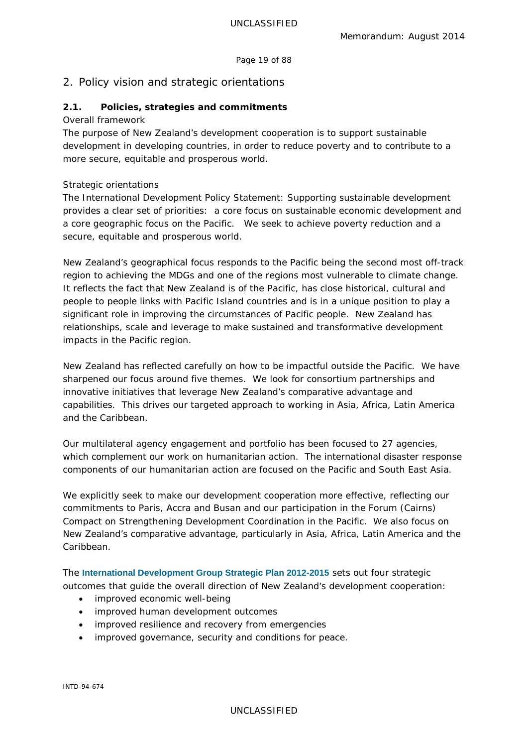Page 19 of 88

# <span id="page-18-0"></span>2. Policy vision and strategic orientations

# **2.1. Policies, strategies and commitments**

#### *Overall framework*

The purpose of New Zealand's development cooperation is to support sustainable development in developing countries, in order to reduce poverty and to contribute to a more secure, equitable and prosperous world.

## *Strategic orientations*

The *International Development Policy Statement: Supporting sustainable development* provides a clear set of priorities: a core focus on sustainable economic development and a core geographic focus on the Pacific. We seek to achieve poverty reduction and a secure, equitable and prosperous world.

New Zealand's geographical focus responds to the Pacific being the second most off-track region to achieving the MDGs and one of the regions most vulnerable to climate change. It reflects the fact that New Zealand is of the Pacific, has close historical, cultural and people to people links with Pacific Island countries and is in a unique position to play a significant role in improving the circumstances of Pacific people. New Zealand has relationships, scale and leverage to make sustained and transformative development impacts in the Pacific region.

New Zealand has reflected carefully on how to be impactful outside the Pacific. We have sharpened our focus around five themes. We look for consortium partnerships and innovative initiatives that leverage New Zealand's comparative advantage and capabilities. This drives our targeted approach to working in Asia, Africa, Latin America and the Caribbean.

Our multilateral agency engagement and portfolio has been focused to 27 agencies, which complement our work on humanitarian action. The international disaster response components of our humanitarian action are focused on the Pacific and South East Asia.

We explicitly seek to make our development cooperation more effective, reflecting our commitments to Paris, Accra and Busan and our participation in the Forum (Cairns) Compact on Strengthening Development Coordination in the Pacific. We also focus on New Zealand's comparative advantage, particularly in Asia, Africa, Latin America and the Caribbean.

The **[International Development Group Strategic Plan 2012-2015](http://www.aid.govt.nz/webfm_send/448)** sets out four strategic outcomes that guide the overall direction of New Zealand's development cooperation:

- improved economic well-being
- improved human development outcomes
- improved resilience and recovery from emergencies
- improved governance, security and conditions for peace.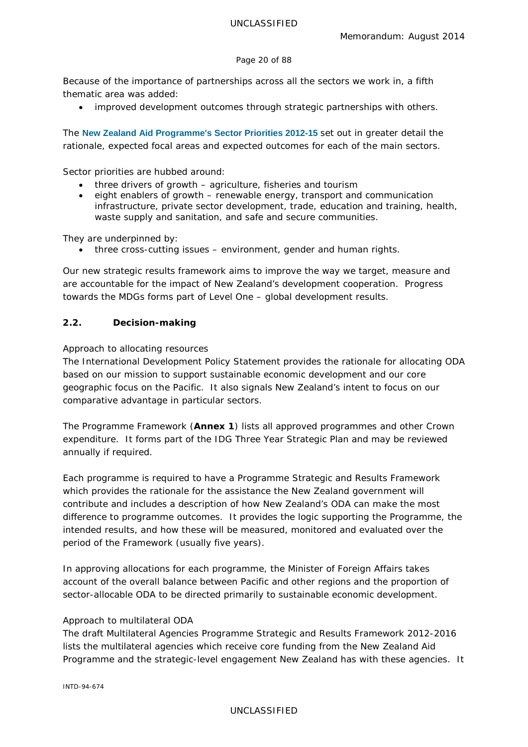#### Page 20 of 88

Because of the importance of partnerships across all the sectors we work in, a fifth thematic area was added:

improved development outcomes through strategic partnerships with others.

The **[New Zealand Aid Programme's Sector Priorities 2012-15](http://www.aid.govt.nz/webfm_send/509)** set out in greater detail the rationale, expected focal areas and expected outcomes for each of the main sectors.

Sector priorities are hubbed around:

- three drivers of growth agriculture, fisheries and tourism
- eight enablers of growth renewable energy, transport and communication infrastructure, private sector development, trade, education and training, health, waste supply and sanitation, and safe and secure communities.

They are underpinned by:

• three cross-cutting issues – environment, gender and human rights.

Our new strategic results framework aims to improve the way we target, measure and are accountable for the impact of New Zealand's development cooperation. Progress towards the MDGs forms part of Level One – global development results.

## **2.2. Decision-making**

## *Approach to allocating resources*

The *International Development Policy Statement* provides the rationale for allocating ODA based on our mission to support sustainable economic development and our core geographic focus on the Pacific. It also signals New Zealand's intent to focus on our comparative advantage in particular sectors.

The *Programme Framework* (**Annex 1**) lists all approved programmes and other Crown expenditure. It forms part of the IDG Three Year Strategic Plan and may be reviewed annually if required.

Each programme is required to have a *Programme Strategic and Results Framework* which provides the rationale for the assistance the New Zealand government will contribute and includes a description of how New Zealand's ODA can make the most difference to programme outcomes. It provides the logic supporting the Programme, the intended results, and how these will be measured, monitored and evaluated over the period of the Framework (usually five years).

In approving allocations for each programme, the Minister of Foreign Affairs takes account of the overall balance between Pacific and other regions and the proportion of sector-allocable ODA to be directed primarily to sustainable economic development.

## *Approach to multilateral ODA*

The draft *Multilateral Agencies Programme Strategic and Results Framework 2012-2016* lists the multilateral agencies which receive core funding from the New Zealand Aid Programme and the strategic-level engagement New Zealand has with these agencies. It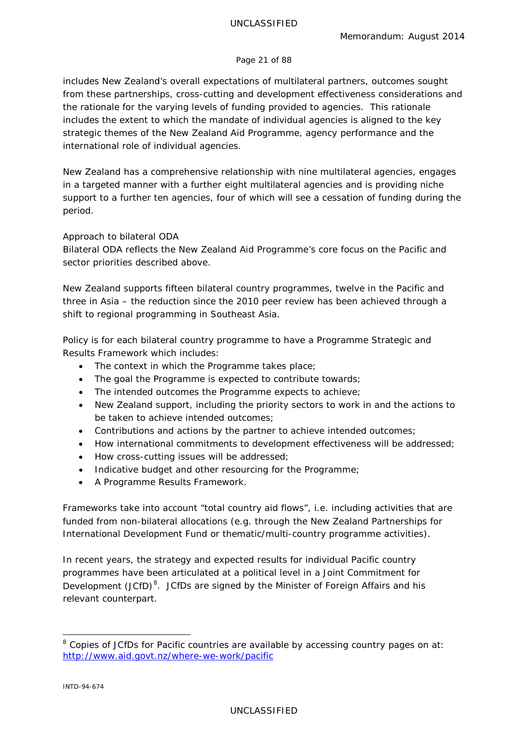#### Page 21 of 88

includes New Zealand's overall expectations of multilateral partners, outcomes sought from these partnerships, cross-cutting and development effectiveness considerations and the rationale for the varying levels of funding provided to agencies. This rationale includes the extent to which the mandate of individual agencies is aligned to the key strategic themes of the New Zealand Aid Programme, agency performance and the international role of individual agencies.

New Zealand has a comprehensive relationship with nine multilateral agencies, engages in a targeted manner with a further eight multilateral agencies and is providing niche support to a further ten agencies, four of which will see a cessation of funding during the period.

## *Approach to bilateral ODA*

Bilateral ODA reflects the New Zealand Aid Programme's core focus on the Pacific and sector priorities described above.

New Zealand supports fifteen bilateral country programmes, twelve in the Pacific and three in Asia – the reduction since the 2010 peer review has been achieved through a shift to regional programming in Southeast Asia.

Policy is for each bilateral country programme to have a *Programme Strategic and Results Framework* which includes:

- The context in which the Programme takes place;
- The goal the Programme is expected to contribute towards;
- The intended outcomes the Programme expects to achieve;
- New Zealand support, including the priority sectors to work in and the actions to be taken to achieve intended outcomes;
- Contributions and actions by the partner to achieve intended outcomes;
- How international commitments to development effectiveness will be addressed;
- How cross-cutting issues will be addressed;
- Indicative budget and other resourcing for the Programme;
- A Programme Results Framework.

Frameworks take into account "total country aid flows", i.e. including activities that are funded from non-bilateral allocations (e.g. through the New Zealand Partnerships for International Development Fund or thematic/multi-country programme activities).

In recent years, the strategy and expected results for individual Pacific country programmes have been articulated at a political level in a *Joint Commitment for*  Development (JCfD)<sup>[8](#page-20-0)</sup>. JCfDs are signed by the Minister of Foreign Affairs and his relevant counterpart.

<span id="page-20-0"></span> $8$  Copies of JCfDs for Pacific countries are available by accessing country pages on at: <http://www.aid.govt.nz/where-we-work/pacific>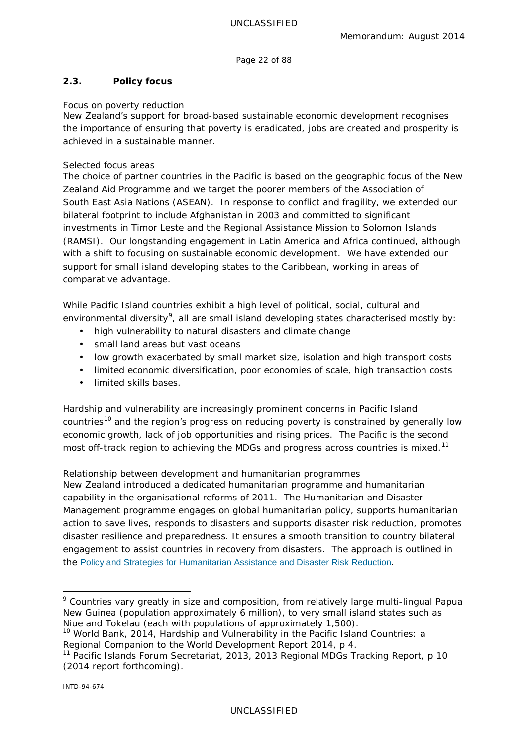Page 22 of 88

# **2.3. Policy focus**

## *Focus on poverty reduction*

New Zealand's support for broad-based sustainable economic development recognises the importance of ensuring that poverty is eradicated, jobs are created and prosperity is achieved in a sustainable manner.

## *Selected focus areas*

The choice of partner countries in the Pacific is based on the geographic focus of the New Zealand Aid Programme and we target the poorer members of the Association of South East Asia Nations (ASEAN). In response to conflict and fragility, we extended our bilateral footprint to include Afghanistan in 2003 and committed to significant investments in Timor Leste and the Regional Assistance Mission to Solomon Islands (RAMSI). Our longstanding engagement in Latin America and Africa continued, although with a shift to focusing on sustainable economic development. We have extended our support for small island developing states to the Caribbean, working in areas of comparative advantage.

While Pacific Island countries exhibit a high level of political, social, cultural and environmental diversity<sup>[9](#page-21-0)</sup>, all are small island developing states characterised mostly by:

- high vulnerability to natural disasters and climate change
- small land areas but vast oceans
- low growth exacerbated by small market size, isolation and high transport costs
- limited economic diversification, poor economies of scale, high transaction costs
- limited skills bases.

Hardship and vulnerability are increasingly prominent concerns in Pacific Island countries<sup>[10](#page-21-1)</sup> and the region's progress on reducing poverty is constrained by generally low economic growth, lack of job opportunities and rising prices. The Pacific is the second most off-track region to achieving the MDGs and progress across countries is mixed.<sup>[11](#page-21-2)</sup>

## *Relationship between development and humanitarian programmes*

New Zealand introduced a dedicated humanitarian programme and humanitarian capability in the organisational reforms of 2011. The Humanitarian and Disaster Management programme engages on global humanitarian policy, supports humanitarian action to save lives, responds to disasters and supports disaster risk reduction, promotes disaster resilience and preparedness. It ensures a smooth transition to country bilateral engagement to assist countries in recovery from disasters. The approach is outlined in the [Policy and Strategies for Humanitarian Assistance and Disaster Risk Reduction](http://www.aid.govt.nz/webfm_send/325).

<span id="page-21-0"></span><sup>&</sup>lt;sup>9</sup> Countries vary greatly in size and composition, from relatively large multi-lingual Papua New Guinea (population approximately 6 million), to very small island states such as Niue and Tokelau (each with populations of approximately 1,500).

<span id="page-21-1"></span><sup>10</sup> World Bank, 2014, *Hardship and Vulnerability in the Pacific Island Countries*: *a Regional Companion to the World Development Report 2014*, p 4.

<span id="page-21-2"></span><sup>11</sup> Pacific Islands Forum Secretariat, 2013, *2013 Regional MDGs Tracking Report*, p 10 (2014 report forthcoming).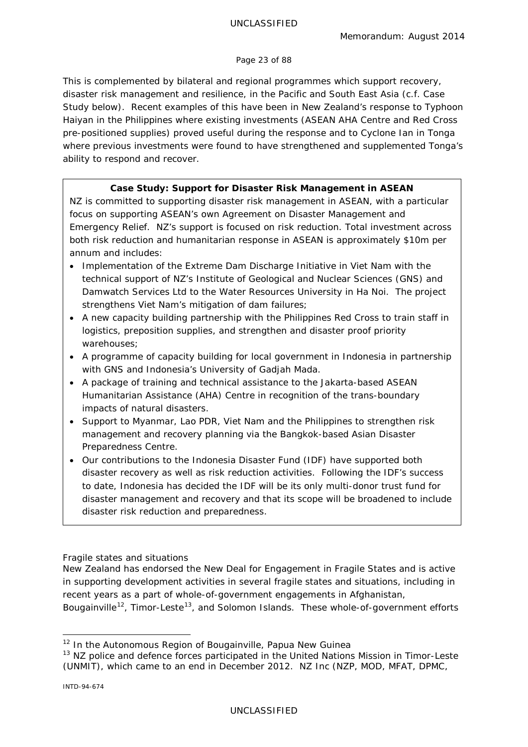#### Page 23 of 88

This is complemented by bilateral and regional programmes which support recovery, disaster risk management and resilience, in the Pacific and South East Asia (c.f. Case Study below). Recent examples of this have been in New Zealand's response to Typhoon Haiyan in the Philippines where existing investments (ASEAN AHA Centre and Red Cross pre-positioned supplies) proved useful during the response and to Cyclone Ian in Tonga where previous investments were found to have strengthened and supplemented Tonga's ability to respond and recover.

# **Case Study: Support for Disaster Risk Management in ASEAN**

NZ is committed to supporting disaster risk management in ASEAN, with a particular focus on supporting ASEAN's own Agreement on Disaster Management and Emergency Relief. NZ's support is focused on risk reduction. Total investment across both risk reduction and humanitarian response in ASEAN is approximately \$10m per annum and includes:

- Implementation of the Extreme Dam Discharge Initiative in Viet Nam with the technical support of NZ's Institute of Geological and Nuclear Sciences (GNS) and Damwatch Services Ltd to the Water Resources University in Ha Noi. The project strengthens Viet Nam's mitigation of dam failures;
- A new capacity building partnership with the Philippines Red Cross to train staff in logistics, preposition supplies, and strengthen and disaster proof priority warehouses;
- A programme of capacity building for local government in Indonesia in partnership with GNS and Indonesia's University of Gadjah Mada.
- A package of training and technical assistance to the Jakarta-based ASEAN Humanitarian Assistance (AHA) Centre in recognition of the trans-boundary impacts of natural disasters.
- Support to Myanmar, Lao PDR, Viet Nam and the Philippines to strengthen risk management and recovery planning via the Bangkok-based Asian Disaster Preparedness Centre.
- Our contributions to the Indonesia Disaster Fund (IDF) have supported both disaster recovery as well as risk reduction activities. Following the IDF's success to date, Indonesia has decided the IDF will be its only multi-donor trust fund for disaster management and recovery and that its scope will be broadened to include disaster risk reduction and preparedness.

## *Fragile states and situations*

New Zealand has endorsed the *New Deal for Engagement in Fragile States and* is active in supporting development activities in several fragile states and situations, including in recent years as a part of whole-of-government engagements in Afghanistan, Bougainville<sup>[12](#page-22-0)</sup>, Timor-Leste<sup>[13](#page-22-1)</sup>, and Solomon Islands. These whole-of-government efforts

<span id="page-22-0"></span><sup>&</sup>lt;sup>12</sup> In the Autonomous Region of Bougainville, Papua New Guinea

<span id="page-22-1"></span><sup>&</sup>lt;sup>13</sup> NZ police and defence forces participated in the United Nations Mission in Timor-Leste (UNMIT), which came to an end in December 2012. NZ Inc (NZP, MOD, MFAT, DPMC,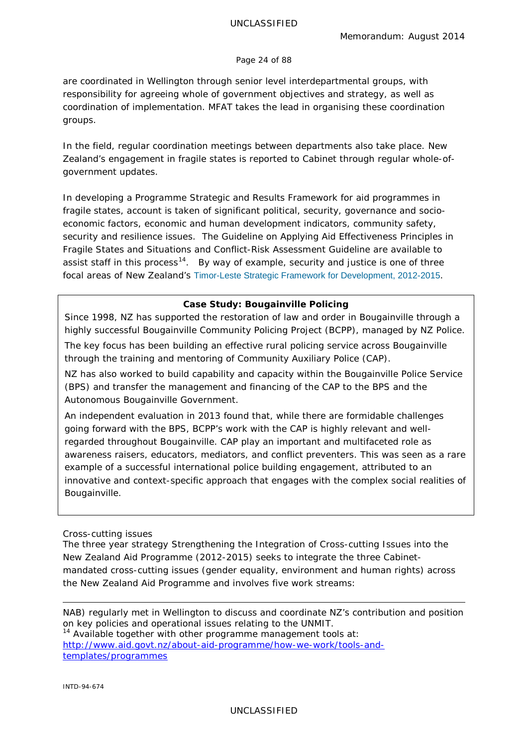#### Page 24 of 88

are coordinated in Wellington through senior level interdepartmental groups, with responsibility for agreeing whole of government objectives and strategy, as well as coordination of implementation. MFAT takes the lead in organising these coordination groups.

In the field, regular coordination meetings between departments also take place. New Zealand's engagement in fragile states is reported to Cabinet through regular whole-ofgovernment updates.

In developing a *Programme Strategic and Results Framework* for aid programmes in fragile states, account is taken of significant political, security, governance and socioeconomic factors, economic and human development indicators, community safety, security and resilience issues. The *Guideline on Applying Aid Effectiveness Principles in Fragile States and Situations* and *Conflict-Risk Assessment Guideline* are available to assist staff in this process<sup>14</sup>. By way of example, security and justice is one of three focal areas of New Zealand's [Timor-Leste Strategic Framework for Development, 2012-2015](http://www.aid.govt.nz/webfm_send/561).

#### **Case Study: Bougainville Policing**

Since 1998, NZ has supported the restoration of law and order in Bougainville through a highly successful Bougainville Community Policing Project (BCPP), managed by NZ Police.

The key focus has been building an effective rural policing service across Bougainville through the training and mentoring of Community Auxiliary Police (CAP).

NZ has also worked to build capability and capacity within the Bougainville Police Service (BPS) and transfer the management and financing of the CAP to the BPS and the Autonomous Bougainville Government.

An independent evaluation in 2013 found that, while there are formidable challenges going forward with the BPS, BCPP's work with the CAP is highly relevant and wellregarded throughout Bougainville. CAP play an important and multifaceted role as awareness raisers, educators, mediators, and conflict preventers. This was seen as a rare example of a successful international police building engagement, attributed to an innovative and context-specific approach that engages with the complex social realities of Bougainville.

#### *Cross-cutting issues*

The three year strategy *Strengthening the Integration of Cross-cutting Issues into the New Zealand Aid Programme (2012-2015)* seeks to integrate the three Cabinetmandated cross-cutting issues (gender equality, environment and human rights) across the New Zealand Aid Programme and involves five work streams:

NAB) regularly met in Wellington to discuss and coordinate NZ's contribution and position on key policies and operational issues relating to the UNMIT.

<span id="page-23-0"></span> $14$  Available together with other programme management tools at: [http://www.aid.govt.nz/about-aid-programme/how-we-work/tools-and](http://www.aid.govt.nz/about-aid-programme/how-we-work/tools-and-templates/programmes)[templates/programmes](http://www.aid.govt.nz/about-aid-programme/how-we-work/tools-and-templates/programmes)

-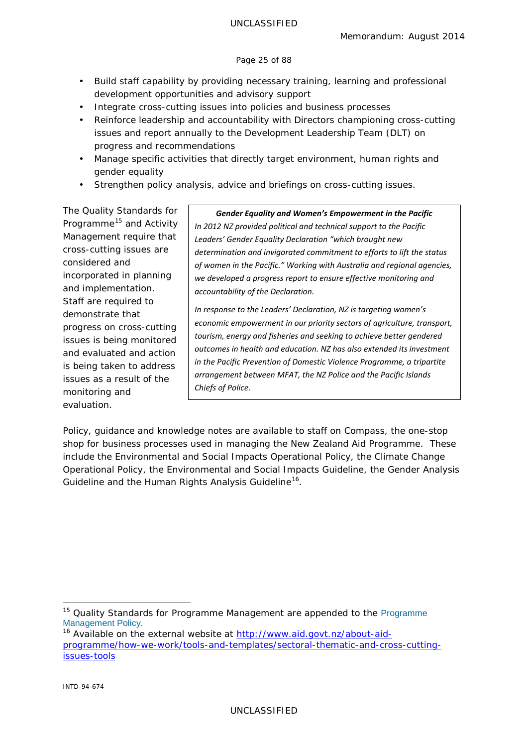#### Page 25 of 88

- Build staff capability by providing necessary training, learning and professional development opportunities and advisory support
- Integrate cross-cutting issues into policies and business processes
- Reinforce leadership and accountability with Directors championing cross-cutting issues and report annually to the Development Leadership Team (DLT) on progress and recommendations
- Manage specific activities that directly target environment, human rights and gender equality
- Strengthen policy analysis, advice and briefings on cross-cutting issues.

Th*e Quality Standards* for Programme<sup>[15](#page-24-0)</sup> and Activity Management require that cross-cutting issues are considered and incorporated in planning and implementation. Staff are required to demonstrate that progress on cross-cutting issues is being monitored and evaluated and action is being taken to address issues as a result of the monitoring and evaluation.

#### *Gender Equality and Women's Empowerment in the Pacific*

*In 2012 NZ provided political and technical support to the Pacific Leaders' Gender Equality Declaration "which brought new determination and invigorated commitment to efforts to lift the status of women in the Pacific." Working with Australia and regional agencies, we developed a progress report to ensure effective monitoring and accountability of the Declaration.* 

*In response to the Leaders' Declaration, NZ is targeting women's economic empowerment in our priority sectors of agriculture, transport, tourism, energy and fisheries and seeking to achieve better gendered outcomes in health and education. NZ has also extended its investment in the Pacific Prevention of Domestic Violence Programme, a tripartite arrangement between MFAT, the NZ Police and the Pacific Islands Chiefs of Police.*

Policy, guidance and knowledge notes are available to staff on *Compass*, the one-stop shop for business processes used in managing the New Zealand Aid Programme. These include the *Environmental and Social Impacts Operational Policy*, the *Climate Change Operational Policy*, the *Environmental and Social Impacts Guideline*, the *Gender Analysis Guideline* and the *Human Rights Analysis Guideline*[16](#page-24-1).

<span id="page-24-0"></span><sup>&</sup>lt;sup>15</sup> Quality Standards for [Programme](http://www.aid.govt.nz/sites/default/files/Programme%20Management%20Policy_0.pdf) Management are appended to the Programme [Management Policy.](http://www.aid.govt.nz/sites/default/files/Programme%20Management%20Policy_0.pdf)

<span id="page-24-1"></span><sup>&</sup>lt;sup>16</sup> Available on the external website at [http://www.aid.govt.nz/about-aid](http://www.aid.govt.nz/about-aid-programme/how-we-work/tools-and-templates/sectoral-thematic-and-cross-cutting-issues-tools)[programme/how-we-work/tools-and-templates/sectoral-thematic-and-cross-cutting](http://www.aid.govt.nz/about-aid-programme/how-we-work/tools-and-templates/sectoral-thematic-and-cross-cutting-issues-tools)[issues-tools](http://www.aid.govt.nz/about-aid-programme/how-we-work/tools-and-templates/sectoral-thematic-and-cross-cutting-issues-tools)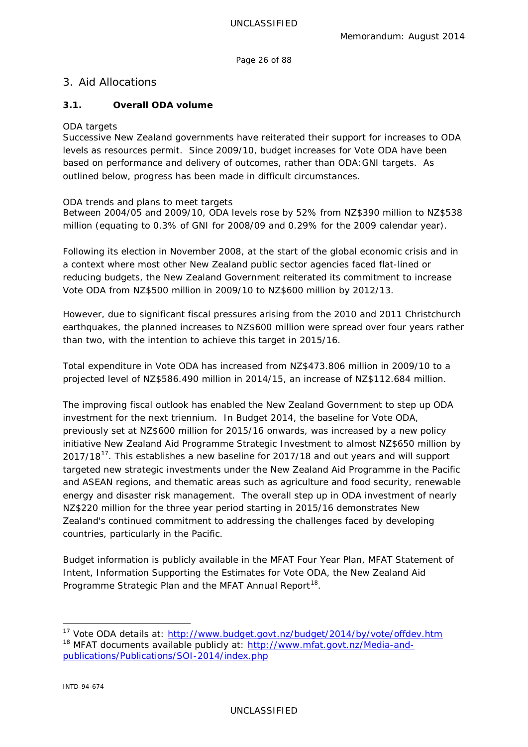Page 26 of 88

# <span id="page-25-0"></span>3. Aid Allocations

## **3.1. Overall ODA volume**

#### *ODA targets*

Successive New Zealand governments have reiterated their support for increases to ODA levels as resources permit. Since 2009/10, budget increases for Vote ODA have been based on performance and delivery of outcomes, rather than ODA:GNI targets. As outlined below, progress has been made in difficult circumstances.

#### *ODA trends and plans to meet targets*

Between 2004/05 and 2009/10, ODA levels rose by 52% from NZ\$390 million to NZ\$538 million (equating to 0.3% of GNI for 2008/09 and 0.29% for the 2009 calendar year).

Following its election in November 2008, at the start of the global economic crisis and in a context where most other New Zealand public sector agencies faced flat-lined or reducing budgets, the New Zealand Government reiterated its commitment to increase Vote ODA from NZ\$500 million in 2009/10 to NZ\$600 million by 2012/13.

However, due to significant fiscal pressures arising from the 2010 and 2011 Christchurch earthquakes, the planned increases to NZ\$600 million were spread over four years rather than two, with the intention to achieve this target in 2015/16.

Total expenditure in Vote ODA has increased from NZ\$473.806 million in 2009/10 to a projected level of NZ\$586.490 million in 2014/15, an increase of NZ\$112.684 million.

The improving fiscal outlook has enabled the New Zealand Government to step up ODA investment for the next triennium. In Budget 2014, the baseline for Vote ODA, previously set at NZ\$600 million for 2015/16 onwards, was increased by a new policy initiative *New Zealand Aid Programme Strategic Investment* to almost NZ\$650 million by  $2017/18<sup>17</sup>$  $2017/18<sup>17</sup>$  $2017/18<sup>17</sup>$ . This establishes a new baseline for 2017/18 and out years and will support targeted new strategic investments under the New Zealand Aid Programme in the Pacific and ASEAN regions, and thematic areas such as agriculture and food security, renewable energy and disaster risk management. The overall step up in ODA investment of nearly NZ\$220 million for the three year period starting in 2015/16 demonstrates New Zealand's continued commitment to addressing the challenges faced by developing countries, particularly in the Pacific.

Budget information is publicly available in the *MFAT Four Year Plan*, *MFAT Statement of Intent*, *Information Supporting the Estimates for Vote ODA*, the *New Zealand Aid Programme Strategic Plan* and the *MFAT Annual Report[18](#page-25-2)*.

<span id="page-25-2"></span><span id="page-25-1"></span><sup>&</sup>lt;sup>17</sup> Vote ODA details at:<http://www.budget.govt.nz/budget/2014/by/vote/offdev.htm> <sup>18</sup> MFAT documents available publicly at: [http://www.mfat.govt.nz/Media-and](http://www.mfat.govt.nz/Media-and-publications/Publications/SOI-2014/index.php)[publications/Publications/SOI-2014/index.php](http://www.mfat.govt.nz/Media-and-publications/Publications/SOI-2014/index.php)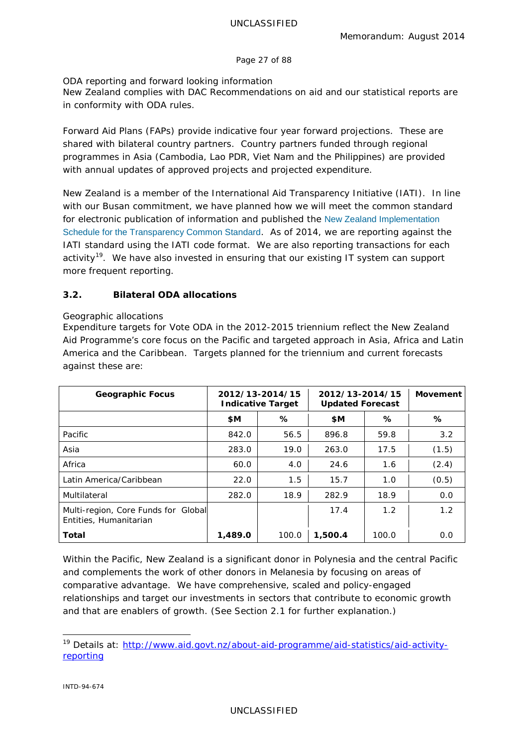Page 27 of 88

## *ODA reporting and forward looking information*

New Zealand complies with DAC Recommendations on aid and our statistical reports are in conformity with ODA rules.

*Forward Aid Plans* (FAPs) provide indicative four year forward projections. These are shared with bilateral country partners. Country partners funded through regional programmes in Asia (Cambodia, Lao PDR, Viet Nam and the Philippines) are provided with annual updates of approved projects and projected expenditure.

New Zealand is a member of the *International Aid Transparency Initiative* (IATI). In line with our Busan commitment, we have planned how we will meet the common standard for electronic publication of information and published the [New Zealand Implementation](http://www.aid.govt.nz/webfm_send/515)  [Schedule for the Transparency Common Standard](http://www.aid.govt.nz/webfm_send/515). As of 2014, we are reporting against the IATI standard using the IATI code format. We are also reporting transactions for each activity<sup>[19](#page-26-0)</sup>. We have also invested in ensuring that our existing IT system can support more frequent reporting.

# **3.2. Bilateral ODA allocations**

## *Geographic allocations*

Expenditure targets for Vote ODA in the 2012-2015 triennium reflect the New Zealand Aid Programme's core focus on the Pacific and targeted approach in Asia, Africa and Latin America and the Caribbean. Targets planned for the triennium and current forecasts against these are:

| <b>Geographic Focus</b>                                       | 2012/13-2014/15<br><b>Indicative Target</b> |       | 2012/13-2014/15<br><b>Updated Forecast</b> |       | <b>Movement</b> |
|---------------------------------------------------------------|---------------------------------------------|-------|--------------------------------------------|-------|-----------------|
|                                                               | \$M                                         | ℅     | \$M                                        | ℅     | ℅               |
| Pacific                                                       | 842.0                                       | 56.5  | 896.8                                      | 59.8  | 3.2             |
| Asia                                                          | 283.0                                       | 19.0  | 263.0                                      | 17.5  | (1.5)           |
| Africa                                                        | 60.0                                        | 4.0   | 24.6                                       | 1.6   | (2.4)           |
| Latin America/Caribbean                                       | 22.0                                        | 1.5   | 15.7                                       | 1.0   | (0.5)           |
| Multilateral                                                  | 282.0                                       | 18.9  | 282.9                                      | 18.9  | 0.0             |
| Multi-region, Core Funds for Global<br>Entities, Humanitarian |                                             |       | 17.4                                       | 1.2   | 1.2             |
| Total                                                         | 1,489.0                                     | 100.0 | 1,500.4                                    | 100.0 | 0.0             |

Within the Pacific, New Zealand is a significant donor in Polynesia and the central Pacific and complements the work of other donors in Melanesia by focusing on areas of comparative advantage. We have comprehensive, scaled and policy-engaged relationships and target our investments in sectors that contribute to economic growth and that are enablers of growth. (See Section 2.1 for further explanation.)

<span id="page-26-0"></span><sup>&</sup>lt;sup>19</sup> Details at: [http://www.aid.govt.nz/about-aid-programme/aid-statistics/aid-activity](http://www.aid.govt.nz/about-aid-programme/aid-statistics/aid-activity-reporting)[reporting](http://www.aid.govt.nz/about-aid-programme/aid-statistics/aid-activity-reporting)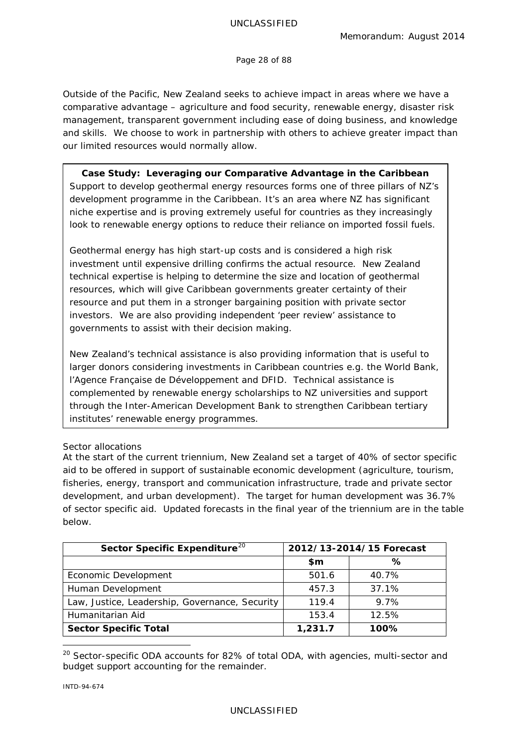#### UNCLASSIFIED

Page 28 of 88

Outside of the Pacific, New Zealand seeks to achieve impact in areas where we have a comparative advantage – agriculture and food security, renewable energy, disaster risk management, transparent government including ease of doing business, and knowledge and skills. We choose to work in partnership with others to achieve greater impact than our limited resources would normally allow.

**Case Study: Leveraging our Comparative Advantage in the Caribbean** Support to develop geothermal energy resources forms one of three pillars of NZ's development programme in the Caribbean. It's an area where NZ has significant niche expertise and is proving extremely useful for countries as they increasingly look to renewable energy options to reduce their reliance on imported fossil fuels.

Geothermal energy has high start-up costs and is considered a high risk investment until expensive drilling confirms the actual resource. New Zealand technical expertise is helping to determine the size and location of geothermal resources, which will give Caribbean governments greater certainty of their resource and put them in a stronger bargaining position with private sector investors. We are also providing independent 'peer review' assistance to governments to assist with their decision making.

New Zealand's technical assistance is also providing information that is useful to larger donors considering investments in Caribbean countries e.g. the World Bank, l'Agence Française de Développement and DFID. Technical assistance is complemented by renewable energy scholarships to NZ universities and support through the Inter-American Development Bank to strengthen Caribbean tertiary institutes' renewable energy programmes.

## *Sector allocations*

At the start of the current triennium, New Zealand set a target of 40% of sector specific aid to be offered in support of sustainable economic development (agriculture, tourism, fisheries, energy, transport and communication infrastructure, trade and private sector development, and urban development). The target for human development was 36.7% of sector specific aid. Updated forecasts in the final year of the triennium are in the table below.

| Sector Specific Expenditure <sup>20</sup>      | 2012/13-2014/15 Forecast |       |
|------------------------------------------------|--------------------------|-------|
|                                                | \$m                      | ℅     |
| Economic Development                           | 501.6                    | 40.7% |
| Human Development                              | 457.3                    | 37.1% |
| Law, Justice, Leadership, Governance, Security | 119.4                    | 9.7%  |
| Humanitarian Aid                               | 153.4                    | 12.5% |
| <b>Sector Specific Total</b>                   | 1,231.7                  | 100%  |

<span id="page-27-0"></span><sup>&</sup>lt;sup>20</sup> Sector-specific ODA accounts for 82% of total ODA, with agencies, multi-sector and budget support accounting for the remainder.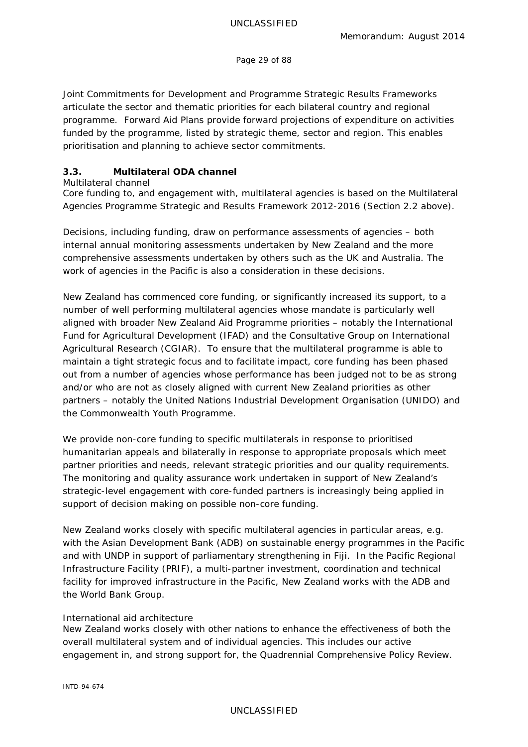Page 29 of 88

*Joint Commitments for Development* and *Programme Strategic Results Frameworks* articulate the sector and thematic priorities for each bilateral country and regional programme. *Forward Aid Plans* provide forward projections of expenditure on activities funded by the programme, listed by strategic theme, sector and region. This enables prioritisation and planning to achieve sector commitments.

# **3.3. Multilateral ODA channel**

*Multilateral channel*

Core funding to, and engagement with, multilateral agencies is based on the *Multilateral Agencies Programme Strategic and Results Framework 2012-2016* (Section 2.2 above).

Decisions, including funding, draw on performance assessments of agencies – both internal annual monitoring assessments undertaken by New Zealand and the more comprehensive assessments undertaken by others such as the UK and Australia. The work of agencies in the Pacific is also a consideration in these decisions.

New Zealand has commenced core funding, or significantly increased its support, to a number of well performing multilateral agencies whose mandate is particularly well aligned with broader New Zealand Aid Programme priorities – notably the International Fund for Agricultural Development (IFAD) and the Consultative Group on International Agricultural Research (CGIAR). To ensure that the multilateral programme is able to maintain a tight strategic focus and to facilitate impact, core funding has been phased out from a number of agencies whose performance has been judged not to be as strong and/or who are not as closely aligned with current New Zealand priorities as other partners – notably the United Nations Industrial Development Organisation (UNIDO) and the Commonwealth Youth Programme.

We provide non-core funding to specific multilaterals in response to prioritised humanitarian appeals and bilaterally in response to appropriate proposals which meet partner priorities and needs, relevant strategic priorities and our quality requirements. The monitoring and quality assurance work undertaken in support of New Zealand's strategic-level engagement with core-funded partners is increasingly being applied in support of decision making on possible non-core funding.

New Zealand works closely with specific multilateral agencies in particular areas, e.g. with the Asian Development Bank (ADB) on sustainable energy programmes in the Pacific and with UNDP in support of parliamentary strengthening in Fiji. In the Pacific Regional Infrastructure Facility (PRIF), a multi-partner investment, coordination and technical facility for improved infrastructure in the Pacific, New Zealand works with the ADB and the World Bank Group.

# *International aid architecture*

New Zealand works closely with other nations to enhance the effectiveness of both the overall multilateral system and of individual agencies. This includes our active engagement in, and strong support for, the Quadrennial Comprehensive Policy Review.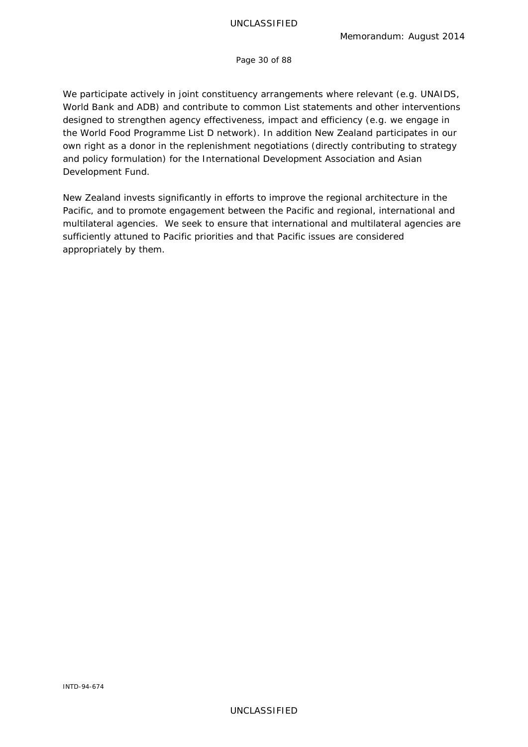Page 30 of 88

We participate actively in joint constituency arrangements where relevant (e.g. UNAIDS, World Bank and ADB) and contribute to common List statements and other interventions designed to strengthen agency effectiveness, impact and efficiency (e.g. we engage in the World Food Programme List D network). In addition New Zealand participates in our own right as a donor in the replenishment negotiations (directly contributing to strategy and policy formulation) for the International Development Association and Asian Development Fund.

New Zealand invests significantly in efforts to improve the regional architecture in the Pacific, and to promote engagement between the Pacific and regional, international and multilateral agencies. We seek to ensure that international and multilateral agencies are sufficiently attuned to Pacific priorities and that Pacific issues are considered appropriately by them.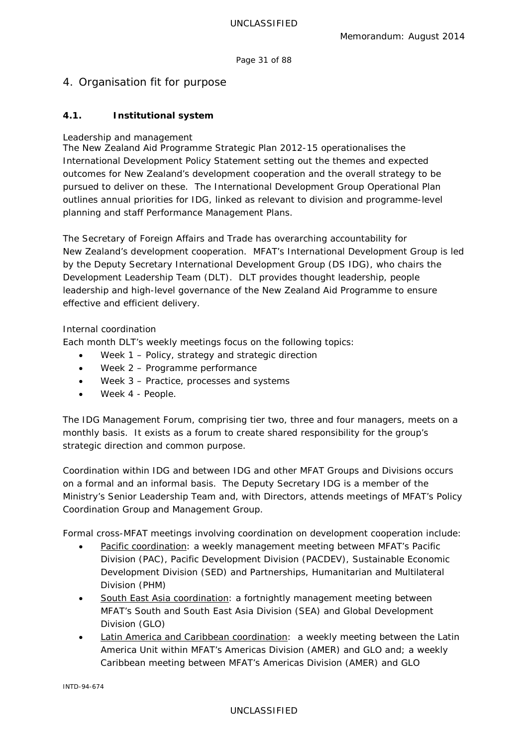Page 31 of 88

# <span id="page-30-0"></span>4. Organisation fit for purpose

# **4.1. Institutional system**

## *Leadership and management*

The *New Zealand Aid Programme Strategic Plan 2012-15* operationalises the *International Development Policy Statement* setting out the themes and expected outcomes for New Zealand's development cooperation and the overall strategy to be pursued to deliver on these. The *International Development Group Operational Plan* outlines annual priorities for IDG, linked as relevant to division and programme-level planning and staff *Performance Management Plans*.

The Secretary of Foreign Affairs and Trade has overarching accountability for New Zealand's development cooperation. MFAT's International Development Group is led by the Deputy Secretary International Development Group (DS IDG), who chairs the *Development Leadership Team* (DLT). DLT provides thought leadership, people leadership and high-level governance of the New Zealand Aid Programme to ensure effective and efficient delivery.

## *Internal coordination*

Each month DLT's weekly meetings focus on the following topics:

- Week 1 Policy, strategy and strategic direction
- Week 2 Programme performance
- Week 3 Practice, processes and systems
- Week 4 People.

The *IDG Management Forum*, comprising tier two, three and four managers, meets on a monthly basis. It exists as a forum to create shared responsibility for the group's strategic direction and common purpose.

Coordination within IDG and between IDG and other MFAT Groups and Divisions occurs on a formal and an informal basis. The Deputy Secretary IDG is a member of the Ministry's Senior Leadership Team and, with Directors, attends meetings of MFAT's Policy Coordination Group and Management Group.

Formal cross-MFAT meetings involving coordination on development cooperation include:

- Pacific coordination: a weekly management meeting between MFAT's Pacific Division (PAC), Pacific Development Division (PACDEV), Sustainable Economic Development Division (SED) and Partnerships, Humanitarian and Multilateral Division (PHM)
- South East Asia coordination: a fortnightly management meeting between MFAT's South and South East Asia Division (SEA) and Global Development Division (GLO)
- Latin America and Caribbean coordination: a weekly meeting between the Latin America Unit within MFAT's Americas Division (AMER) and GLO and; a weekly Caribbean meeting between MFAT's Americas Division (AMER) and GLO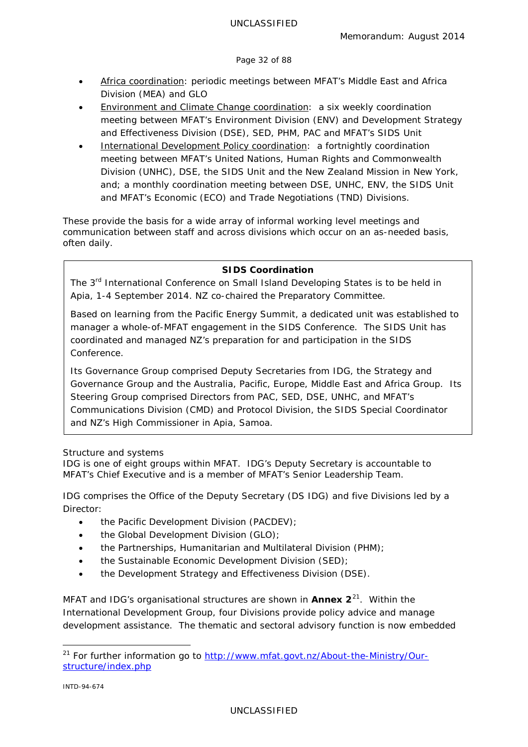#### Page 32 of 88

- Africa coordination: periodic meetings between MFAT's Middle East and Africa Division (MEA) and GLO
- Environment and Climate Change coordination: a six weekly coordination meeting between MFAT's Environment Division (ENV) and Development Strategy and Effectiveness Division (DSE), SED, PHM, PAC and MFAT's SIDS Unit
- **International Development Policy coordination:** a fortnightly coordination meeting between MFAT's United Nations, Human Rights and Commonwealth Division (UNHC), DSE, the SIDS Unit and the New Zealand Mission in New York, and; a monthly coordination meeting between DSE, UNHC, ENV, the SIDS Unit and MFAT's Economic (ECO) and Trade Negotiations (TND) Divisions.

These provide the basis for a wide array of informal working level meetings and communication between staff and across divisions which occur on an as-needed basis, often daily.

## **SIDS Coordination**

The 3<sup>rd</sup> International Conference on Small Island Developing States is to be held in Apia, 1-4 September 2014. NZ co-chaired the Preparatory Committee.

Based on learning from the Pacific Energy Summit, a dedicated unit was established to manager a whole-of-MFAT engagement in the SIDS Conference. The SIDS Unit has coordinated and managed NZ's preparation for and participation in the SIDS Conference.

Its Governance Group comprised Deputy Secretaries from IDG, the Strategy and Governance Group and the Australia, Pacific, Europe, Middle East and Africa Group. Its Steering Group comprised Directors from PAC, SED, DSE, UNHC, and MFAT's Communications Division (CMD) and Protocol Division, the SIDS Special Coordinator and NZ's High Commissioner in Apia, Samoa.

## *Structure and systems*

IDG is one of eight groups within MFAT. IDG's Deputy Secretary is accountable to MFAT's Chief Executive and is a member of MFAT's Senior Leadership Team.

IDG comprises the Office of the Deputy Secretary (DS IDG) and five Divisions led by a Director:

- the Pacific Development Division (PACDEV):
- the Global Development Division (GLO);
- the Partnerships, Humanitarian and Multilateral Division (PHM);
- the Sustainable Economic Development Division (SED);
- the Development Strategy and Effectiveness Division (DSE).

MFAT and IDG's organisational structures are shown in **Annex 2**[21.](#page-31-0) Within the International Development Group, four Divisions provide policy advice and manage development assistance. The thematic and sectoral advisory function is now embedded

<span id="page-31-0"></span><sup>&</sup>lt;sup>21</sup> For further information go to [http://www.mfat.govt.nz/About-the-Ministry/Our](http://www.mfat.govt.nz/About-the-Ministry/Our-structure/index.php)[structure/index.php](http://www.mfat.govt.nz/About-the-Ministry/Our-structure/index.php)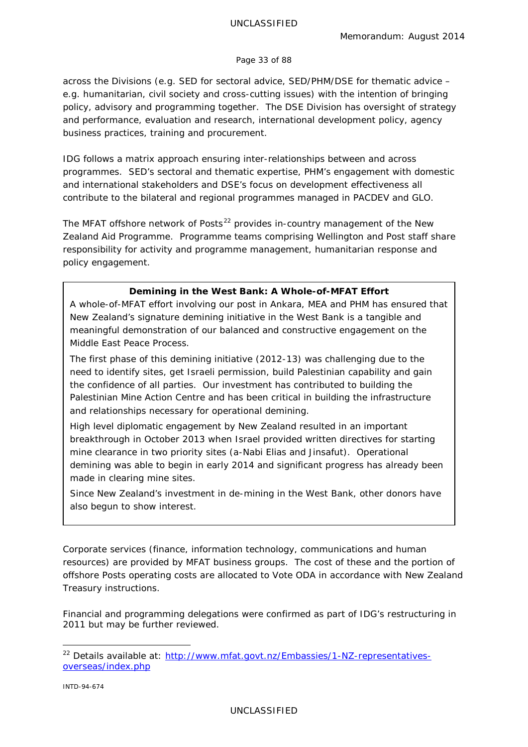#### Page 33 of 88

across the Divisions (e.g. SED for sectoral advice, SED/PHM/DSE for thematic advice – e.g. humanitarian, civil society and cross-cutting issues) with the intention of bringing policy, advisory and programming together. The DSE Division has oversight of strategy and performance, evaluation and research, international development policy, agency business practices, training and procurement.

IDG follows a matrix approach ensuring inter-relationships between and across programmes. SED's sectoral and thematic expertise, PHM's engagement with domestic and international stakeholders and DSE's focus on development effectiveness all contribute to the bilateral and regional programmes managed in PACDEV and GLO.

The MFAT offshore network of Posts<sup>[22](#page-32-0)</sup> provides in-country management of the New Zealand Aid Programme. Programme teams comprising Wellington and Post staff share responsibility for activity and programme management, humanitarian response and policy engagement.

## **Demining in the West Bank: A Whole-of-MFAT Effort**

A whole-of-MFAT effort involving our post in Ankara, MEA and PHM has ensured that New Zealand's signature demining initiative in the West Bank is a tangible and meaningful demonstration of our balanced and constructive engagement on the Middle East Peace Process.

The first phase of this demining initiative (2012-13) was challenging due to the need to identify sites, get Israeli permission, build Palestinian capability and gain the confidence of all parties. Our investment has contributed to building the Palestinian Mine Action Centre and has been critical in building the infrastructure and relationships necessary for operational demining.

High level diplomatic engagement by New Zealand resulted in an important breakthrough in October 2013 when Israel provided written directives for starting mine clearance in two priority sites (a-Nabi Elias and Jinsafut). Operational demining was able to begin in early 2014 and significant progress has already been made in clearing mine sites.

Since New Zealand's investment in de-mining in the West Bank, other donors have also begun to show interest.

Corporate services (finance, information technology, communications and human resources) are provided by MFAT business groups. The cost of these and the portion of offshore Posts operating costs are allocated to Vote ODA in accordance with New Zealand Treasury instructions.

Financial and programming delegations were confirmed as part of IDG's restructuring in 2011 but may be further reviewed.

<span id="page-32-0"></span><sup>&</sup>lt;sup>22</sup> Details available at: [http://www.mfat.govt.nz/Embassies/1-NZ-representatives](http://www.mfat.govt.nz/Embassies/1-NZ-representatives-overseas/index.php)[overseas/index.php](http://www.mfat.govt.nz/Embassies/1-NZ-representatives-overseas/index.php)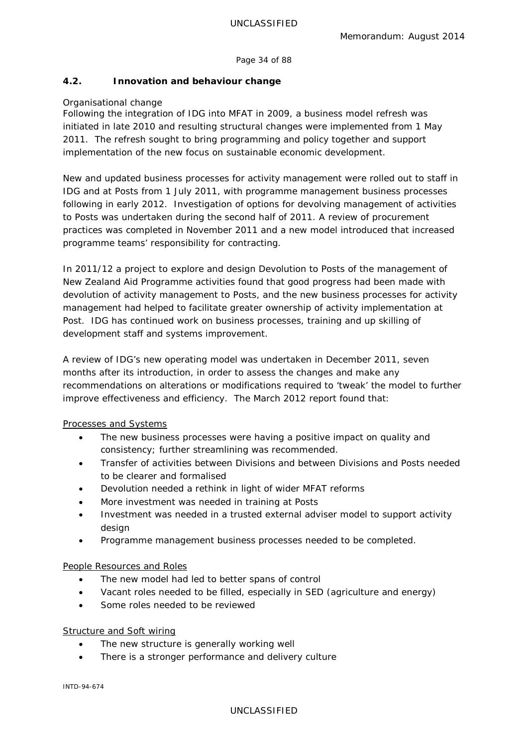Page 34 of 88

## **4.2. Innovation and behaviour change**

## *Organisational change*

Following the integration of IDG into MFAT in 2009, a business model refresh was initiated in late 2010 and resulting structural changes were implemented from 1 May 2011. The refresh sought to bring programming and policy together and support implementation of the new focus on sustainable economic development.

New and updated business processes for activity management were rolled out to staff in IDG and at Posts from 1 July 2011, with programme management business processes following in early 2012. Investigation of options for devolving management of activities to Posts was undertaken during the second half of 2011. A review of procurement practices was completed in November 2011 and a new model introduced that increased programme teams' responsibility for contracting.

In 2011/12 a project to explore and design *Devolution to Posts* of the management of New Zealand Aid Programme activities found that good progress had been made with devolution of activity management to Posts, and the new business processes for activity management had helped to facilitate greater ownership of activity implementation at Post. IDG has continued work on business processes, training and up skilling of development staff and systems improvement.

A review of IDG's new operating model was undertaken in December 2011, seven months after its introduction, in order to assess the changes and make any recommendations on alterations or modifications required to 'tweak' the model to further improve effectiveness and efficiency. The March 2012 report found that:

## Processes and Systems

- The new business processes were having a positive impact on quality and consistency; further streamlining was recommended.
- Transfer of activities between Divisions and between Divisions and Posts needed to be clearer and formalised
- Devolution needed a rethink in light of wider MFAT reforms
- More investment was needed in training at Posts
- Investment was needed in a trusted external adviser model to support activity design
- Programme management business processes needed to be completed.

## People Resources and Roles

- The new model had led to better spans of control
- Vacant roles needed to be filled, especially in SED (agriculture and energy)
- Some roles needed to be reviewed

# Structure and Soft wiring

- The new structure is generally working well
- There is a stronger performance and delivery culture

INTD-94-674

## UNCLASSIFIED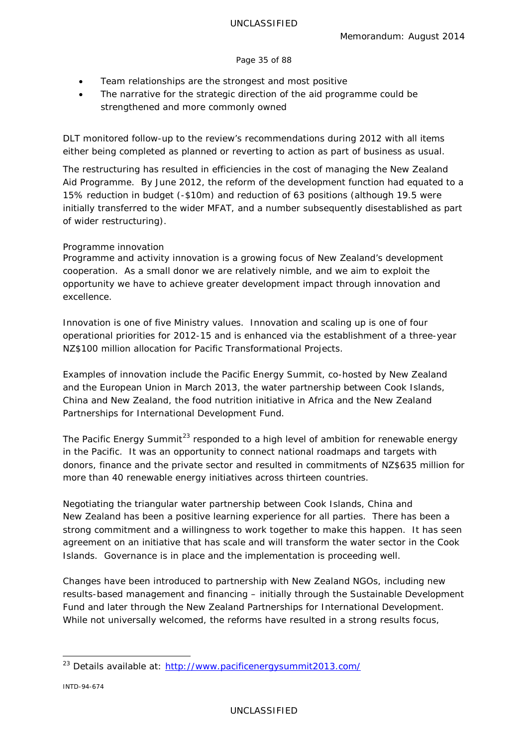#### Page 35 of 88

- Team relationships are the strongest and most positive
- The narrative for the strategic direction of the aid programme could be strengthened and more commonly owned

DLT monitored follow-up to the review's recommendations during 2012 with all items either being completed as planned or reverting to action as part of business as usual.

The restructuring has resulted in efficiencies in the cost of managing the New Zealand Aid Programme. By June 2012, the reform of the development function had equated to a 15% reduction in budget (-\$10m) and reduction of 63 positions (although 19.5 were initially transferred to the wider MFAT, and a number subsequently disestablished as part of wider restructuring).

## *Programme innovation*

Programme and activity innovation is a growing focus of New Zealand's development cooperation. As a small donor we are relatively nimble, and we aim to exploit the opportunity we have to achieve greater development impact through innovation and excellence.

Innovation is one of five Ministry values. Innovation and scaling up is one of four operational priorities for 2012-15 and is enhanced via the establishment of a three-year NZ\$100 million allocation for Pacific Transformational Projects.

Examples of innovation include the Pacific Energy Summit, co-hosted by New Zealand and the European Union in March 2013, the water partnership between Cook Islands, China and New Zealand, the food nutrition initiative in Africa and the New Zealand Partnerships for International Development Fund.

The Pacific Energy Summit<sup>[23](#page-34-0)</sup> responded to a high level of ambition for renewable energy in the Pacific. It was an opportunity to connect national roadmaps and targets with donors, finance and the private sector and resulted in commitments of NZ\$635 million for more than 40 renewable energy initiatives across thirteen countries.

Negotiating the triangular water partnership between Cook Islands, China and New Zealand has been a positive learning experience for all parties. There has been a strong commitment and a willingness to work together to make this happen. It has seen agreement on an initiative that has scale and will transform the water sector in the Cook Islands. Governance is in place and the implementation is proceeding well.

Changes have been introduced to partnership with New Zealand NGOs, including new results-based management and financing – initially through the Sustainable Development Fund and later through the New Zealand Partnerships for International Development. While not universally welcomed, the reforms have resulted in a strong results focus,

<span id="page-34-0"></span><sup>&</sup>lt;sup>23</sup> Details available at:<http://www.pacificenergysummit2013.com/>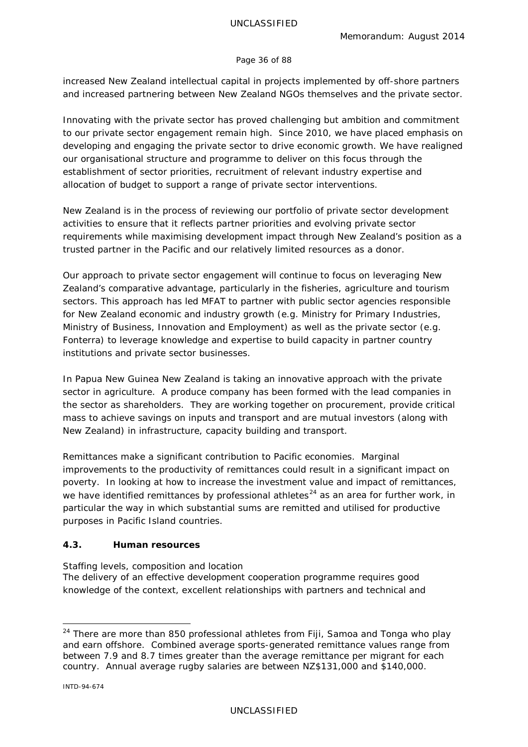#### Page 36 of 88

increased New Zealand intellectual capital in projects implemented by off-shore partners and increased partnering between New Zealand NGOs themselves and the private sector.

Innovating with the private sector has proved challenging but ambition and commitment to our private sector engagement remain high. Since 2010, we have placed emphasis on developing and engaging the private sector to drive economic growth. We have realigned our organisational structure and programme to deliver on this focus through the establishment of sector priorities, recruitment of relevant industry expertise and allocation of budget to support a range of private sector interventions.

New Zealand is in the process of reviewing our portfolio of private sector development activities to ensure that it reflects partner priorities and evolving private sector requirements while maximising development impact through New Zealand's position as a trusted partner in the Pacific and our relatively limited resources as a donor.

Our approach to private sector engagement will continue to focus on leveraging New Zealand's comparative advantage, particularly in the fisheries, agriculture and tourism sectors. This approach has led MFAT to partner with public sector agencies responsible for New Zealand economic and industry growth (e.g. Ministry for Primary Industries, Ministry of Business, Innovation and Employment) as well as the private sector (e.g. Fonterra) to leverage knowledge and expertise to build capacity in partner country institutions and private sector businesses.

In Papua New Guinea New Zealand is taking an innovative approach with the private sector in agriculture. A produce company has been formed with the lead companies in the sector as shareholders. They are working together on procurement, provide critical mass to achieve savings on inputs and transport and are mutual investors (along with New Zealand) in infrastructure, capacity building and transport.

Remittances make a significant contribution to Pacific economies. Marginal improvements to the productivity of remittances could result in a significant impact on poverty. In looking at how to increase the investment value and impact of remittances, we have identified remittances by professional athletes<sup>[24](#page-35-0)</sup> as an area for further work, in particular the way in which substantial sums are remitted and utilised for productive purposes in Pacific Island countries.

## **4.3. Human resources**

## *Staffing levels, composition and location*

The delivery of an effective development cooperation programme requires good knowledge of the context, excellent relationships with partners and technical and

<span id="page-35-0"></span><sup>&</sup>lt;sup>24</sup> There are more than 850 professional athletes from Fiji, Samoa and Tonga who play and earn offshore. Combined average sports-generated remittance values range from between 7.9 and 8.7 times greater than the average remittance per migrant for each country. Annual average rugby salaries are between NZ\$131,000 and \$140,000.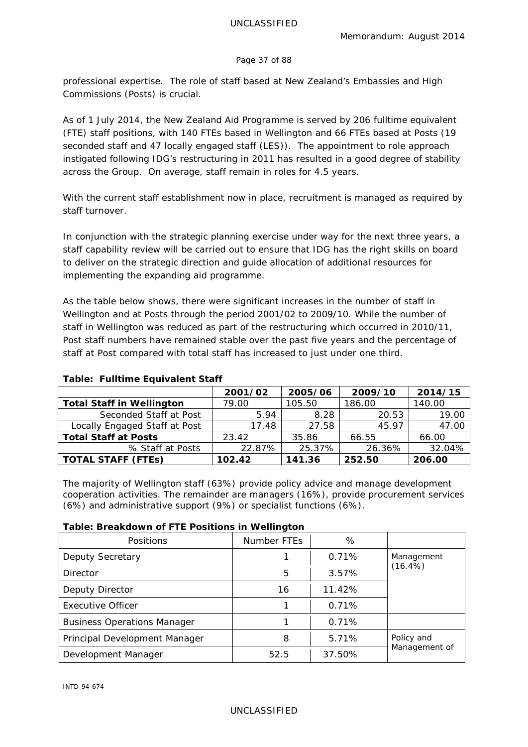#### Page 37 of 88

professional expertise. The role of staff based at New Zealand's Embassies and High Commissions (Posts) is crucial.

As of 1 July 2014, the New Zealand Aid Programme is served by 206 fulltime equivalent (FTE) staff positions, with 140 FTEs based in Wellington and 66 FTEs based at Posts (19 seconded staff and 47 locally engaged staff (LES)). The appointment to role approach instigated following IDG's restructuring in 2011 has resulted in a good degree of stability across the Group. On average, staff remain in roles for 4.5 years.

With the current staff establishment now in place, recruitment is managed as required by staff turnover.

In conjunction with the strategic planning exercise under way for the next three years, a staff capability review will be carried out to ensure that IDG has the right skills on board to deliver on the strategic direction and guide allocation of additional resources for implementing the expanding aid programme.

As the table below shows, there were significant increases in the number of staff in Wellington and at Posts through the period 2001/02 to 2009/10. While the number of staff in Wellington was reduced as part of the restructuring which occurred in 2010/11, Post staff numbers have remained stable over the past five years and the percentage of staff at Post compared with total staff has increased to just under one third.

|                                  | 2001/02 | 2005/06 | 2009/10 | 2014/15 |
|----------------------------------|---------|---------|---------|---------|
| <b>Total Staff in Wellington</b> | 79.00   | 105.50  | 186.00  | 140.00  |
| Seconded Staff at Post           | 5.94    | 8.28    | 20.53   | 19.00   |
| Locally Engaged Staff at Post    | 17.48   | 27.58   | 45.97   | 47.00   |
| <b>Total Staff at Posts</b>      | 23.42   | 35.86   | 66.55   | 66.00   |
| % Staff at Posts                 | 22.87%  | 25.37%  | 26.36%  | 32.04%  |
| <b>TOTAL STAFF (FTEs)</b>        | 102.42  | 141.36  | 252.50  | 206.00  |

# **Table: Fulltime Equivalent Staff**

The majority of Wellington staff (63%) provide policy advice and manage development cooperation activities. The remainder are managers (16%), provide procurement services (6%) and administrative support (9%) or specialist functions (6%).

# **Table: Breakdown of FTE Positions in Wellington**

| <b>Positions</b>                   | Number FTEs | %      |               |
|------------------------------------|-------------|--------|---------------|
| Deputy Secretary                   |             | 0.71%  | Management    |
| Director                           | 5           | 3.57%  | $(16.4\%)$    |
| Deputy Director                    | 16          | 11.42% |               |
| <b>Executive Officer</b>           |             | 0.71%  |               |
| <b>Business Operations Manager</b> |             | 0.71%  |               |
| Principal Development Manager      | 8           | 5.71%  | Policy and    |
| Development Manager                | 52.5        | 37.50% | Management of |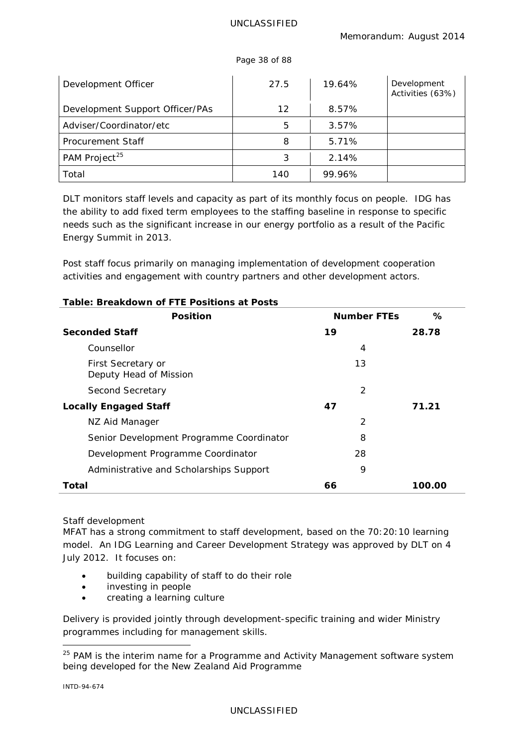| Development Officer             | 27.5 | 19.64% | Development<br>Activities (63%) |
|---------------------------------|------|--------|---------------------------------|
| Development Support Officer/PAs | 12   | 8.57%  |                                 |
| Adviser/Coordinator/etc         | 5    | 3.57%  |                                 |
| Procurement Staff               | 8    | 5.71%  |                                 |
| PAM Project <sup>25</sup>       | 3    | 2.14%  |                                 |
| Total                           | 140  | 99.96% |                                 |

Page 38 of 88

DLT monitors staff levels and capacity as part of its monthly focus on people. IDG has the ability to add fixed term employees to the staffing baseline in response to specific needs such as the significant increase in our energy portfolio as a result of the Pacific Energy Summit in 2013.

Post staff focus primarily on managing implementation of development cooperation activities and engagement with country partners and other development actors.

| <b>Position</b>                              | <b>Number FTEs</b> | ℅      |
|----------------------------------------------|--------------------|--------|
| <b>Seconded Staff</b>                        | 19                 | 28.78  |
| Counsellor                                   | 4                  |        |
| First Secretary or<br>Deputy Head of Mission | 13                 |        |
| Second Secretary                             | 2                  |        |
| <b>Locally Engaged Staff</b>                 | 47                 | 71.21  |
| NZ Aid Manager                               | 2                  |        |
| Senior Development Programme Coordinator     | 8                  |        |
| Development Programme Coordinator            | 28                 |        |
| Administrative and Scholarships Support      | 9                  |        |
| Total                                        | 66                 | 100.00 |

# **Table: Breakdown of FTE Positions at Posts**

# *Staff development*

MFAT has a strong commitment to staff development, based on the 70:20:10 learning model. An *IDG Learning and Career Development Strategy* was approved by DLT on 4 July 2012. It focuses on:

- building capability of staff to do their role
- investing in people
- creating a learning culture

Delivery is provided jointly through development-specific training and wider Ministry programmes including for management skills.

<span id="page-37-0"></span><sup>&</sup>lt;sup>25</sup> PAM is the interim name for a Programme and Activity Management software system being developed for the New Zealand Aid Programme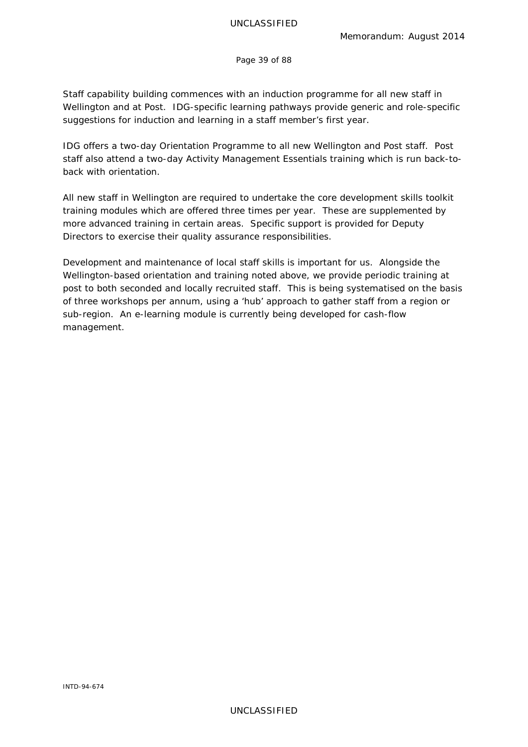Page 39 of 88

Staff capability building commences with an induction programme for all new staff in Wellington and at Post. IDG-specific learning pathways provide generic and role-specific suggestions for induction and learning in a staff member's first year.

IDG offers a two-day *Orientation Programme* to all new Wellington and Post staff. Post staff also attend a two-day *Activity Management Essentials* training which is run back-toback with orientation.

All new staff in Wellington are required to undertake the core development skills toolkit training modules which are offered three times per year. These are supplemented by more advanced training in certain areas. Specific support is provided for Deputy Directors to exercise their quality assurance responsibilities.

Development and maintenance of local staff skills is important for us. Alongside the Wellington-based orientation and training noted above, we provide periodic training at post to both seconded and locally recruited staff. This is being systematised on the basis of three workshops per annum, using a 'hub' approach to gather staff from a region or sub-region. An e-learning module is currently being developed for cash-flow management.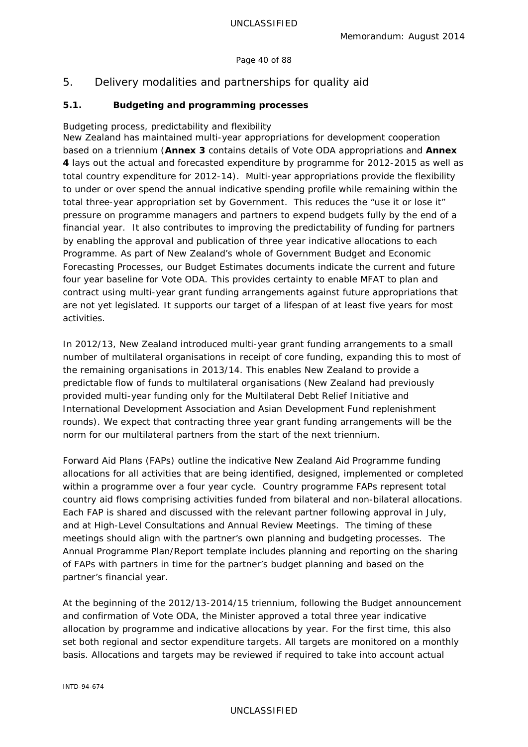### Page 40 of 88

# 5. Delivery modalities and partnerships for quality aid

# **5.1. Budgeting and programming processes**

# *Budgeting process, predictability and flexibility*

New Zealand has maintained multi-year appropriations for development cooperation based on a triennium (**Annex 3** contains details of Vote ODA appropriations and **Annex 4** lays out the actual and forecasted expenditure by programme for 2012-2015 as well as total country expenditure for 2012-14). Multi-year appropriations provide the flexibility to under or over spend the annual indicative spending profile while remaining within the total three-year appropriation set by Government. This reduces the "use it or lose it" pressure on programme managers and partners to expend budgets fully by the end of a financial year. It also contributes to improving the predictability of funding for partners by enabling the approval and publication of three year indicative allocations to each Programme. As part of New Zealand's whole of Government Budget and Economic Forecasting Processes, our Budget Estimates documents indicate the current and future four year baseline for Vote ODA. This provides certainty to enable MFAT to plan and contract using multi-year grant funding arrangements against future appropriations that are not yet legislated. It supports our target of a lifespan of at least five years for most activities.

In 2012/13, New Zealand introduced multi-year grant funding arrangements to a small number of multilateral organisations in receipt of core funding, expanding this to most of the remaining organisations in 2013/14. This enables New Zealand to provide a predictable flow of funds to multilateral organisations (New Zealand had previously provided multi-year funding only for the Multilateral Debt Relief Initiative and International Development Association and Asian Development Fund replenishment rounds). We expect that contracting three year grant funding arrangements will be the norm for our multilateral partners from the start of the next triennium.

*Forward Aid Plans* (FAPs) outline the indicative New Zealand Aid Programme funding allocations for all activities that are being identified, designed, implemented or completed within a programme over a four year cycle. Country programme FAPs represent total country aid flows comprising activities funded from bilateral and non-bilateral allocations. Each FAP is shared and discussed with the relevant partner following approval in July, and at High-Level Consultations and Annual Review Meetings. The timing of these meetings should align with the partner's own planning and budgeting processes. The *Annual Programme Plan/Report* template includes planning and reporting on the sharing of FAPs with partners in time for the partner's budget planning and based on the partner's financial year.

At the beginning of the 2012/13-2014/15 triennium, following the Budget announcement and confirmation of Vote ODA, the Minister approved a total three year indicative allocation by programme and indicative allocations by year. For the first time, this also set both regional and sector expenditure targets. All targets are monitored on a monthly basis. Allocations and targets may be reviewed if required to take into account actual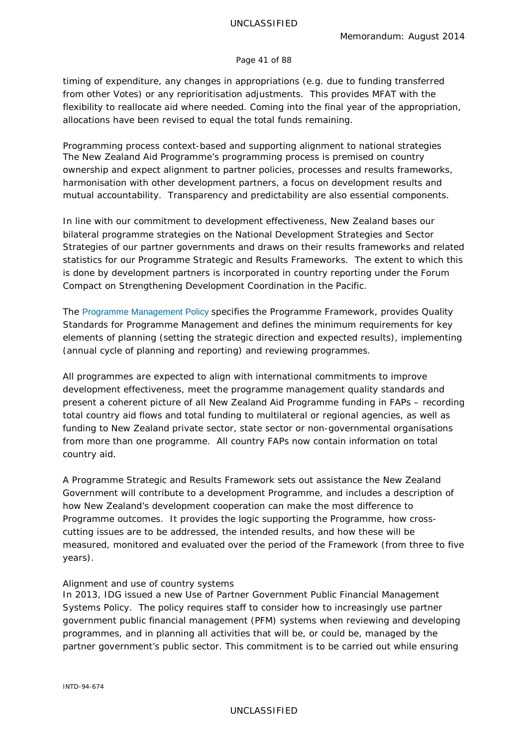#### Page 41 of 88

timing of expenditure, any changes in appropriations (e.g. due to funding transferred from other Votes) or any reprioritisation adjustments. This provides MFAT with the flexibility to reallocate aid where needed. Coming into the final year of the appropriation, allocations have been revised to equal the total funds remaining.

*Programming process context-based and supporting alignment to national strategies* The New Zealand Aid Programme's programming process is premised on country ownership and expect alignment to partner policies, processes and results frameworks, harmonisation with other development partners, a focus on development results and mutual accountability. Transparency and predictability are also essential components.

In line with our commitment to development effectiveness, New Zealand bases our bilateral programme strategies on the National Development Strategies and Sector Strategies of our partner governments and draws on their results frameworks and related statistics for our *Programme Strategic and Results Frameworks*. The extent to which this is done by development partners is incorporated in country reporting under the *Forum Compact on Strengthening Development Coordination in the Pacific*.

The [Programme Management Policy](http://www.aid.govt.nz/sites/default/files/Programme%20Management%20Policy_0.pdf) specifies the *Programme Framework*, provides *Quality Standards for Programme Management* and defines the minimum requirements for key elements of planning (setting the strategic direction and expected results), implementing (annual cycle of planning and reporting) and reviewing programmes.

All programmes are expected to align with international commitments to improve development effectiveness, meet the programme management quality standards and present a coherent picture of all New Zealand Aid Programme funding in FAPs – recording total country aid flows and total funding to multilateral or regional agencies, as well as funding to New Zealand private sector, state sector or non-governmental organisations from more than one programme. All country FAPs now contain information on total country aid.

A *Programme Strategic and Results Framework* sets out assistance the New Zealand Government will contribute to a development Programme, and includes a description of how New Zealand's development cooperation can make the most difference to Programme outcomes. It provides the logic supporting the Programme, how crosscutting issues are to be addressed, the intended results, and how these will be measured, monitored and evaluated over the period of the Framework (from three to five years).

#### *Alignment and use of country systems*

In 2013, IDG issued a new *Use of Partner Government Public Financial Management Systems Policy*. The policy requires staff to consider how to increasingly use partner government public financial management (PFM) systems when reviewing and developing programmes, and in planning all activities that will be, or could be, managed by the partner government's public sector. This commitment is to be carried out while ensuring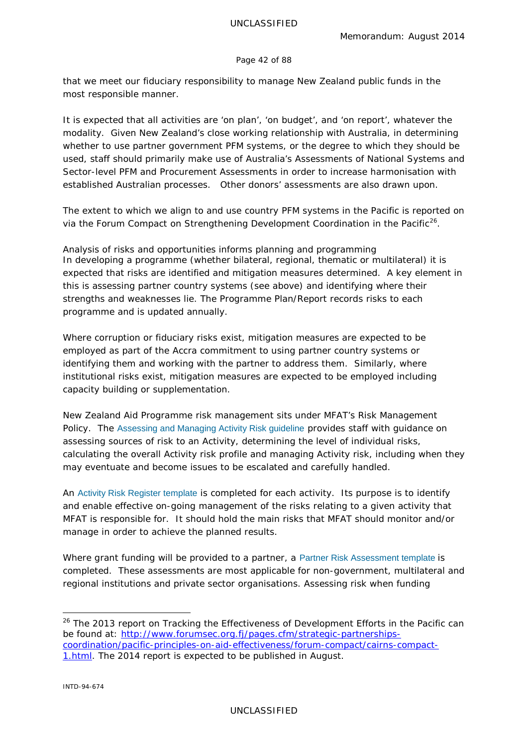#### Page 42 of 88

that we meet our fiduciary responsibility to manage New Zealand public funds in the most responsible manner.

It is expected that all activities are 'on plan', 'on budget', and 'on report', whatever the modality. Given New Zealand's close working relationship with Australia, in determining whether to use partner government PFM systems, or the degree to which they should be used, staff should primarily make use of Australia's Assessments of National Systems and Sector-level PFM and Procurement Assessments in order to increase harmonisation with established Australian processes. Other donors' assessments are also drawn upon.

The extent to which we align to and use country PFM systems in the Pacific is reported on via the Forum Compact on Strengthening Development Coordination in the Pacific<sup>26</sup>.

*Analysis of risks and opportunities informs planning and programming* In developing a programme (whether bilateral, regional, thematic or multilateral) it is expected that risks are identified and mitigation measures determined. A key element in this is assessing partner country systems (see above) and identifying where their strengths and weaknesses lie. The *Programme Plan/Report* records risks to each programme and is updated annually.

Where corruption or fiduciary risks exist, mitigation measures are expected to be employed as part of the Accra commitment to using partner country systems or identifying them and working with the partner to address them. Similarly, where institutional risks exist, mitigation measures are expected to be employed including capacity building or supplementation.

New Zealand Aid Programme risk management sits under MFAT's *Risk Management Policy*. The Assessing and Managing Activity Risk guideline provides staff with guidance on assessing sources of risk to an Activity, determining the level of individual risks, calculating the overall Activity risk profile and managing Activity risk, including when they may eventuate and become issues to be escalated and carefully handled.

An Activity Risk Register template is completed for each activity. Its purpose is to identify and enable effective on-going management of the risks relating to a given activity that MFAT is responsible for. It should hold the main risks that MFAT should monitor and/or manage in order to achieve the planned results.

Where grant funding will be provided to a partner, a [Partner Risk Assessment template](http://www.aid.govt.nz/sites/default/files/Partner%20Risk%20Assessment%20template_0.xls) is completed. These assessments are most applicable for non-government, multilateral and regional institutions and private sector organisations. Assessing risk when funding

<span id="page-41-0"></span><sup>&</sup>lt;sup>26</sup> The 2013 report on *Tracking the Effectiveness of Development Efforts in the Pacific* can be found at: [http://www.forumsec.org.fj/pages.cfm/strategic-partnerships](http://www.forumsec.org.fj/pages.cfm/strategic-partnerships-coordination/pacific-principles-on-aid-effectiveness/forum-compact/cairns-compact-1.html)[coordination/pacific-principles-on-aid-effectiveness/forum-compact/cairns-compact-](http://www.forumsec.org.fj/pages.cfm/strategic-partnerships-coordination/pacific-principles-on-aid-effectiveness/forum-compact/cairns-compact-1.html)[1.html.](http://www.forumsec.org.fj/pages.cfm/strategic-partnerships-coordination/pacific-principles-on-aid-effectiveness/forum-compact/cairns-compact-1.html) The 2014 report is expected to be published in August.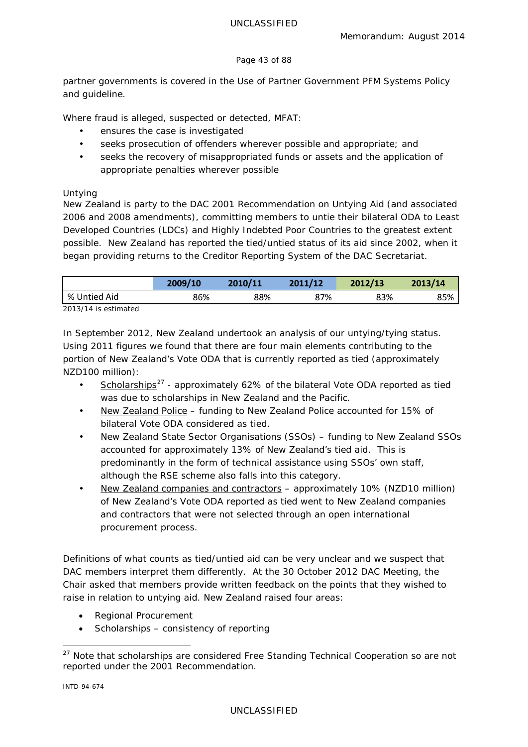### Page 43 of 88

partner governments is covered in the *Use of Partner Government PFM Systems Policy* and guideline.

Where fraud is alleged, suspected or detected, MFAT:

- ensures the case is investigated
- seeks prosecution of offenders wherever possible and appropriate; and
- seeks the recovery of misappropriated funds or assets and the application of appropriate penalties wherever possible

# *Untying*

New Zealand is party to the DAC 2001 Recommendation on Untying Aid (and associated 2006 and 2008 amendments), committing members to untie their bilateral ODA to Least Developed Countries (LDCs) and Highly Indebted Poor Countries to the greatest extent possible. New Zealand has reported the tied/untied status of its aid since 2002, when it began providing returns to the Creditor Reporting System of the DAC Secretariat.

|                        | 2009/10 | 2010/11 | 2011/12 | 2012/13 | 2013/14 |
|------------------------|---------|---------|---------|---------|---------|
| % Untied Aid           | 86%     | 88%     | 87%     | 83%     | 85%     |
| $2013/14$ is estimated |         |         |         |         |         |

*2013/14 is estimated*

In September 2012, New Zealand undertook an analysis of our untying/tying status. Using 2011 figures we found that there are four main elements contributing to the portion of New Zealand's Vote ODA that is currently reported as tied (approximately NZD100 million):

- Scholarships<sup>[27](#page-42-0)</sup> approximately 62% of the bilateral Vote ODA reported as tied was due to scholarships in New Zealand and the Pacific.
- New Zealand Police funding to New Zealand Police accounted for 15% of bilateral Vote ODA considered as tied.
- New Zealand State Sector Organisations (SSOs) funding to New Zealand SSOs accounted for approximately 13% of New Zealand's tied aid. This is predominantly in the form of technical assistance using SSOs' own staff, although the RSE scheme also falls into this category.
- New Zealand companies and contractors approximately 10% (NZD10 million) of New Zealand's Vote ODA reported as tied went to New Zealand companies and contractors that were not selected through an open international procurement process.

Definitions of what counts as tied/untied aid can be very unclear and we suspect that DAC members interpret them differently. At the 30 October 2012 DAC Meeting, the Chair asked that members provide written feedback on the points that they wished to raise in relation to untying aid. New Zealand raised four areas:

- Regional Procurement
- Scholarships consistency of reporting

```
INTD-94-674
```
<span id="page-42-0"></span><sup>&</sup>lt;sup>27</sup> Note that scholarships are considered Free Standing Technical Cooperation so are not reported under the 2001 Recommendation.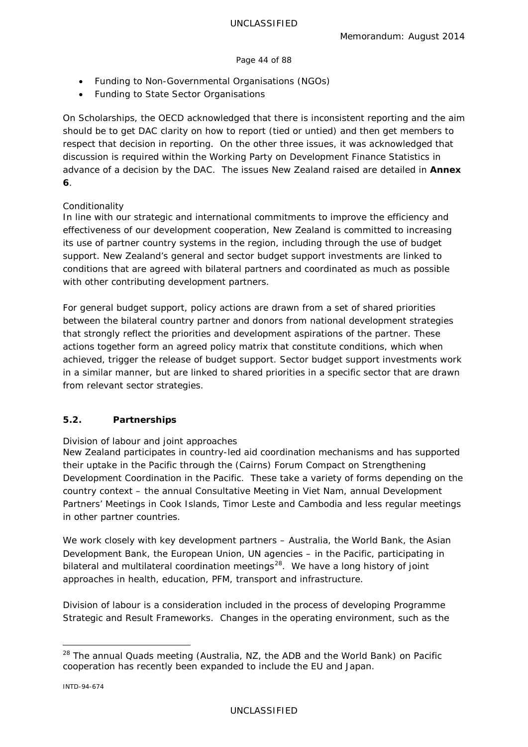### Page 44 of 88

- Funding to Non-Governmental Organisations (NGOs)
- Funding to State Sector Organisations

On Scholarships, the OECD acknowledged that there is inconsistent reporting and the aim should be to get DAC clarity on how to report (tied or untied) and then get members to respect that decision in reporting. On the other three issues, it was acknowledged that discussion is required within the Working Party on Development Finance Statistics in advance of a decision by the DAC. The issues New Zealand raised are detailed in **Annex 6**.

# *Conditionality*

In line with our strategic and international commitments to improve the efficiency and effectiveness of our development cooperation, New Zealand is committed to increasing its use of partner country systems in the region, including through the use of budget support. New Zealand's general and sector budget support investments are linked to conditions that are agreed with bilateral partners and coordinated as much as possible with other contributing development partners.

For general budget support, policy actions are drawn from a set of shared priorities between the bilateral country partner and donors from national development strategies that strongly reflect the priorities and development aspirations of the partner. These actions together form an agreed policy matrix that constitute conditions, which when achieved, trigger the release of budget support. Sector budget support investments work in a similar manner, but are linked to shared priorities in a specific sector that are drawn from relevant sector strategies.

# **5.2. Partnerships**

# *Division of labour and joint approaches*

New Zealand participates in country-led aid coordination mechanisms and has supported their uptake in the Pacific through the (Cairns) Forum Compact on Strengthening Development Coordination in the Pacific. These take a variety of forms depending on the country context – the annual Consultative Meeting in Viet Nam, annual Development Partners' Meetings in Cook Islands, Timor Leste and Cambodia and less regular meetings in other partner countries.

We work closely with key development partners – Australia, the World Bank, the Asian Development Bank, the European Union, UN agencies – in the Pacific, participating in bilateral and multilateral coordination meetings<sup>[28](#page-43-0)</sup>. We have a long history of joint approaches in health, education, PFM, transport and infrastructure.

Division of labour is a consideration included in the process of developing *Programme Strategic and Result Frameworks*. Changes in the operating environment, such as the

<span id="page-43-0"></span><sup>&</sup>lt;sup>28</sup> The annual Quads meeting (Australia, NZ, the ADB and the World Bank) on Pacific cooperation has recently been expanded to include the EU and Japan.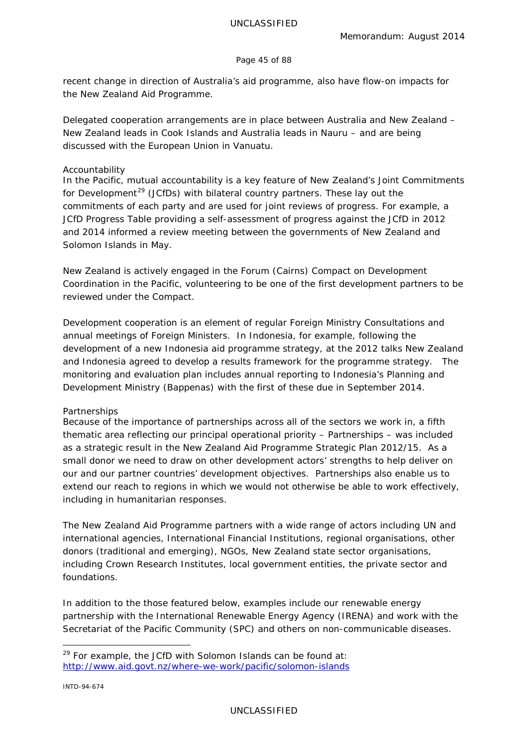#### Page 45 of 88

recent change in direction of Australia's aid programme, also have flow-on impacts for the New Zealand Aid Programme.

Delegated cooperation arrangements are in place between Australia and New Zealand – New Zealand leads in Cook Islands and Australia leads in Nauru – and are being discussed with the European Union in Vanuatu.

### *Accountability*

In the Pacific, mutual accountability is a key feature of New Zealand's *Joint Commitments for Development[29](#page-44-0)* (JCfDs) with bilateral country partners. These lay out the commitments of each party and are used for joint reviews of progress. For example, a *JCfD Progress Table* providing a self-assessment of progress against the JCfD in 2012 and 2014 informed a review meeting between the governments of New Zealand and Solomon Islands in May.

New Zealand is actively engaged in the Forum (Cairns) Compact on Development Coordination in the Pacific, volunteering to be one of the first development partners to be reviewed under the Compact.

Development cooperation is an element of regular Foreign Ministry Consultations and annual meetings of Foreign Ministers. In Indonesia, for example, following the development of a new Indonesia aid programme strategy, at the 2012 talks New Zealand and Indonesia agreed to develop a results framework for the programme strategy. The monitoring and evaluation plan includes annual reporting to Indonesia's Planning and Development Ministry (Bappenas) with the first of these due in September 2014.

#### *Partnerships*

Because of the importance of partnerships across all of the sectors we work in, a fifth thematic area reflecting our principal operational priority – Partnerships – was included as a strategic result in the *New Zealand Aid Programme Strategic Plan 2012/15*. As a small donor we need to draw on other development actors' strengths to help deliver on our and our partner countries' development objectives. Partnerships also enable us to extend our reach to regions in which we would not otherwise be able to work effectively, including in humanitarian responses.

The New Zealand Aid Programme partners with a wide range of actors including UN and international agencies, International Financial Institutions, regional organisations, other donors (traditional and emerging), NGOs, New Zealand state sector organisations, including Crown Research Institutes, local government entities, the private sector and foundations.

In addition to the those featured below, examples include our renewable energy partnership with the International Renewable Energy Agency (IRENA) and work with the Secretariat of the Pacific Community (SPC) and others on non-communicable diseases.

<span id="page-44-0"></span> $29$  For example, the JCfD with Solomon Islands can be found at: <http://www.aid.govt.nz/where-we-work/pacific/solomon-islands>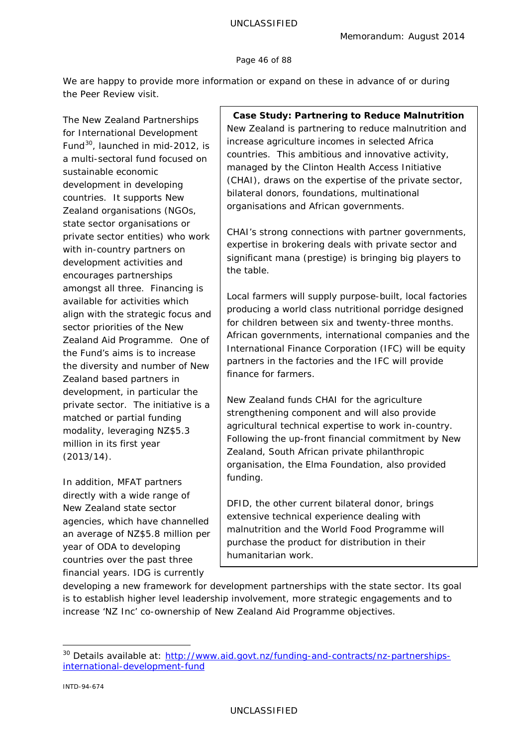#### Page 46 of 88

We are happy to provide more information or expand on these in advance of or during the Peer Review visit.

The *New Zealand Partnerships for International Development Fund[30](#page-45-0)*, launched in mid-2012, is a multi-sectoral fund focused on sustainable economic development in developing countries. It supports New Zealand organisations (NGOs, state sector organisations or private sector entities) who work with in-country partners on development activities and encourages partnerships amongst all three. Financing is available for activities which align with the strategic focus and sector priorities of the New Zealand Aid Programme. One of the Fund's aims is to increase the diversity and number of New Zealand based partners in development, in particular the private sector. The initiative is a matched or partial funding modality, leveraging NZ\$5.3 million in its first year (2013/14).

In addition, MFAT partners directly with a wide range of New Zealand state sector agencies, which have channelled an average of NZ\$5.8 million per year of ODA to developing countries over the past three financial years. IDG is currently

**Case Study: Partnering to Reduce Malnutrition** New Zealand is partnering to reduce malnutrition and increase agriculture incomes in selected Africa countries. This ambitious and innovative activity, managed by the Clinton Health Access Initiative (CHAI), draws on the expertise of the private sector, bilateral donors, foundations, multinational organisations and African governments.

CHAI's strong connections with partner governments, expertise in brokering deals with private sector and significant *mana* (prestige) is bringing big players to the table.

Local farmers will supply purpose-built, local factories producing a world class nutritional porridge designed for children between six and twenty-three months. African governments, international companies and the International Finance Corporation (IFC) will be equity partners in the factories and the IFC will provide finance for farmers.

New Zealand funds CHAI for the agriculture strengthening component and will also provide agricultural technical expertise to work in-country. Following the up-front financial commitment by New Zealand, South African private philanthropic organisation, the Elma Foundation, also provided funding.

DFID, the other current bilateral donor, brings extensive technical experience dealing with malnutrition and the World Food Programme will purchase the product for distribution in their humanitarian work.

developing a new framework for development partnerships with the state sector. Its goal is to establish higher level leadership involvement, more strategic engagements and to increase 'NZ Inc' co-ownership of New Zealand Aid Programme objectives.

<span id="page-45-0"></span><sup>&</sup>lt;sup>30</sup> Details available at: [http://www.aid.govt.nz/funding-and-contracts/nz-partnerships](http://www.aid.govt.nz/funding-and-contracts/nz-partnerships-international-development-fund)[international-development-fund](http://www.aid.govt.nz/funding-and-contracts/nz-partnerships-international-development-fund)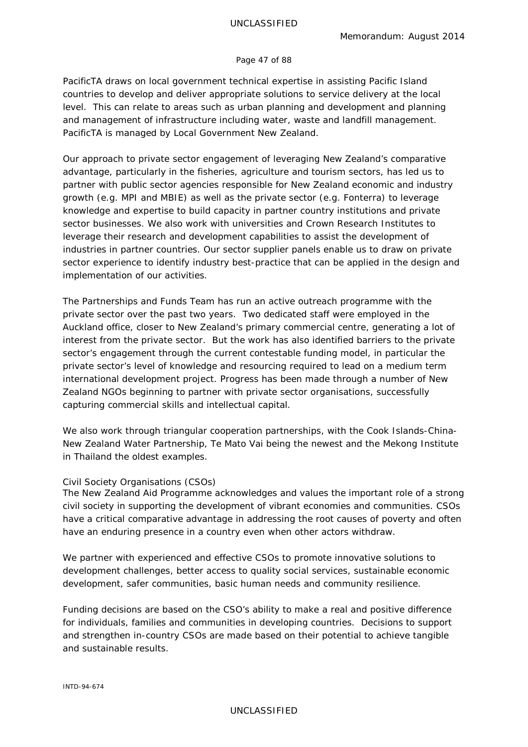#### Page 47 of 88

*PacificTA* draws on local government technical expertise in assisting Pacific Island countries to develop and deliver appropriate solutions to service delivery at the local level. This can relate to areas such as urban planning and development and planning and management of infrastructure including water, waste and landfill management. *PacificTA* is managed by Local Government New Zealand.

Our approach to private sector engagement of leveraging New Zealand's comparative advantage, particularly in the fisheries, agriculture and tourism sectors, has led us to partner with public sector agencies responsible for New Zealand economic and industry growth (e.g. MPI and MBIE) as well as the private sector (e.g. Fonterra) to leverage knowledge and expertise to build capacity in partner country institutions and private sector businesses. We also work with universities and Crown Research Institutes to leverage their research and development capabilities to assist the development of industries in partner countries. Our sector supplier panels enable us to draw on private sector experience to identify industry best-practice that can be applied in the design and implementation of our activities.

The Partnerships and Funds Team has run an active outreach programme with the private sector over the past two years. Two dedicated staff were employed in the Auckland office, closer to New Zealand's primary commercial centre, generating a lot of interest from the private sector. But the work has also identified barriers to the private sector's engagement through the current contestable funding model, in particular the private sector's level of knowledge and resourcing required to lead on a medium term international development project. Progress has been made through a number of New Zealand NGOs beginning to partner with private sector organisations, successfully capturing commercial skills and intellectual capital.

We also work through triangular cooperation partnerships, with the Cook Islands-China-New Zealand Water Partnership, *Te Mato Vai* being the newest and the Mekong Institute in Thailand the oldest examples.

#### *Civil Society Organisations (CSOs)*

The New Zealand Aid Programme acknowledges and values the important role of a strong civil society in supporting the development of vibrant economies and communities. CSOs have a critical comparative advantage in addressing the root causes of poverty and often have an enduring presence in a country even when other actors withdraw.

We partner with experienced and effective CSOs to promote innovative solutions to development challenges, better access to quality social services, sustainable economic development, safer communities, basic human needs and community resilience.

Funding decisions are based on the CSO's ability to make a real and positive difference for individuals, families and communities in developing countries. Decisions to support and strengthen in-country CSOs are made based on their potential to achieve tangible and sustainable results.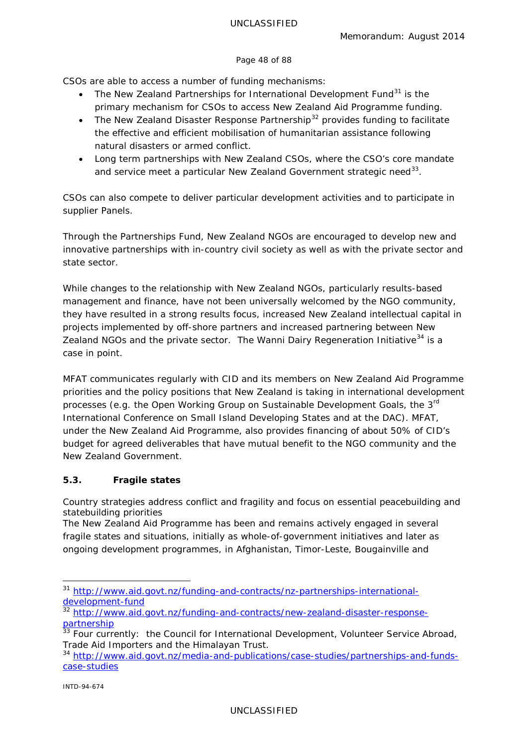### Page 48 of 88

CSOs are able to access a number of funding mechanisms:

- The *New Zealand Partnerships for International Development Fund*<sup>[31](#page-47-0)</sup> is the primary mechanism for CSOs to access New Zealand Aid Programme funding.
- The *New Zealand Disaster Response Partnership*<sup>[32](#page-47-1)</sup> provides funding to facilitate the effective and efficient mobilisation of humanitarian assistance following natural disasters or armed conflict.
- Long term partnerships with New Zealand CSOs, where the CSO's core mandate and service meet a particular New Zealand Government strategic need<sup>[33](#page-47-2)</sup>.

CSOs can also compete to deliver particular development activities and to participate in supplier Panels.

Through the *Partnerships Fund*, New Zealand NGOs are encouraged to develop new and innovative partnerships with in-country civil society as well as with the private sector and state sector.

While changes to the relationship with New Zealand NGOs, particularly results-based management and finance, have not been universally welcomed by the NGO community, they have resulted in a strong results focus, increased New Zealand intellectual capital in projects implemented by off-shore partners and increased partnering between New Zealand NGOs and the private sector. The Wanni Dairy Regeneration Initiative<sup>[34](#page-47-3)</sup> is a case in point.

MFAT communicates regularly with CID and its members on New Zealand Aid Programme priorities and the policy positions that New Zealand is taking in international development processes (e.g. the Open Working Group on Sustainable Development Goals, the 3rd International Conference on Small Island Developing States and at the DAC). MFAT, under the New Zealand Aid Programme, also provides financing of about 50% of CID's budget for agreed deliverables that have mutual benefit to the NGO community and the New Zealand Government.

# **5.3. Fragile states**

*Country strategies address conflict and fragility and focus on essential peacebuilding and statebuilding priorities*

The New Zealand Aid Programme has been and remains actively engaged in several fragile states and situations, initially as whole-of-government initiatives and later as ongoing development programmes, in Afghanistan, Timor-Leste, Bougainville and

<span id="page-47-0"></span><sup>&</sup>lt;sup>31</sup> [http://www.aid.govt.nz/funding-and-contracts/nz-partnerships-international](http://www.aid.govt.nz/funding-and-contracts/nz-partnerships-international-development-fund)[development-fund](http://www.aid.govt.nz/funding-and-contracts/nz-partnerships-international-development-fund)

<span id="page-47-1"></span><sup>32</sup> [http://www.aid.govt.nz/funding-and-contracts/new-zealand-disaster-response](http://www.aid.govt.nz/funding-and-contracts/new-zealand-disaster-response-partnership)[partnership](http://www.aid.govt.nz/funding-and-contracts/new-zealand-disaster-response-partnership)

<span id="page-47-2"></span><sup>&</sup>lt;sup>33</sup> Four currently: the Council for International Development, Volunteer Service Abroad, Trade Aid Importers and the Himalayan Trust.

<span id="page-47-3"></span><sup>&</sup>lt;sup>34</sup> [http://www.aid.govt.nz/media-and-publications/case-studies/partnerships-and-funds](http://www.aid.govt.nz/media-and-publications/case-studies/partnerships-and-funds-case-studies)[case-studies](http://www.aid.govt.nz/media-and-publications/case-studies/partnerships-and-funds-case-studies)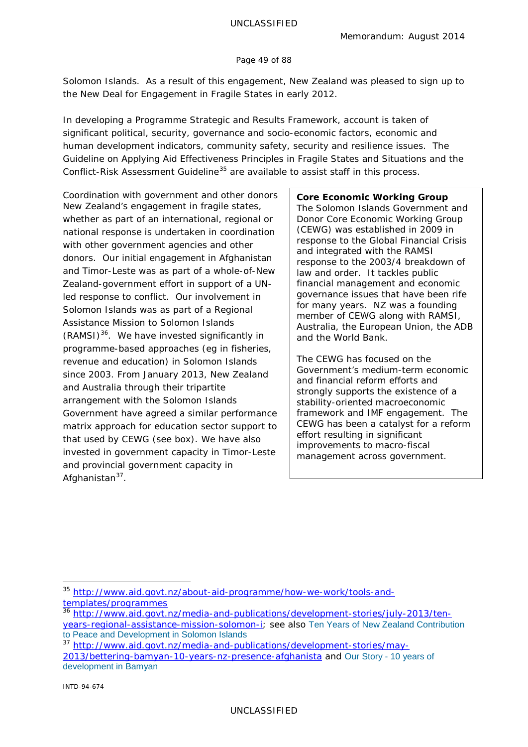#### Page 49 of 88

Solomon Islands. As a result of this engagement, New Zealand was pleased to sign up to the *New Deal for Engagement in Fragile States* in early 2012.

In developing a *Programme Strategic and Results Framework*, account is taken of significant political, security, governance and socio-economic factors, economic and human development indicators, community safety, security and resilience issues. The *Guideline on Applying Aid Effectiveness Principles in Fragile States and Situations* and the *Conflict-Risk Assessment Guideline[35](#page-48-0)* are available to assist staff in this process.

*Coordination with government and other donors* New Zealand's engagement in fragile states, whether as part of an international, regional or national response is undertaken in coordination with other government agencies and other donors. Our initial engagement in Afghanistan and Timor-Leste was as part of a whole-of-New Zealand-government effort in support of a UNled response to conflict. Our involvement in Solomon Islands was as part of a Regional Assistance Mission to Solomon Islands  $(RAMSI)^{36}$ . We have invested significantly in programme-based approaches (eg in fisheries, revenue and education) in Solomon Islands since 2003. From January 2013, New Zealand and Australia through their tripartite arrangement with the Solomon Islands Government have agreed a similar performance matrix approach for education sector support to that used by CEWG (see box). We have also invested in government capacity in Timor-Leste and provincial government capacity in Afghanistan<sup>[37](#page-48-2)</sup>.

# **Core Economic Working Group**

The Solomon Islands Government and Donor Core Economic Working Group (CEWG) was established in 2009 in response to the Global Financial Crisis and integrated with the RAMSI response to the 2003/4 breakdown of law and order. It tackles public financial management and economic governance issues that have been rife for many years. NZ was a founding member of CEWG along with RAMSI, Australia, the European Union, the ADB and the World Bank.

The CEWG has focused on the Government's medium-term economic and financial reform efforts and strongly supports the existence of a stability-oriented macroeconomic framework and IMF engagement. The CEWG has been a catalyst for a reform effort resulting in significant improvements to macro-fiscal management across government.

<span id="page-48-0"></span> <sup>35</sup> [http://www.aid.govt.nz/about-aid-programme/how-we-work/tools-and](http://www.aid.govt.nz/about-aid-programme/how-we-work/tools-and-templates/programmes)[templates/programmes](http://www.aid.govt.nz/about-aid-programme/how-we-work/tools-and-templates/programmes)

<span id="page-48-1"></span><sup>&</sup>lt;sup>36</sup> [http://www.aid.govt.nz/media-and-publications/development-stories/july-2013/ten](http://www.aid.govt.nz/media-and-publications/development-stories/july-2013/ten-years-regional-assistance-mission-solomon-i)[years-regional-assistance-mission-solomon-i;](http://www.aid.govt.nz/media-and-publications/development-stories/july-2013/ten-years-regional-assistance-mission-solomon-i) see also [Ten Years of New Zealand Contribution](http://www.aid.govt.nz/webfm_send/487)  [to Peace and Development in Solomon Islands](http://www.aid.govt.nz/webfm_send/487)

<span id="page-48-2"></span><sup>37</sup> [http://www.aid.govt.nz/media-and-publications/development-stories/may-](http://www.aid.govt.nz/media-and-publications/development-stories/may-2013/bettering-bamyan-10-years-nz-presence-afghanista)[2013/bettering-bamyan-10-years-nz-presence-afghanista](http://www.aid.govt.nz/media-and-publications/development-stories/may-2013/bettering-bamyan-10-years-nz-presence-afghanista) and Our Story - [10 years of](http://www.aid.govt.nz/sites/default/files/Our%20Story%20-%2010%20years%20of%20development%20in%20Bamyan.pdf)  [development in Bamyan](http://www.aid.govt.nz/sites/default/files/Our%20Story%20-%2010%20years%20of%20development%20in%20Bamyan.pdf)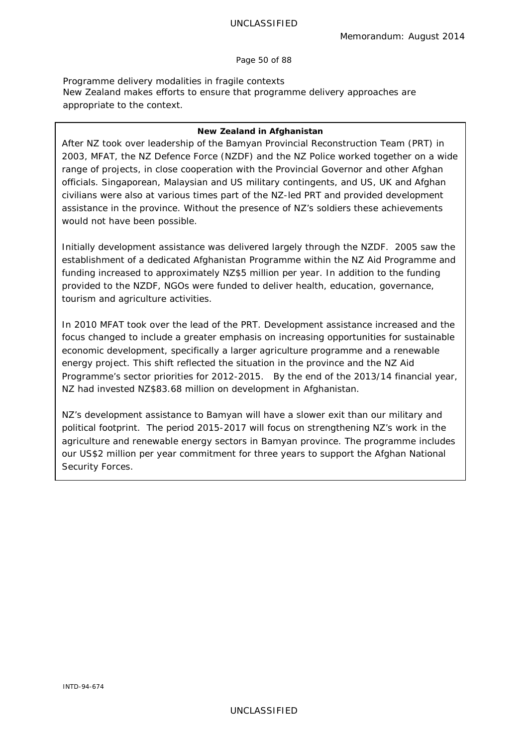Page 50 of 88

*Programme delivery modalities in fragile contexts* New Zealand makes efforts to ensure that programme delivery approaches are appropriate to the context.

#### **New Zealand in Afghanistan**

After NZ took over leadership of the Bamyan Provincial Reconstruction Team (PRT) in 2003, MFAT, the NZ Defence Force (NZDF) and the NZ Police worked together on a wide range of projects, in close cooperation with the Provincial Governor and other Afghan officials. Singaporean, Malaysian and US military contingents, and US, UK and Afghan civilians were also at various times part of the NZ-led PRT and provided development assistance in the province. Without the presence of NZ's soldiers these achievements would not have been possible.

Initially development assistance was delivered largely through the NZDF. 2005 saw the establishment of a dedicated Afghanistan Programme within the NZ Aid Programme and funding increased to approximately NZ\$5 million per year. In addition to the funding provided to the NZDF, NGOs were funded to deliver health, education, governance, tourism and agriculture activities.

In 2010 MFAT took over the lead of the PRT. Development assistance increased and the focus changed to include a greater emphasis on increasing opportunities for sustainable economic development, specifically a larger agriculture programme and a renewable energy project. This shift reflected the situation in the province and the NZ Aid Programme's sector priorities for 2012-2015. By the end of the 2013/14 financial year, NZ had invested NZ\$83.68 million on development in Afghanistan.

NZ's development assistance to Bamyan will have a slower exit than our military and political footprint. The period 2015-2017 will focus on strengthening NZ's work in the agriculture and renewable energy sectors in Bamyan province. The programme includes our US\$2 million per year commitment for three years to support the Afghan National Security Forces.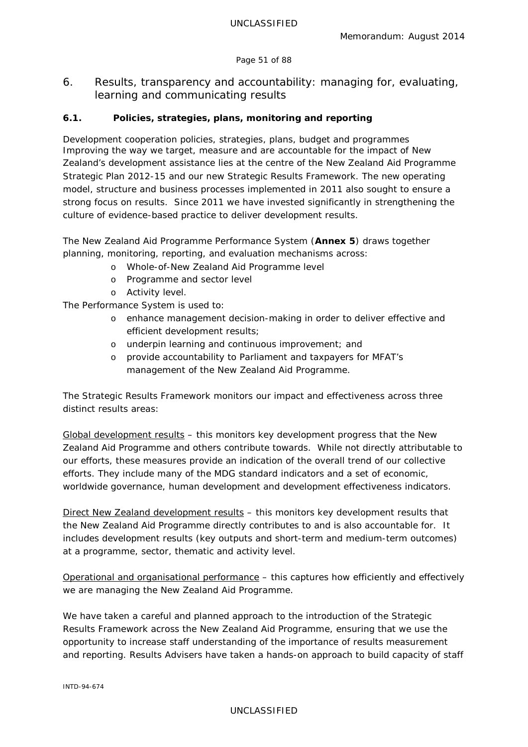# Page 51 of 88

6. Results, transparency and accountability: managing for, evaluating, learning and communicating results

# **6.1. Policies, strategies, plans, monitoring and reporting**

*Development cooperation policies, strategies, plans, budget and programmes* Improving the way we target, measure and are accountable for the impact of New Zealand's development assistance lies at the centre of the *New Zealand Aid Programme Strategic Plan 2012-15* and our new Strategic Results Framework. The new operating model, structure and business processes implemented in 2011 also sought to ensure a strong focus on results. Since 2011 we have invested significantly in strengthening the culture of evidence-based practice to deliver development results.

The *New Zealand Aid Programme Performance System* (**Annex 5**) draws together planning, monitoring, reporting, and evaluation mechanisms across:

- o Whole-of-New Zealand Aid Programme level
- o Programme and sector level
- o Activity level.

The Performance System is used to:

- o enhance management decision-making in order to deliver effective and efficient development results;
- o underpin learning and continuous improvement; and
- o provide accountability to Parliament and taxpayers for MFAT's management of the New Zealand Aid Programme.

The Strategic Results Framework monitors our impact and effectiveness across three distinct results areas:

Global development results – this monitors key development progress that the New Zealand Aid Programme and others contribute towards. While not directly attributable to our efforts, these measures provide an indication of the overall trend of our collective efforts. They include many of the MDG standard indicators and a set of economic, worldwide governance, human development and development effectiveness indicators.

Direct New Zealand development results – this monitors key development results that the New Zealand Aid Programme directly contributes to and is also accountable for. It includes development results (key outputs and short-term and medium-term outcomes) at a programme, sector, thematic and activity level.

Operational and organisational performance – this captures how efficiently and effectively we are managing the New Zealand Aid Programme.

We have taken a careful and planned approach to the introduction of the Strategic Results Framework across the New Zealand Aid Programme, ensuring that we use the opportunity to increase staff understanding of the importance of results measurement and reporting. Results Advisers have taken a hands-on approach to build capacity of staff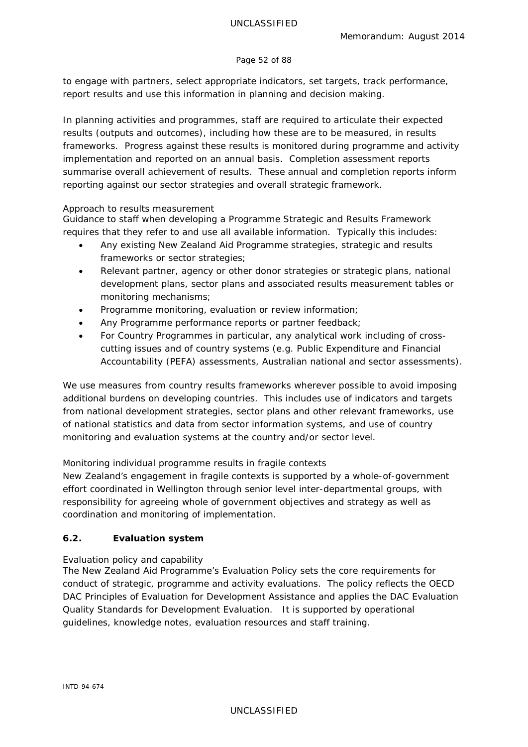#### Page 52 of 88

to engage with partners, select appropriate indicators, set targets, track performance, report results and use this information in planning and decision making.

In planning activities and programmes, staff are required to articulate their expected results (outputs and outcomes), including how these are to be measured, in results frameworks. Progress against these results is monitored during programme and activity implementation and reported on an annual basis. Completion assessment reports summarise overall achievement of results. These annual and completion reports inform reporting against our sector strategies and overall strategic framework.

### *Approach to results measurement*

Guidance to staff when developing a *Programme Strategic and Results Framework* requires that they refer to and use all available information. Typically this includes:

- Any existing New Zealand Aid Programme strategies, strategic and results frameworks or sector strategies;
- Relevant partner, agency or other donor strategies or strategic plans, national development plans, sector plans and associated results measurement tables or monitoring mechanisms;
- Programme monitoring, evaluation or review information;
- Any Programme performance reports or partner feedback;
- For Country Programmes in particular, any analytical work including of crosscutting issues and of country systems (e.g. Public Expenditure and Financial Accountability (PEFA) assessments, Australian national and sector assessments).

We use measures from country results frameworks wherever possible to avoid imposing additional burdens on developing countries. This includes use of indicators and targets from national development strategies, sector plans and other relevant frameworks, use of national statistics and data from sector information systems, and use of country monitoring and evaluation systems at the country and/or sector level.

# *Monitoring individual programme results in fragile contexts*

New Zealand's engagement in fragile contexts is supported by a whole-of-government effort coordinated in Wellington through senior level inter-departmental groups, with responsibility for agreeing whole of government objectives and strategy as well as coordination and monitoring of implementation.

# **6.2. Evaluation system**

# *Evaluation policy and capability*

The New Zealand Aid Programme's *Evaluation Policy* sets the core requirements for conduct of strategic, programme and activity evaluations. The policy reflects the *OECD DAC Principles of Evaluation for Development Assistance* and applies the *DAC Evaluation Quality Standards for Development Evaluation*. It is supported by operational guidelines, knowledge notes, evaluation resources and staff training.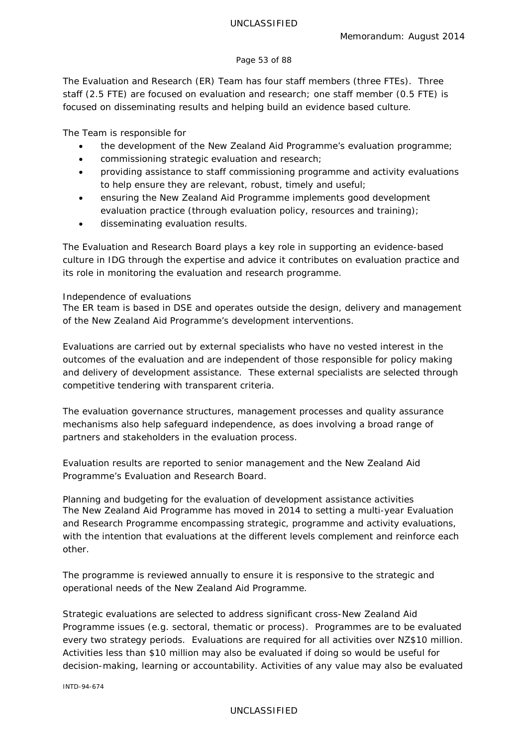### Page 53 of 88

The Evaluation and Research (ER) Team has four staff members (three FTEs). Three staff (2.5 FTE) are focused on evaluation and research; one staff member (0.5 FTE) is focused on disseminating results and helping build an evidence based culture.

The Team is responsible for

- the development of the New Zealand Aid Programme's evaluation programme;
- commissioning strategic evaluation and research;
- providing assistance to staff commissioning programme and activity evaluations to help ensure they are relevant, robust, timely and useful;
- ensuring the New Zealand Aid Programme implements good development evaluation practice (through evaluation policy, resources and training);
- disseminating evaluation results.

The *Evaluation and Research Board* plays a key role in supporting an evidence-based culture in IDG through the expertise and advice it contributes on evaluation practice and its role in monitoring the evaluation and research programme.

# *Independence of evaluations*

The ER team is based in DSE and operates outside the design, delivery and management of the New Zealand Aid Programme's development interventions.

Evaluations are carried out by external specialists who have no vested interest in the outcomes of the evaluation and are independent of those responsible for policy making and delivery of development assistance. These external specialists are selected through competitive tendering with transparent criteria.

The evaluation governance structures, management processes and quality assurance mechanisms also help safeguard independence, as does involving a broad range of partners and stakeholders in the evaluation process.

Evaluation results are reported to senior management and the New Zealand Aid Programme's Evaluation and Research Board.

*Planning and budgeting for the evaluation of development assistance activities* The New Zealand Aid Programme has moved in 2014 to setting a multi-year *Evaluation and Research Programme* encompassing strategic, programme and activity evaluations, with the intention that evaluations at the different levels complement and reinforce each other.

The programme is reviewed annually to ensure it is responsive to the strategic and operational needs of the New Zealand Aid Programme.

Strategic evaluations are selected to address significant cross-New Zealand Aid Programme issues (e.g. sectoral, thematic or process). Programmes are to be evaluated every two strategy periods. Evaluations are required for all activities over NZ\$10 million. Activities less than \$10 million may also be evaluated if doing so would be useful for decision-making, learning or accountability. Activities of any value may also be evaluated

INTD-94-674

# UNCLASSIFIED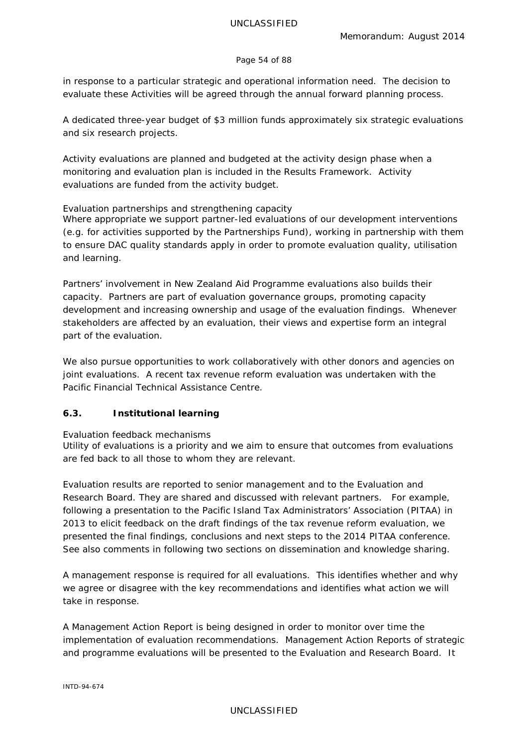### Page 54 of 88

in response to a particular strategic and operational information need. The decision to evaluate these Activities will be agreed through the annual forward planning process.

A dedicated three-year budget of \$3 million funds approximately six strategic evaluations and six research projects.

Activity evaluations are planned and budgeted at the activity design phase when a monitoring and evaluation plan is included in the Results Framework. Activity evaluations are funded from the activity budget.

# *Evaluation partnerships and strengthening capacity*

Where appropriate we support partner-led evaluations of our development interventions (e.g. for activities supported by the Partnerships Fund), working in partnership with them to ensure DAC quality standards apply in order to promote evaluation quality, utilisation and learning.

Partners' involvement in New Zealand Aid Programme evaluations also builds their capacity. Partners are part of evaluation governance groups, promoting capacity development and increasing ownership and usage of the evaluation findings. Whenever stakeholders are affected by an evaluation, their views and expertise form an integral part of the evaluation.

We also pursue opportunities to work collaboratively with other donors and agencies on joint evaluations. A recent tax revenue reform evaluation was undertaken with the Pacific Financial Technical Assistance Centre.

# **6.3. Institutional learning**

# *Evaluation feedback mechanisms*

Utility of evaluations is a priority and we aim to ensure that outcomes from evaluations are fed back to all those to whom they are relevant.

Evaluation results are reported to senior management and to the *Evaluation and Research Board*. They are shared and discussed with relevant partners. For example, following a presentation to the Pacific Island Tax Administrators' Association (PITAA) in 2013 to elicit feedback on the draft findings of the tax revenue reform evaluation, we presented the final findings, conclusions and next steps to the 2014 PITAA conference. See also comments in following two sections on dissemination and knowledge sharing.

A management response is required for all evaluations. This identifies whether and why we agree or disagree with the key recommendations and identifies what action we will take in response.

A *Management Action Report* is being designed in order to monitor over time the implementation of evaluation recommendations. Management Action Reports of strategic and programme evaluations will be presented to the Evaluation and Research Board. It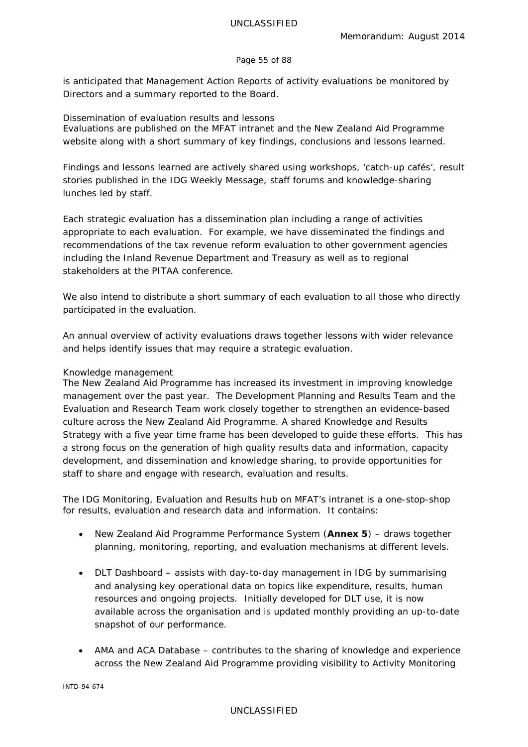### Page 55 of 88

is anticipated that Management Action Reports of activity evaluations be monitored by Directors and a summary reported to the Board.

### *Dissemination of evaluation results and lessons*

Evaluations are published on the MFAT intranet and the New Zealand Aid Programme website along with a short summary of key findings, conclusions and lessons learned.

Findings and lessons learned are actively shared using workshops, 'catch-up cafés', result stories published in the *IDG Weekly Message*, staff forums and knowledge-sharing lunches led by staff.

Each strategic evaluation has a dissemination plan including a range of activities appropriate to each evaluation. For example, we have disseminated the findings and recommendations of the tax revenue reform evaluation to other government agencies including the Inland Revenue Department and Treasury as well as to regional stakeholders at the PITAA conference.

We also intend to distribute a short summary of each evaluation to all those who directly participated in the evaluation.

An annual overview of activity evaluations draws together lessons with wider relevance and helps identify issues that may require a strategic evaluation.

### *Knowledge management*

The New Zealand Aid Programme has increased its investment in improving knowledge management over the past year. The Development Planning and Results Team and the Evaluation and Research Team work closely together to strengthen an evidence-based culture across the New Zealand Aid Programme. A shared *Knowledge and Results Strategy* with a five year time frame has been developed to guide these efforts. This has a strong focus on the generation of high quality results data and information, capacity development, and dissemination and knowledge sharing, to provide opportunities for staff to share and engage with research, evaluation and results.

The *IDG Monitoring, Evaluation and Results* hub on MFAT's intranet is a one-stop-shop for results, evaluation and research data and information. It contains:

- *New Zealand Aid Programme Performance System* (**Annex 5**) draws together planning, monitoring, reporting, and evaluation mechanisms at different levels.
- *DLT Dashboard* assists with day-to-day management in IDG by summarising and analysing key operational data on topics like expenditure, results, human resources and ongoing projects. Initially developed for DLT use, it is now available across the organisation and is updated monthly providing an up-to-date snapshot of our performance.
- *AMA and ACA Database* contributes to the sharing of knowledge and experience across the New Zealand Aid Programme providing visibility to *Activity Monitoring*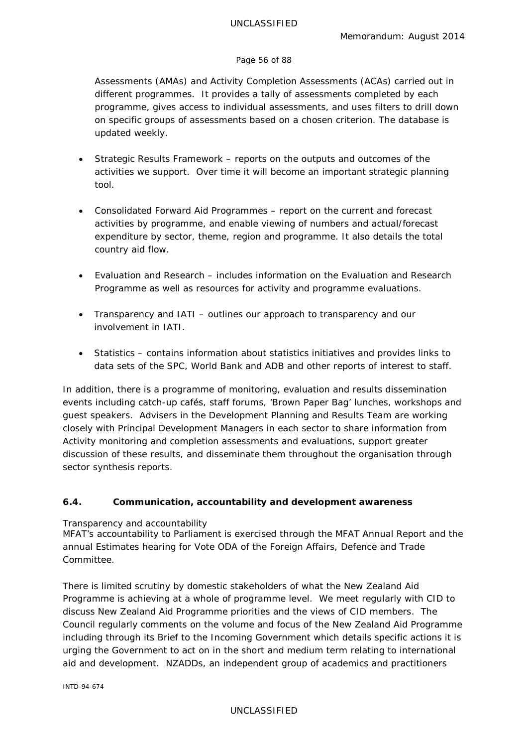### Page 56 of 88

*Assessments* (AMAs) and *Activity Completion Assessments* (ACAs) carried out in different programmes. It provides a tally of assessments completed by each programme, gives access to individual assessments, and uses filters to drill down on specific groups of assessments based on a chosen criterion. The database is updated weekly.

- *Strategic Results Framework* reports on the outputs and outcomes of the activities we support. Over time it will become an important strategic planning tool.
- *Consolidated Forward Aid Programmes* report on the current and forecast activities by programme, and enable viewing of numbers and actual/forecast expenditure by sector, theme, region and programme. It also details the total country aid flow.
- *Evaluation and Research* includes information on the Evaluation and Research Programme as well as resources for activity and programme evaluations.
- *Transparency and IATI* outlines our approach to transparency and our involvement in IATI.
- *Statistics* contains information about statistics initiatives and provides links to data sets of the SPC, World Bank and ADB and other reports of interest to staff.

In addition, there is a programme of monitoring, evaluation and results dissemination events including catch-up cafés, staff forums, 'Brown Paper Bag' lunches, workshops and guest speakers. Advisers in the Development Planning and Results Team are working closely with Principal Development Managers in each sector to share information from Activity monitoring and completion assessments and evaluations, support greater discussion of these results, and disseminate them throughout the organisation through sector synthesis reports.

# **6.4. Communication, accountability and development awareness**

# *Transparency and accountability*

MFAT's accountability to Parliament is exercised through the *MFAT Annual Report* and the annual *Estimates* hearing for Vote ODA of the *Foreign Affairs, Defence and Trade Committee*.

There is limited scrutiny by domestic stakeholders of what the New Zealand Aid Programme is achieving at a whole of programme level. We meet regularly with CID to discuss New Zealand Aid Programme priorities and the views of CID members. The Council regularly comments on the volume and focus of the New Zealand Aid Programme including through its *Brief to the Incoming Government* which details specific actions it is urging the Government to act on in the short and medium term relating to international aid and development. NZADDs, an independent group of academics and practitioners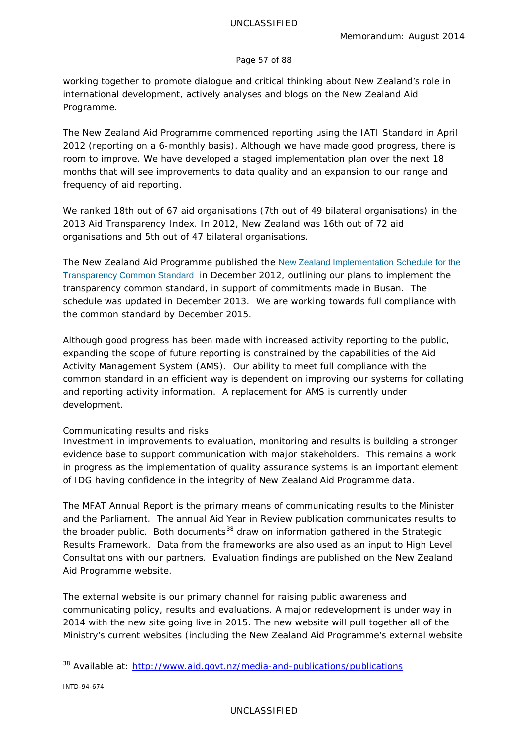### Page 57 of 88

working together to promote dialogue and critical thinking about New Zealand's role in international development, actively analyses and blogs on the New Zealand Aid Programme.

The New Zealand Aid Programme commenced reporting using the IATI Standard in April 2012 (reporting on a 6-monthly basis). Although we have made good progress, there is room to improve. We have developed a staged implementation plan over the next 18 months that will see improvements to data quality and an expansion to our range and frequency of aid reporting.

We ranked 18th out of 67 aid organisations (7th out of 49 bilateral organisations) in the 2013 Aid Transparency Index. In 2012, New Zealand was 16th out of 72 aid organisations and 5th out of 47 bilateral organisations.

The New Zealand Aid Programme published the [New Zealand Implementation Schedule for the](http://www.aid.govt.nz/webfm_send/515)  [Transparency Common Standard](http://www.aid.govt.nz/webfm_send/515) in December 2012, outlining our plans to implement the transparency common standard, in support of commitments made in Busan. The schedule was updated in December 2013. We are working towards full compliance with the common standard by December 2015.

Although good progress has been made with increased activity reporting to the public, expanding the scope of future reporting is constrained by the capabilities of the *Aid Activity Management System* (AMS). Our ability to meet full compliance with the common standard in an efficient way is dependent on improving our systems for collating and reporting activity information. A replacement for AMS is currently under development.

# *Communicating results and risks*

Investment in improvements to evaluation, monitoring and results is building a stronger evidence base to support communication with major stakeholders. This remains a work in progress as the implementation of quality assurance systems is an important element of IDG having confidence in the integrity of New Zealand Aid Programme data.

The *MFAT Annual Report* is the primary means of communicating results to the Minister and the Parliament. The annual *Aid Year in Review* publication communicates results to the broader public. Both documents<sup>[38](#page-56-0)</sup> draw on information gathered in the *Strategic Results Framework*. Data from the frameworks are also used as an input to High Level Consultations with our partners. Evaluation findings are published on the New Zealand Aid Programme website.

The external website is our primary channel for raising public awareness and communicating policy, results and evaluations. A major redevelopment is under way in 2014 with the new site going live in 2015. The new website will pull together all of the Ministry's current websites (including the New Zealand Aid Programme's external website

<span id="page-56-0"></span> <sup>38</sup> Available at:<http://www.aid.govt.nz/media-and-publications/publications>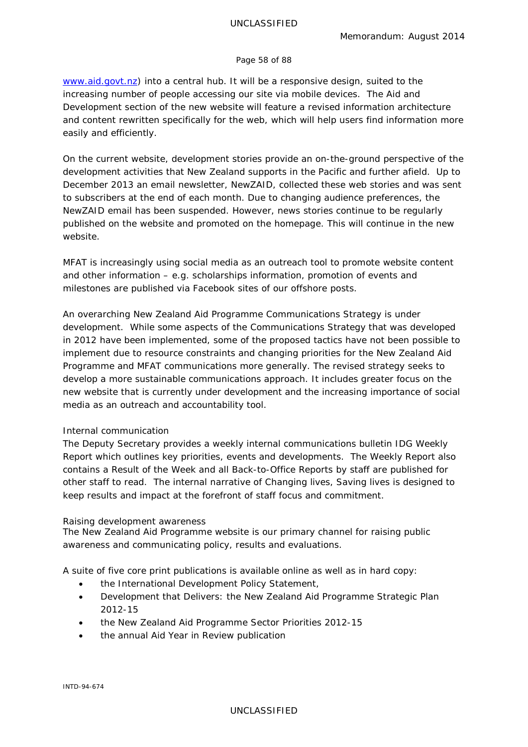#### Page 58 of 88

[www.aid.govt.nz\)](http://www.aid.govt.nz/) into a central hub. It will be a responsive design, suited to the increasing number of people accessing our site via mobile devices. The Aid and Development section of the new website will feature a revised information architecture and content rewritten specifically for the web, which will help users find information more easily and efficiently.

On the current website, development stories provide an on-the-ground perspective of the development activities that New Zealand supports in the Pacific and further afield. Up to December 2013 an email newsletter, *NewZAID,* collected these web stories and was sent to subscribers at the end of each month. Due to changing audience preferences, the *NewZAID* email has been suspended. However, news stories continue to be regularly published on the website and promoted on the homepage. This will continue in the new website.

MFAT is increasingly using social media as an outreach tool to promote website content and other information – e.g. scholarships information, promotion of events and milestones are published via Facebook sites of our offshore posts.

An overarching *New Zealand Aid Programme Communications Strategy* is under development. While some aspects of the Communications Strategy that was developed in 2012 have been implemented, some of the proposed tactics have not been possible to implement due to resource constraints and changing priorities for the New Zealand Aid Programme and MFAT communications more generally. The revised strategy seeks to develop a more sustainable communications approach. It includes greater focus on the new website that is currently under development and the increasing importance of social media as an outreach and accountability tool.

#### *Internal communication*

The Deputy Secretary provides a weekly internal communications bulletin *IDG Weekly Report* which outlines key priorities, events and developments. The *Weekly Report* also contains a *Result of the Week* and all *Back-to-Office Reports* by staff are published for other staff to read. The internal narrative of *Changing lives, Saving lives* is designed to keep results and impact at the forefront of staff focus and commitment.

#### *Raising development awareness*

The New Zealand Aid Programme website is our primary channel for raising public awareness and communicating policy, results and evaluations.

A suite of five core print publications is available online as well as in hard copy:

- the *International Development Policy Statement*,
- *Development that Delivers: the New Zealand Aid Programme Strategic Plan 2012-15*
- the *New Zealand Aid Programme Sector Priorities 2012-15*
- the annual *Aid Year in Review* publication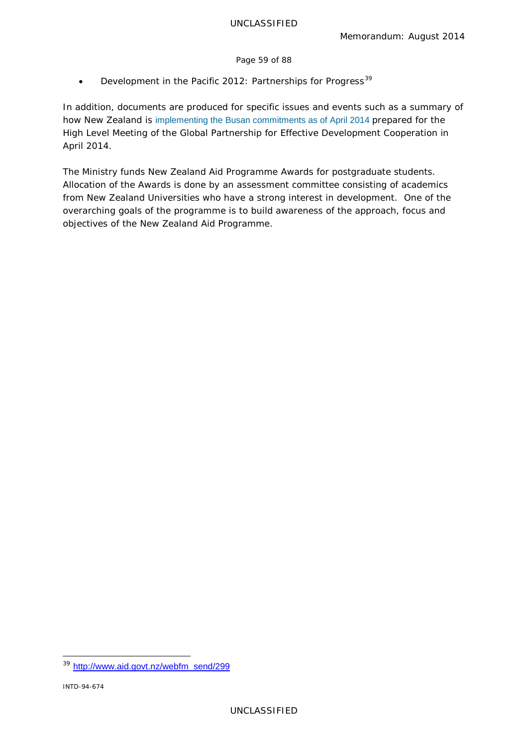### Page 59 of 88

• *Development in the Pacific 2012: Partnerships for Progress[39](#page-58-0)*

In addition, documents are produced for specific issues and events such as a summary of how New Zealand is [implementing the Busan commitments as of April 2014](http://www.aid.govt.nz/webfm_send/599) prepared for the High Level Meeting of the Global Partnership for Effective Development Cooperation in April 2014.

The Ministry funds *New Zealand Aid Programme Awards* for postgraduate students. Allocation of the Awards is done by an assessment committee consisting of academics from New Zealand Universities who have a strong interest in development. One of the overarching goals of the programme is to build awareness of the approach, focus and objectives of the New Zealand Aid Programme.

<span id="page-58-0"></span> <sup>39</sup> [http://www.aid.govt.nz/webfm\\_send/299](http://www.aid.govt.nz/webfm_send/299)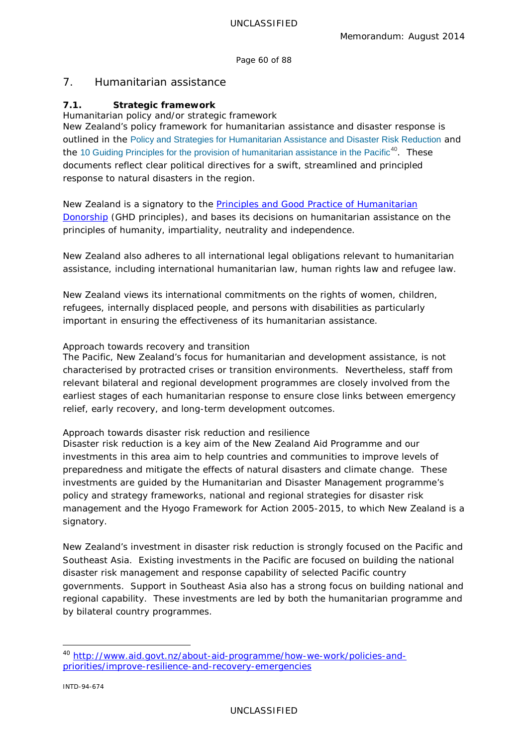Page 60 of 88

# 7. Humanitarian assistance

# **7.1. Strategic framework**

*Humanitarian policy and/or strategic framework*

New Zealand's policy framework for humanitarian assistance and disaster response is outlined in the [Policy and Strategies for Humanitarian Assistance and Disaster Risk Reduction](http://www.aid.govt.nz/webfm_send/325) and the [10 Guiding Principles for the provision of humanitarian assistance in the Pacific](http://www.aid.govt.nz/webfm_send/527)<sup>[40](#page-59-0)</sup>. These documents reflect clear political directives for a swift, streamlined and principled response to natural disasters in the region.

New Zealand is a signatory to the **Principles and Good Practice of Humanitarian** [Donorship](http://www.goodhumanitariandonorship.org/gns/principles-good-practice-ghd/overview.aspx) (GHD principles), and bases its decisions on humanitarian assistance on the principles of humanity, impartiality, neutrality and independence.

New Zealand also adheres to all international legal obligations relevant to humanitarian assistance, including international humanitarian law, human rights law and refugee law.

New Zealand views its international commitments on the rights of women, children, refugees, internally displaced people, and persons with disabilities as particularly important in ensuring the effectiveness of its humanitarian assistance.

### *Approach towards recovery and transition*

The Pacific, New Zealand's focus for humanitarian and development assistance, is not characterised by protracted crises or transition environments. Nevertheless, staff from relevant bilateral and regional development programmes are closely involved from the earliest stages of each humanitarian response to ensure close links between emergency relief, early recovery, and long-term development outcomes.

# *Approach towards disaster risk reduction and resilience*

Disaster risk reduction is a key aim of the New Zealand Aid Programme and our investments in this area aim to help countries and communities to improve levels of preparedness and mitigate the effects of natural disasters and climate change. These investments are guided by the Humanitarian and Disaster Management programme's policy and strategy frameworks, national and regional strategies for disaster risk management and the *Hyogo Framework for Action 2005-2015*, to which New Zealand is a signatory.

New Zealand's investment in disaster risk reduction is strongly focused on the Pacific and Southeast Asia. Existing investments in the Pacific are focused on building the national disaster risk management and response capability of selected Pacific country governments. Support in Southeast Asia also has a strong focus on building national and regional capability. These investments are led by both the humanitarian programme and by bilateral country programmes.

<span id="page-59-0"></span> <sup>40</sup> [http://www.aid.govt.nz/about-aid-programme/how-we-work/policies-and](http://www.aid.govt.nz/about-aid-programme/how-we-work/policies-and-priorities/improve-resilience-and-recovery-emergencies)[priorities/improve-resilience-and-recovery-emergencies](http://www.aid.govt.nz/about-aid-programme/how-we-work/policies-and-priorities/improve-resilience-and-recovery-emergencies)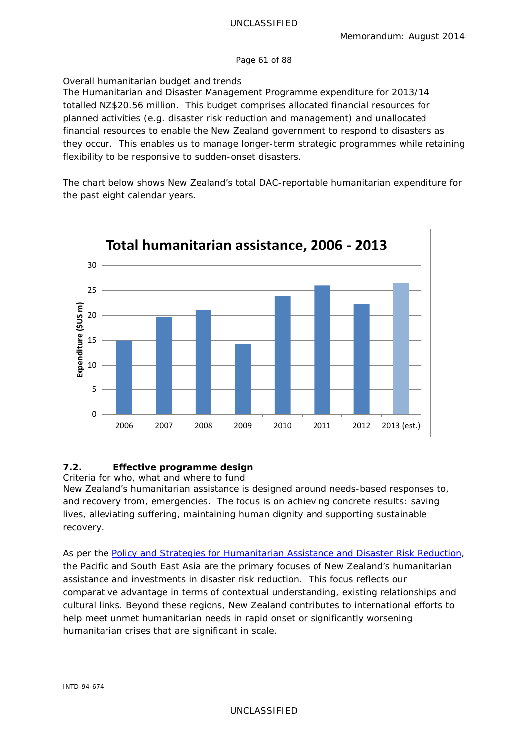#### Page 61 of 88

# *Overall humanitarian budget and trends*

The Humanitarian and Disaster Management Programme expenditure for 2013/14 totalled NZ\$20.56 million. This budget comprises *allocated* financial resources for planned activities (e.g. disaster risk reduction and management) and *unallocated* financial resources to enable the New Zealand government to respond to disasters as they occur. This enables us to manage longer-term strategic programmes while retaining flexibility to be responsive to sudden-onset disasters.

The chart below shows New Zealand's total DAC-reportable humanitarian expenditure for the past eight calendar years.



# **7.2. Effective programme design**

*Criteria for who, what and where to fund* New Zealand's humanitarian assistance is designed around needs-based responses to, and recovery from, emergencies. The focus is on achieving concrete results: saving lives, alleviating suffering, maintaining human dignity and supporting sustainable recovery.

As per the *[Policy and Strategies for Humanitarian Assistance and Disaster Risk Reduction,](http://www.aid.govt.nz/webfm_send/319)*  the Pacific and South East Asia are the primary focuses of New Zealand's humanitarian assistance and investments in disaster risk reduction. This focus reflects our comparative advantage in terms of contextual understanding, existing relationships and cultural links. Beyond these regions, New Zealand contributes to international efforts to help meet unmet humanitarian needs in rapid onset or significantly worsening humanitarian crises that are significant in scale.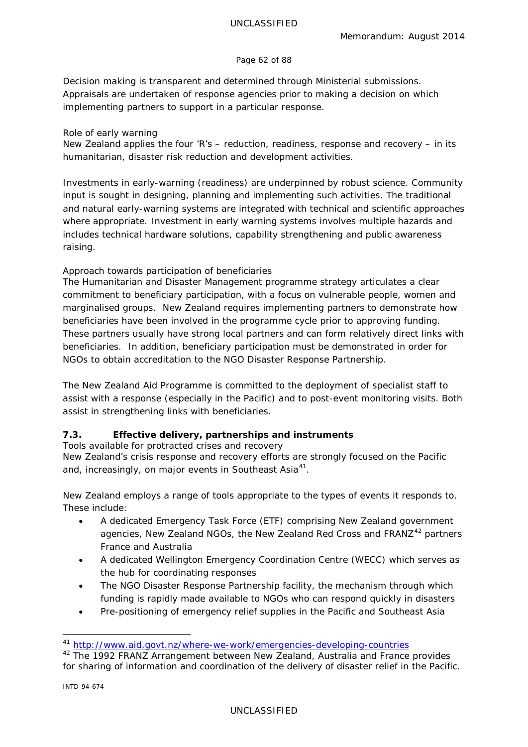### Page 62 of 88

Decision making is transparent and determined through Ministerial submissions. Appraisals are undertaken of response agencies prior to making a decision on which implementing partners to support in a particular response.

### *Role of early warning*

New Zealand applies the four 'R's – reduction, readiness, response and recovery – in its humanitarian, disaster risk reduction and development activities.

Investments in early-warning (readiness) are underpinned by robust science. Community input is sought in designing, planning and implementing such activities. The traditional and natural early-warning systems are integrated with technical and scientific approaches where appropriate. Investment in early warning systems involves multiple hazards and includes technical hardware solutions, capability strengthening and public awareness raising.

# *Approach towards participation of beneficiaries*

The Humanitarian and Disaster Management programme strategy articulates a clear commitment to beneficiary participation, with a focus on vulnerable people, women and marginalised groups. New Zealand requires implementing partners to demonstrate how beneficiaries have been involved in the programme cycle prior to approving funding. These partners usually have strong local partners and can form relatively direct links with beneficiaries. In addition, beneficiary participation must be demonstrated in order for NGOs to obtain accreditation to the *NGO Disaster Response Partnership*.

The New Zealand Aid Programme is committed to the deployment of specialist staff to assist with a response (especially in the Pacific) and to post-event monitoring visits. Both assist in strengthening links with beneficiaries.

# **7.3. Effective delivery, partnerships and instruments**

*Tools available for protracted crises and recovery*

New Zealand's crisis response and recovery efforts are strongly focused on the Pacific and, increasingly, on major events in Southeast Asia<sup>[41](#page-61-0)</sup>.

New Zealand employs a range of tools appropriate to the types of events it responds to. These include:

- A dedicated Emergency Task Force (ETF) comprising New Zealand government agencies, New Zealand NGOs, the New Zealand Red Cross and FRANZ<sup>[42](#page-61-1)</sup> partners France and Australia
- A dedicated Wellington Emergency Coordination Centre (WECC) which serves as the hub for coordinating responses
- The NGO Disaster Response Partnership facility, the mechanism through which funding is rapidly made available to NGOs who can respond quickly in disasters
- Pre-positioning of emergency relief supplies in the Pacific and Southeast Asia

<span id="page-61-0"></span> <sup>41</sup> <http://www.aid.govt.nz/where-we-work/emergencies-developing-countries>

<span id="page-61-1"></span><sup>&</sup>lt;sup>42</sup> The 1992 FRANZ Arrangement between New Zealand, Australia and France provides for sharing of information and coordination of the delivery of disaster relief in the Pacific.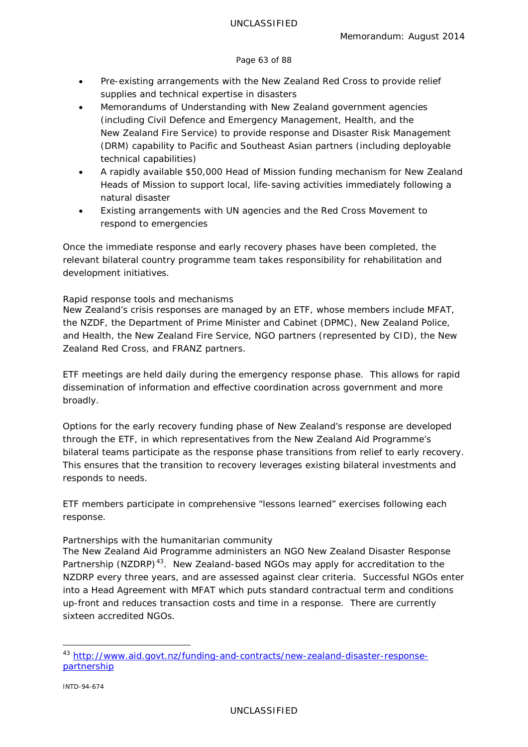### Page 63 of 88

- Pre-existing arrangements with the New Zealand Red Cross to provide relief supplies and technical expertise in disasters
- Memorandums of Understanding with New Zealand government agencies (including Civil Defence and Emergency Management, Health, and the New Zealand Fire Service) to provide response and Disaster Risk Management (DRM) capability to Pacific and Southeast Asian partners (including deployable technical capabilities)
- A rapidly available \$50,000 Head of Mission funding mechanism for New Zealand Heads of Mission to support local, life-saving activities immediately following a natural disaster
- Existing arrangements with UN agencies and the Red Cross Movement to respond to emergencies

Once the immediate response and early recovery phases have been completed, the relevant bilateral country programme team takes responsibility for rehabilitation and development initiatives.

# *Rapid response tools and mechanisms*

New Zealand's crisis responses are managed by an ETF, whose members include MFAT, the NZDF, the Department of Prime Minister and Cabinet (DPMC), New Zealand Police, and Health, the New Zealand Fire Service, NGO partners (represented by CID), the New Zealand Red Cross, and FRANZ partners.

ETF meetings are held daily during the emergency response phase. This allows for rapid dissemination of information and effective coordination across government and more broadly.

Options for the early recovery funding phase of New Zealand's response are developed through the ETF, in which representatives from the New Zealand Aid Programme's bilateral teams participate as the response phase transitions from relief to early recovery. This ensures that the transition to recovery leverages existing bilateral investments and responds to needs.

ETF members participate in comprehensive "lessons learned" exercises following each response.

# *Partnerships with the humanitarian community*

The New Zealand Aid Programme administers an NGO *New Zealand Disaster Response*  Partnership (NZDRP)<sup>43</sup>. New Zealand-based NGOs may apply for accreditation to the NZDRP every three years, and are assessed against clear criteria. Successful NGOs enter into a Head Agreement with MFAT which puts standard contractual term and conditions up-front and reduces transaction costs and time in a response. There are currently sixteen accredited NGOs.

<span id="page-62-0"></span><sup>&</sup>lt;sup>43</sup> [http://www.aid.govt.nz/funding-and-contracts/new-zealand-disaster-response](http://www.aid.govt.nz/funding-and-contracts/new-zealand-disaster-response-partnership)[partnership](http://www.aid.govt.nz/funding-and-contracts/new-zealand-disaster-response-partnership)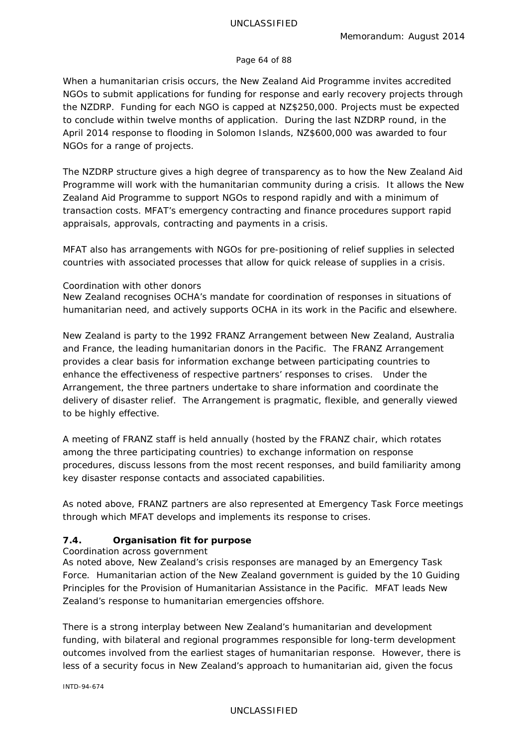### Page 64 of 88

When a humanitarian crisis occurs, the New Zealand Aid Programme invites accredited NGOs to submit applications for funding for response and early recovery projects through the NZDRP. Funding for each NGO is capped at NZ\$250,000. Projects must be expected to conclude within twelve months of application. During the last NZDRP round, in the April 2014 response to flooding in Solomon Islands, NZ\$600,000 was awarded to four NGOs for a range of projects.

The NZDRP structure gives a high degree of transparency as to how the New Zealand Aid Programme will work with the humanitarian community during a crisis. It allows the New Zealand Aid Programme to support NGOs to respond rapidly and with a minimum of transaction costs. MFAT's emergency contracting and finance procedures support rapid appraisals, approvals, contracting and payments in a crisis.

MFAT also has arrangements with NGOs for pre-positioning of relief supplies in selected countries with associated processes that allow for quick release of supplies in a crisis.

# *Coordination with other donors*

New Zealand recognises OCHA's mandate for coordination of responses in situations of humanitarian need, and actively supports OCHA in its work in the Pacific and elsewhere.

New Zealand is party to the 1992 FRANZ Arrangement between New Zealand, Australia and France, the leading humanitarian donors in the Pacific. The FRANZ Arrangement provides a clear basis for information exchange between participating countries to enhance the effectiveness of respective partners' responses to crises. Under the Arrangement, the three partners undertake to share information and coordinate the delivery of disaster relief. The Arrangement is pragmatic, flexible, and generally viewed to be highly effective.

A meeting of FRANZ staff is held annually (hosted by the FRANZ chair, which rotates among the three participating countries) to exchange information on response procedures, discuss lessons from the most recent responses, and build familiarity among key disaster response contacts and associated capabilities.

As noted above, FRANZ partners are also represented at Emergency Task Force meetings through which MFAT develops and implements its response to crises.

# **7.4. Organisation fit for purpose**

# *Coordination across government*

As noted above, New Zealand's crisis responses are managed by an Emergency Task Force. Humanitarian action of the New Zealand government is guided by the *10 Guiding Principles for the Provision of Humanitarian Assistance in the Pacific*. MFAT leads New Zealand's response to humanitarian emergencies offshore.

There is a strong interplay between New Zealand's humanitarian and development funding, with bilateral and regional programmes responsible for long-term development outcomes involved from the earliest stages of humanitarian response. However, there is less of a security focus in New Zealand's approach to humanitarian aid, given the focus

INTD-94-674

### UNCLASSIFIED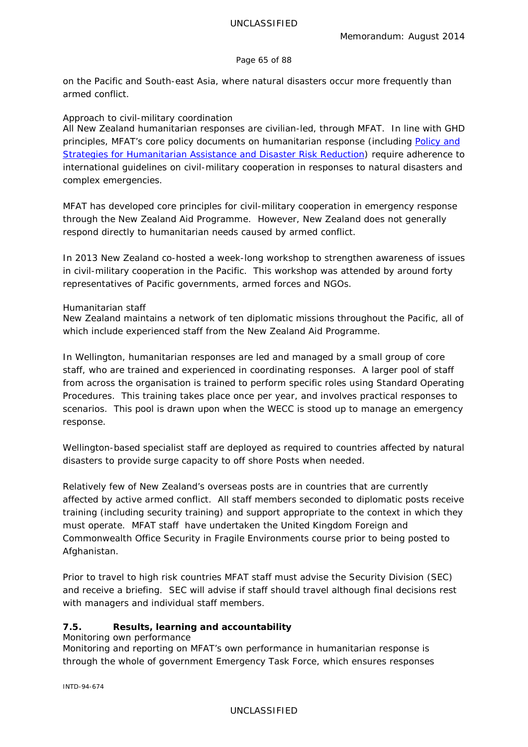### Page 65 of 88

on the Pacific and South-east Asia, where natural disasters occur more frequently than armed conflict.

# *Approach to civil-military coordination*

All New Zealand humanitarian responses are civilian-led, through MFAT. In line with GHD principles, MFAT's core policy documents on humanitarian response (including *[Policy and](http://www.aid.govt.nz/webfm_send/319)  [Strategies for Humanitarian Assistance and Disaster Risk Reduction](http://www.aid.govt.nz/webfm_send/319)*) require adherence to international guidelines on civil-military cooperation in responses to natural disasters and complex emergencies.

MFAT has developed core principles for civil-military cooperation in emergency response through the New Zealand Aid Programme. However, New Zealand does not generally respond directly to humanitarian needs caused by armed conflict.

In 2013 New Zealand co-hosted a week-long workshop to strengthen awareness of issues in civil-military cooperation in the Pacific. This workshop was attended by around forty representatives of Pacific governments, armed forces and NGOs.

# *Humanitarian staff*

New Zealand maintains a network of ten diplomatic missions throughout the Pacific, all of which include experienced staff from the New Zealand Aid Programme.

In Wellington, humanitarian responses are led and managed by a small group of core staff, who are trained and experienced in coordinating responses. A larger pool of staff from across the organisation is trained to perform specific roles using *Standard Operating Procedures*. This training takes place once per year, and involves practical responses to scenarios. This pool is drawn upon when the WECC is stood up to manage an emergency response.

Wellington-based specialist staff are deployed as required to countries affected by natural disasters to provide surge capacity to off shore Posts when needed.

Relatively few of New Zealand's overseas posts are in countries that are currently affected by active armed conflict. All staff members seconded to diplomatic posts receive training (including security training) and support appropriate to the context in which they must operate. MFAT staff have undertaken the United Kingdom Foreign and Commonwealth Office Security in Fragile Environments course prior to being posted to Afghanistan.

Prior to travel to high risk countries MFAT staff must advise the Security Division (SEC) and receive a briefing. SEC will advise if staff should travel although final decisions rest with managers and individual staff members.

# **7.5. Results, learning and accountability**

# *Monitoring own performance*

Monitoring and reporting on MFAT's own performance in humanitarian response is through the whole of government Emergency Task Force, which ensures responses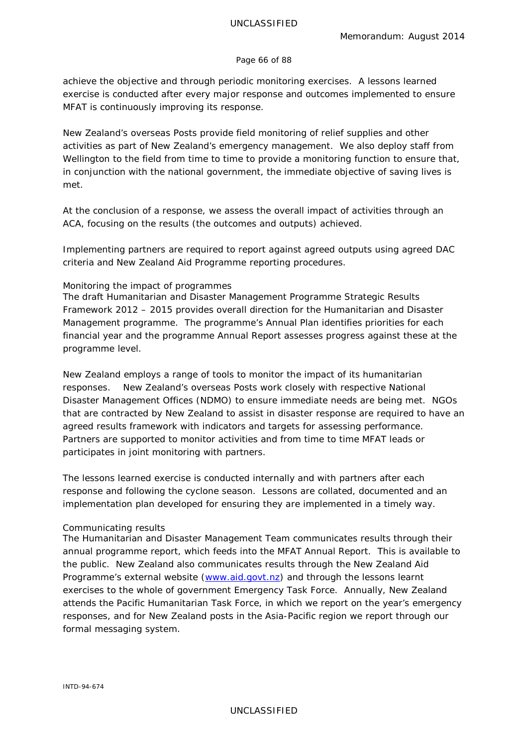#### Page 66 of 88

achieve the objective and through periodic monitoring exercises. A lessons learned exercise is conducted after every major response and outcomes implemented to ensure MFAT is continuously improving its response.

New Zealand's overseas Posts provide field monitoring of relief supplies and other activities as part of New Zealand's emergency management. We also deploy staff from Wellington to the field from time to time to provide a monitoring function to ensure that, in conjunction with the national government, the immediate objective of saving lives is met.

At the conclusion of a response, we assess the overall impact of activities through an ACA, focusing on the results (the outcomes and outputs) achieved.

Implementing partners are required to report against agreed outputs using agreed DAC criteria and New Zealand Aid Programme reporting procedures.

#### *Monitoring the impact of programmes*

The draft *Humanitarian and Disaster Management Programme Strategic Results Framework 2012 – 2015* provides overall direction for the Humanitarian and Disaster Management programme. The programme's Annual Plan identifies priorities for each financial year and the programme Annual Report assesses progress against these at the programme level.

New Zealand employs a range of tools to monitor the impact of its humanitarian responses. New Zealand's overseas Posts work closely with respective National Disaster Management Offices (NDMO) to ensure immediate needs are being met. NGOs that are contracted by New Zealand to assist in disaster response are required to have an agreed results framework with indicators and targets for assessing performance. Partners are supported to monitor activities and from time to time MFAT leads or participates in joint monitoring with partners.

The lessons learned exercise is conducted internally and with partners after each response and following the cyclone season. Lessons are collated, documented and an implementation plan developed for ensuring they are implemented in a timely way.

# *Communicating results*

The Humanitarian and Disaster Management Team communicates results through their annual programme report, which feeds into the MFAT *Annual Report*. This is available to the public. New Zealand also communicates results through the New Zealand Aid Programme's external website [\(www.aid.govt.nz\)](http://www.aid.govt.nz/) and through the lessons learnt exercises to the whole of government Emergency Task Force. Annually, New Zealand attends the Pacific Humanitarian Task Force, in which we report on the year's emergency responses, and for New Zealand posts in the Asia-Pacific region we report through our formal messaging system.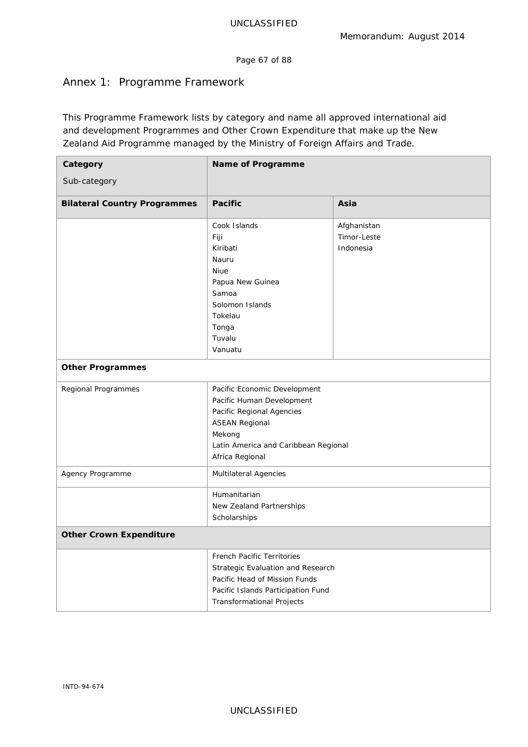Page 67 of 88

# Annex 1: Programme Framework

This *Programme Framework* lists by category and name all approved international aid and development Programmes and Other Crown Expenditure that make up the New Zealand Aid Programme managed by the Ministry of Foreign Affairs and Trade.

| Category                            | Name of Programme                                                                                                                                                                    |                                         |  |  |  |
|-------------------------------------|--------------------------------------------------------------------------------------------------------------------------------------------------------------------------------------|-----------------------------------------|--|--|--|
| Sub-category                        |                                                                                                                                                                                      |                                         |  |  |  |
| <b>Bilateral Country Programmes</b> | <b>Pacific</b>                                                                                                                                                                       | Asia                                    |  |  |  |
|                                     | Cook Islands<br>Fiji<br>Kiribati<br>Nauru<br>Niue<br>Papua New Guinea<br>Samoa<br>Solomon Islands<br>Tokelau<br>Tonga<br>Tuvalu                                                      | Afghanistan<br>Timor-Leste<br>Indonesia |  |  |  |
| <b>Other Programmes</b>             | Vanuatu                                                                                                                                                                              |                                         |  |  |  |
| Regional Programmes                 | Pacific Economic Development<br>Pacific Human Development<br>Pacific Regional Agencies<br><b>ASEAN Regional</b><br>Mekong<br>Latin America and Caribbean Regional<br>Africa Regional |                                         |  |  |  |
| Agency Programme                    | Multilateral Agencies                                                                                                                                                                |                                         |  |  |  |
|                                     | Humanitarian<br>New Zealand Partnerships<br>Scholarships                                                                                                                             |                                         |  |  |  |
| <b>Other Crown Expenditure</b>      |                                                                                                                                                                                      |                                         |  |  |  |
|                                     | French Pacific Territories<br>Strategic Evaluation and Research<br>Pacific Head of Mission Funds<br>Pacific Islands Participation Fund<br><b>Transformational Projects</b>           |                                         |  |  |  |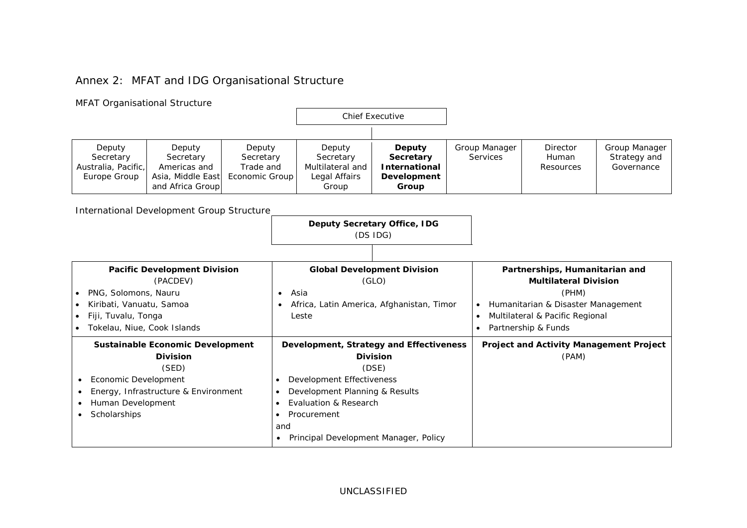# Annex 2: MFAT and IDG Organisational Structure

| <b>MFAT Organisational Structure</b>                                                                                                         |                                                                                                                                                  |                                                                                               |                                                                                                                                                                                                                     |                                                                     |  |                                                                                                                                                                              |                                       |                                                |  |
|----------------------------------------------------------------------------------------------------------------------------------------------|--------------------------------------------------------------------------------------------------------------------------------------------------|-----------------------------------------------------------------------------------------------|---------------------------------------------------------------------------------------------------------------------------------------------------------------------------------------------------------------------|---------------------------------------------------------------------|--|------------------------------------------------------------------------------------------------------------------------------------------------------------------------------|---------------------------------------|------------------------------------------------|--|
|                                                                                                                                              |                                                                                                                                                  |                                                                                               |                                                                                                                                                                                                                     | <b>Chief Executive</b>                                              |  |                                                                                                                                                                              |                                       |                                                |  |
| Deputy<br>Deputy<br>Secretary<br>Secretary<br>Australia, Pacific,<br>Americas and<br>Europe Group<br>Asia, Middle East<br>and Africa Group   | Deputy<br>Secretary<br>Trade and<br>Economic Group                                                                                               |                                                                                               | Deputy<br>Secretary<br>Multilateral and<br>Legal Affairs<br>Group                                                                                                                                                   | Deputy<br>Secretary<br><b>International</b><br>Development<br>Group |  | Group Manager<br><b>Services</b>                                                                                                                                             | <b>Director</b><br>Human<br>Resources | Group Manager<br>Strategy and<br>Governance    |  |
| International Development Group Structure                                                                                                    |                                                                                                                                                  |                                                                                               |                                                                                                                                                                                                                     |                                                                     |  |                                                                                                                                                                              |                                       |                                                |  |
|                                                                                                                                              | <b>Deputy Secretary Office, IDG</b><br>(DS IDG)                                                                                                  |                                                                                               |                                                                                                                                                                                                                     |                                                                     |  |                                                                                                                                                                              |                                       |                                                |  |
| <b>Pacific Development Division</b>                                                                                                          |                                                                                                                                                  |                                                                                               | <b>Global Development Division</b>                                                                                                                                                                                  |                                                                     |  | Partnerships, Humanitarian and                                                                                                                                               |                                       |                                                |  |
| (PACDEV)<br>PNG, Solomons, Nauru<br>Kiribati, Vanuatu, Samoa<br>$\bullet$<br>Fiji, Tuvalu, Tonga<br>$\bullet$<br>Tokelau, Niue, Cook Islands |                                                                                                                                                  | (GLO)<br>Asia<br>$\bullet$<br>Africa, Latin America, Afghanistan, Timor<br>$\bullet$<br>Leste |                                                                                                                                                                                                                     |                                                                     |  | <b>Multilateral Division</b><br>(PHM)<br>Humanitarian & Disaster Management<br>$\bullet$<br>Multilateral & Pacific Regional<br>$\bullet$<br>Partnership & Funds<br>$\bullet$ |                                       |                                                |  |
| <b>Division</b><br>(SED)<br>Economic Development<br>Human Development<br>Scholarships<br>$\bullet$                                           | Sustainable Economic Development<br>$\bullet$<br>Energy, Infrastructure & Environment<br>$\bullet$<br>$\bullet$<br>$\bullet$<br>and<br>$\bullet$ |                                                                                               | Development, Strategy and Effectiveness<br><b>Division</b><br>(DSE)<br>Development Effectiveness<br>Development Planning & Results<br>Evaluation & Research<br>Procurement<br>Principal Development Manager, Policy |                                                                     |  |                                                                                                                                                                              | (PAM)                                 | <b>Project and Activity Management Project</b> |  |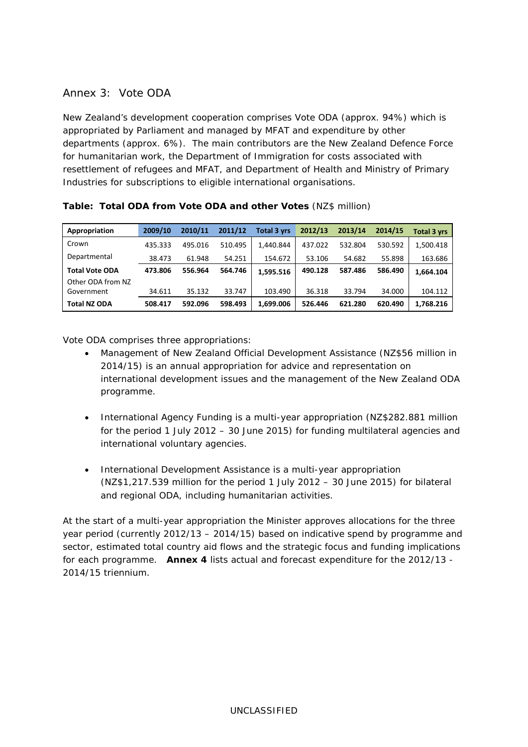# Annex 3: Vote ODA

New Zealand's development cooperation comprises Vote ODA (approx. 94%) which is appropriated by Parliament and managed by MFAT and expenditure by other departments (approx. 6%). The main contributors are the New Zealand Defence Force for humanitarian work, the Department of Immigration for costs associated with resettlement of refugees and MFAT, and Department of Health and Ministry of Primary Industries for subscriptions to eligible international organisations.

| Appropriation         | 2009/10 | 2010/11 | 2011/12 | <b>Total 3 vrs</b> | 2012/13 | 2013/14 | 2014/15 | <b>Total 3 yrs</b> |
|-----------------------|---------|---------|---------|--------------------|---------|---------|---------|--------------------|
| Crown                 | 435.333 | 495.016 | 510.495 | 1,440.844          | 437.022 | 532.804 | 530.592 | 1,500.418          |
| Departmental          | 38.473  | 61.948  | 54.251  | 154.672            | 53.106  | 54.682  | 55.898  | 163.686            |
| <b>Total Vote ODA</b> | 473.806 | 556.964 | 564.746 | 1.595.516          | 490.128 | 587.486 | 586.490 | 1.664.104          |
| Other ODA from NZ     |         |         |         |                    |         |         |         |                    |
| Government            | 34.611  | 35.132  | 33.747  | 103.490            | 36.318  | 33.794  | 34.000  | 104.112            |
| <b>Total NZ ODA</b>   | 508.417 | 592.096 | 598.493 | 1,699.006          | 526.446 | 621.280 | 620.490 | 1,768.216          |

**Table: Total ODA from Vote ODA and other Votes** (NZ\$ million)

Vote ODA comprises three appropriations:

- *Management of New Zealand Official Development Assistance* (NZ\$56 million in 2014/15) is an annual appropriation for advice and representation on international development issues and the management of the New Zealand ODA programme.
- *International Agency Funding* is a multi-year appropriation (NZ\$282.881 million for the period 1 July 2012 – 30 June 2015) for funding multilateral agencies and international voluntary agencies.
- *International Development Assistance* is a multi-year appropriation (NZ\$1,217.539 million for the period 1 July 2012 – 30 June 2015) for bilateral and regional ODA, including humanitarian activities.

At the start of a multi-year appropriation the Minister approves allocations for the three year period (currently 2012/13 – 2014/15) based on indicative spend by programme and sector, estimated total country aid flows and the strategic focus and funding implications for each programme. **Annex 4** lists actual and forecast expenditure for the 2012/13 - 2014/15 triennium.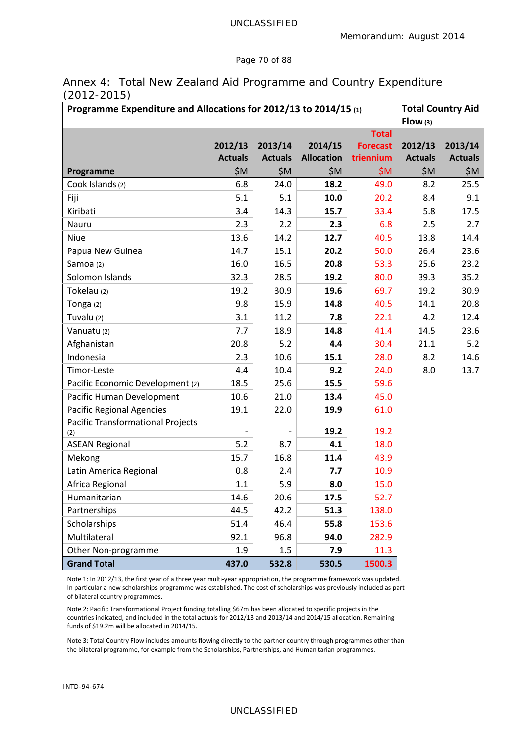#### Page 70 of 88

# Annex 4: Total New Zealand Aid Programme and Country Expenditure (2012-2015)

| Programme Expenditure and Allocations for 2012/13 to 2014/15 (1) |                | <b>Total Country Aid</b> |                   |                 |                |                |
|------------------------------------------------------------------|----------------|--------------------------|-------------------|-----------------|----------------|----------------|
|                                                                  |                |                          |                   |                 | Flow(3)        |                |
|                                                                  |                |                          |                   | <b>Total</b>    |                |                |
|                                                                  | 2012/13        | 2013/14                  | 2014/15           | <b>Forecast</b> | 2012/13        | 2013/14        |
|                                                                  | <b>Actuals</b> | <b>Actuals</b>           | <b>Allocation</b> | triennium       | <b>Actuals</b> | <b>Actuals</b> |
| Programme                                                        | \$M\$          | \$M                      | \$M\$             | \$M             | \$M\$          | \$M\$          |
| Cook Islands (2)                                                 | 6.8            | 24.0                     | 18.2              | 49.0            | 8.2            | 25.5           |
| Fiji                                                             | 5.1            | 5.1                      | 10.0              | 20.2            | 8.4            | 9.1            |
| Kiribati                                                         | 3.4            | 14.3                     | 15.7              | 33.4            | 5.8            | 17.5           |
| Nauru                                                            | 2.3            | 2.2                      | 2.3               | 6.8             | 2.5            | 2.7            |
| Niue                                                             | 13.6           | 14.2                     | 12.7              | 40.5            | 13.8           | 14.4           |
| Papua New Guinea                                                 | 14.7           | 15.1                     | 20.2              | 50.0            | 26.4           | 23.6           |
| Samoa (2)                                                        | 16.0           | 16.5                     | 20.8              | 53.3            | 25.6           | 23.2           |
| Solomon Islands                                                  | 32.3           | 28.5                     | 19.2              | 80.0            | 39.3           | 35.2           |
| Tokelau (2)                                                      | 19.2           | 30.9                     | 19.6              | 69.7            | 19.2           | 30.9           |
| Tonga (2)                                                        | 9.8            | 15.9                     | 14.8              | 40.5            | 14.1           | 20.8           |
| Tuvalu (2)                                                       | 3.1            | 11.2                     | 7.8               | 22.1            | 4.2            | 12.4           |
| Vanuatu (2)                                                      | 7.7            | 18.9                     | 14.8              | 41.4            | 14.5           | 23.6           |
| Afghanistan                                                      | 20.8           | 5.2                      | 4.4               | 30.4            | 21.1           | 5.2            |
| Indonesia                                                        | 2.3            | 10.6                     | 15.1              | 28.0            | 8.2            | 14.6           |
| Timor-Leste                                                      | 4.4            | 10.4                     | 9.2               | 24.0            | 8.0            | 13.7           |
| Pacific Economic Development (2)                                 | 18.5           | 25.6                     | 15.5              | 59.6            |                |                |
| Pacific Human Development                                        | 10.6           | 21.0                     | 13.4              | 45.0            |                |                |
| <b>Pacific Regional Agencies</b>                                 | 19.1           | 22.0                     | 19.9              | 61.0            |                |                |
| <b>Pacific Transformational Projects</b><br>(2)                  |                |                          | 19.2              | 19.2            |                |                |
| <b>ASEAN Regional</b>                                            | 5.2            | 8.7                      | 4.1               | 18.0            |                |                |
| Mekong                                                           | 15.7           | 16.8                     | 11.4              | 43.9            |                |                |
| Latin America Regional                                           | 0.8            | 2.4                      | 7.7               | 10.9            |                |                |
| Africa Regional                                                  | 1.1            | 5.9                      | 8.0               | 15.0            |                |                |
| Humanitarian                                                     | 14.6           | 20.6                     | 17.5              | 52.7            |                |                |
| Partnerships                                                     | 44.5           | 42.2                     | 51.3              | 138.0           |                |                |
| Scholarships                                                     | 51.4           | 46.4                     | 55.8              | 153.6           |                |                |
| Multilateral                                                     | 92.1           | 96.8                     | 94.0              | 282.9           |                |                |
| Other Non-programme                                              | 1.9            | 1.5                      | 7.9               | 11.3            |                |                |
| <b>Grand Total</b>                                               | 437.0          | 532.8                    | 530.5             | 1500.3          |                |                |

Note 1: In 2012/13, the first year of a three year multi-year appropriation, the programme framework was updated. In particular a new scholarships programme was established. The cost of scholarships was previously included as part of bilateral country programmes.

Note 2: Pacific Transformational Project funding totalling \$67m has been allocated to specific projects in the countries indicated, and included in the total actuals for 2012/13 and 2013/14 and 2014/15 allocation. Remaining funds of \$19.2m will be allocated in 2014/15.

Note 3: Total Country Flow includes amounts flowing directly to the partner country through programmes other than the bilateral programme, for example from the Scholarships, Partnerships, and Humanitarian programmes.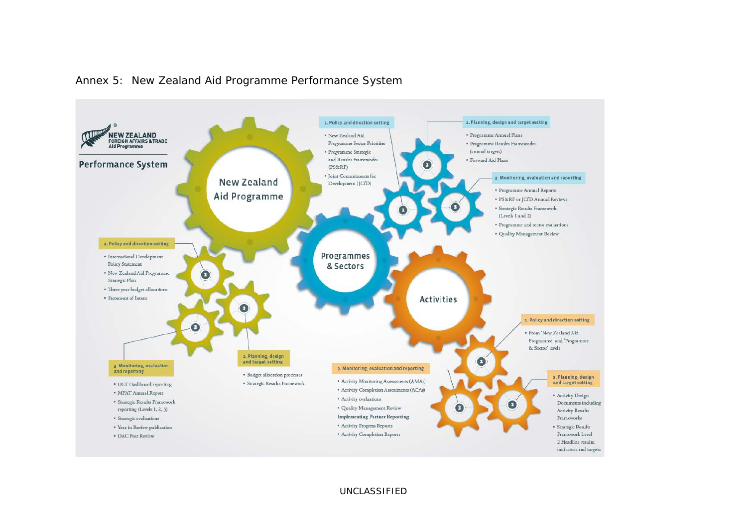

# Annex 5: New Zealand Aid Programme Performance System

UNCLASSIFIED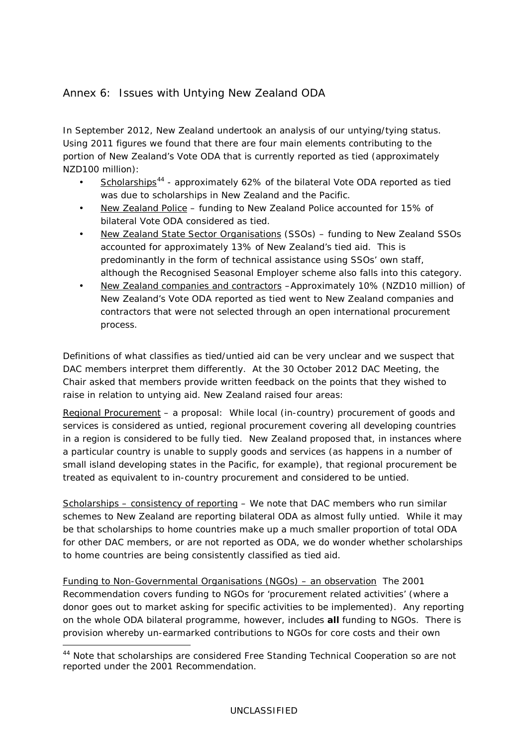# Annex 6: Issues with Untying New Zealand ODA

In September 2012, New Zealand undertook an analysis of our untying/tying status. Using 2011 figures we found that there are four main elements contributing to the portion of New Zealand's Vote ODA that is currently reported as tied (approximately NZD100 million):

- Scholarships<sup>[44](#page-71-0)</sup> approximately 62% of the bilateral Vote ODA reported as tied was due to scholarships in New Zealand and the Pacific.
- New Zealand Police funding to New Zealand Police accounted for 15% of bilateral Vote ODA considered as tied.
- New Zealand State Sector Organisations (SSOs) funding to New Zealand SSOs accounted for approximately 13% of New Zealand's tied aid. This is predominantly in the form of technical assistance using SSOs' own staff, although the Recognised Seasonal Employer scheme also falls into this category.
- New Zealand companies and contractors -Approximately 10% (NZD10 million) of New Zealand's Vote ODA reported as tied went to New Zealand companies and contractors that were not selected through an open international procurement process.

Definitions of what classifies as tied/untied aid can be very unclear and we suspect that DAC members interpret them differently. At the 30 October 2012 DAC Meeting, the Chair asked that members provide written feedback on the points that they wished to raise in relation to untying aid. New Zealand raised four areas:

Regional Procurement – a proposal: While local (in-country) procurement of goods and services is considered as untied, regional procurement covering all developing countries in a region is considered to be fully tied. New Zealand proposed that, in instances where a particular country is unable to supply goods and services (as happens in a number of small island developing states in the Pacific, for example), that regional procurement be treated as equivalent to in-country procurement and considered to be untied.

Scholarships – consistency of reporting – We note that DAC members who run similar schemes to New Zealand are reporting bilateral ODA as almost fully untied. While it may be that scholarships to home countries make up a much smaller proportion of total ODA for other DAC members, or are not reported as ODA, we do wonder whether scholarships to home countries are being consistently classified as tied aid.

Funding to Non-Governmental Organisations (NGOs) – an observation The 2001 Recommendation covers funding to NGOs for 'procurement related activities' (where a donor goes out to market asking for specific activities to be implemented). Any reporting on the whole ODA bilateral programme, however, includes *all* funding to NGOs. There is provision whereby un-earmarked contributions to NGOs for core costs and their own

<span id="page-71-0"></span> <sup>44</sup> Note that scholarships are considered Free Standing Technical Cooperation so are not reported under the 2001 Recommendation.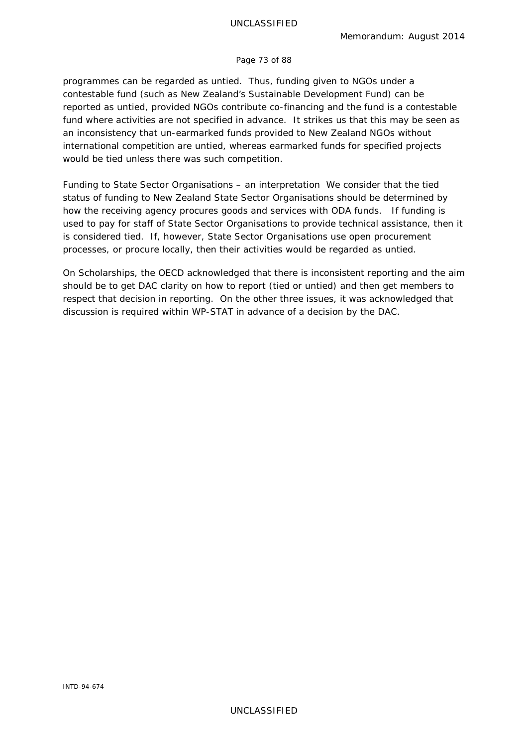## Page 73 of 88

programmes can be regarded as untied. Thus, funding given to NGOs under a contestable fund (such as New Zealand's Sustainable Development Fund) can be reported as untied, provided NGOs contribute co-financing and the fund is a contestable fund where activities are not specified in advance. It strikes us that this may be seen as an inconsistency that un-earmarked funds provided to New Zealand NGOs without international competition are untied, whereas earmarked funds for specified projects would be tied unless there was such competition.

Funding to State Sector Organisations – an interpretation We consider that the tied status of funding to New Zealand State Sector Organisations should be determined by how the receiving agency procures goods and services with ODA funds. If funding is used to pay for staff of State Sector Organisations to provide technical assistance, then it is considered tied. If, however, State Sector Organisations use open procurement processes, or procure locally, then their activities would be regarded as untied.

On Scholarships, the OECD acknowledged that there is inconsistent reporting and the aim should be to get DAC clarity on how to report (tied or untied) and then get members to respect that decision in reporting. On the other three issues, it was acknowledged that discussion is required within WP-STAT in advance of a decision by the DAC.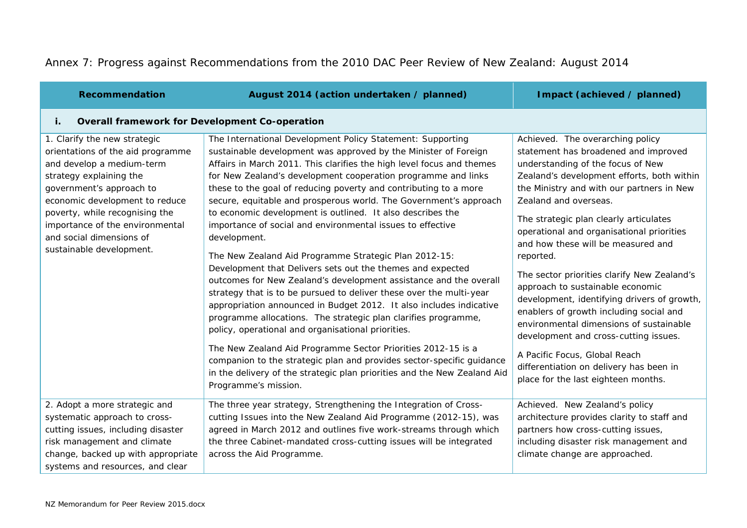## Annex 7: Progress against Recommendations from the 2010 DAC Peer Review of New Zealand: August 2014

| <b>Recommendation</b>                                                                                                                                                                                                                                                                                                | August 2014 (action undertaken / planned)                                                                                                                                                                                                                                                                                                                                                                                                                                                                                                                                                                                                                                                                                                                                                                                                                                                                                                                                                                                                                                                                                                                                                                                                                                   | Impact (achieved / planned)                                                                                                                                                                                                                                                                                                                                                                                                                                                                                                                                                                                                                                                                                                                                     |
|----------------------------------------------------------------------------------------------------------------------------------------------------------------------------------------------------------------------------------------------------------------------------------------------------------------------|-----------------------------------------------------------------------------------------------------------------------------------------------------------------------------------------------------------------------------------------------------------------------------------------------------------------------------------------------------------------------------------------------------------------------------------------------------------------------------------------------------------------------------------------------------------------------------------------------------------------------------------------------------------------------------------------------------------------------------------------------------------------------------------------------------------------------------------------------------------------------------------------------------------------------------------------------------------------------------------------------------------------------------------------------------------------------------------------------------------------------------------------------------------------------------------------------------------------------------------------------------------------------------|-----------------------------------------------------------------------------------------------------------------------------------------------------------------------------------------------------------------------------------------------------------------------------------------------------------------------------------------------------------------------------------------------------------------------------------------------------------------------------------------------------------------------------------------------------------------------------------------------------------------------------------------------------------------------------------------------------------------------------------------------------------------|
| <b>Overall framework for Development Co-operation</b><br>i.                                                                                                                                                                                                                                                          |                                                                                                                                                                                                                                                                                                                                                                                                                                                                                                                                                                                                                                                                                                                                                                                                                                                                                                                                                                                                                                                                                                                                                                                                                                                                             |                                                                                                                                                                                                                                                                                                                                                                                                                                                                                                                                                                                                                                                                                                                                                                 |
| 1. Clarify the new strategic<br>orientations of the aid programme<br>and develop a medium-term<br>strategy explaining the<br>government's approach to<br>economic development to reduce<br>poverty, while recognising the<br>importance of the environmental<br>and social dimensions of<br>sustainable development. | The International Development Policy Statement: Supporting<br>sustainable development was approved by the Minister of Foreign<br>Affairs in March 2011. This clarifies the high level focus and themes<br>for New Zealand's development cooperation programme and links<br>these to the goal of reducing poverty and contributing to a more<br>secure, equitable and prosperous world. The Government's approach<br>to economic development is outlined. It also describes the<br>importance of social and environmental issues to effective<br>development.<br>The New Zealand Aid Programme Strategic Plan 2012-15:<br>Development that Delivers sets out the themes and expected<br>outcomes for New Zealand's development assistance and the overall<br>strategy that is to be pursued to deliver these over the multi-year<br>appropriation announced in Budget 2012. It also includes indicative<br>programme allocations. The strategic plan clarifies programme,<br>policy, operational and organisational priorities.<br>The New Zealand Aid Programme Sector Priorities 2012-15 is a<br>companion to the strategic plan and provides sector-specific guidance<br>in the delivery of the strategic plan priorities and the New Zealand Aid<br>Programme's mission. | Achieved. The overarching policy<br>statement has broadened and improved<br>understanding of the focus of New<br>Zealand's development efforts, both within<br>the Ministry and with our partners in New<br>Zealand and overseas.<br>The strategic plan clearly articulates<br>operational and organisational priorities<br>and how these will be measured and<br>reported.<br>The sector priorities clarify New Zealand's<br>approach to sustainable economic<br>development, identifying drivers of growth,<br>enablers of growth including social and<br>environmental dimensions of sustainable<br>development and cross-cutting issues.<br>A Pacific Focus, Global Reach<br>differentiation on delivery has been in<br>place for the last eighteen months. |
| 2. Adopt a more strategic and<br>systematic approach to cross-<br>cutting issues, including disaster<br>risk management and climate<br>change, backed up with appropriate<br>systems and resources, and clear                                                                                                        | The three year strategy, Strengthening the Integration of Cross-<br>cutting Issues into the New Zealand Aid Programme (2012-15), was<br>agreed in March 2012 and outlines five work-streams through which<br>the three Cabinet-mandated cross-cutting issues will be integrated<br>across the Aid Programme.                                                                                                                                                                                                                                                                                                                                                                                                                                                                                                                                                                                                                                                                                                                                                                                                                                                                                                                                                                | Achieved. New Zealand's policy<br>architecture provides clarity to staff and<br>partners how cross-cutting issues,<br>including disaster risk management and<br>climate change are approached.                                                                                                                                                                                                                                                                                                                                                                                                                                                                                                                                                                  |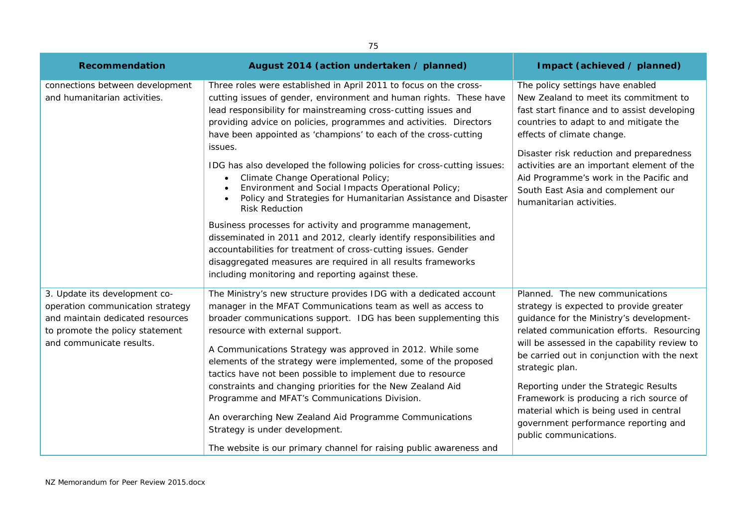| 75                                                                                                                                                                   |                                                                                                                                                                                                                                                                                                                                                                                                                                                                                                                                                                                                                                                                                                                                                                                                                                                                                                                                                                           |                                                                                                                                                                                                                                                                                                                                                                                                                                                                                        |  |
|----------------------------------------------------------------------------------------------------------------------------------------------------------------------|---------------------------------------------------------------------------------------------------------------------------------------------------------------------------------------------------------------------------------------------------------------------------------------------------------------------------------------------------------------------------------------------------------------------------------------------------------------------------------------------------------------------------------------------------------------------------------------------------------------------------------------------------------------------------------------------------------------------------------------------------------------------------------------------------------------------------------------------------------------------------------------------------------------------------------------------------------------------------|----------------------------------------------------------------------------------------------------------------------------------------------------------------------------------------------------------------------------------------------------------------------------------------------------------------------------------------------------------------------------------------------------------------------------------------------------------------------------------------|--|
| <b>Recommendation</b>                                                                                                                                                | August 2014 (action undertaken / planned)                                                                                                                                                                                                                                                                                                                                                                                                                                                                                                                                                                                                                                                                                                                                                                                                                                                                                                                                 | Impact (achieved / planned)                                                                                                                                                                                                                                                                                                                                                                                                                                                            |  |
| connections between development<br>and humanitarian activities.                                                                                                      | Three roles were established in April 2011 to focus on the cross-<br>cutting issues of gender, environment and human rights. These have<br>lead responsibility for mainstreaming cross-cutting issues and<br>providing advice on policies, programmes and activities. Directors<br>have been appointed as 'champions' to each of the cross-cutting<br>issues.<br>IDG has also developed the following policies for cross-cutting issues:<br>Climate Change Operational Policy;<br>$\bullet$<br>Environment and Social Impacts Operational Policy;<br>Policy and Strategies for Humanitarian Assistance and Disaster<br><b>Risk Reduction</b><br>Business processes for activity and programme management,<br>disseminated in 2011 and 2012, clearly identify responsibilities and<br>accountabilities for treatment of cross-cutting issues. Gender<br>disaggregated measures are required in all results frameworks<br>including monitoring and reporting against these. | The policy settings have enabled<br>New Zealand to meet its commitment to<br>fast start finance and to assist developing<br>countries to adapt to and mitigate the<br>effects of climate change.<br>Disaster risk reduction and preparedness<br>activities are an important element of the<br>Aid Programme's work in the Pacific and<br>South East Asia and complement our<br>humanitarian activities.                                                                                |  |
| 3. Update its development co-<br>operation communication strategy<br>and maintain dedicated resources<br>to promote the policy statement<br>and communicate results. | The Ministry's new structure provides IDG with a dedicated account<br>manager in the MFAT Communications team as well as access to<br>broader communications support. IDG has been supplementing this<br>resource with external support.<br>A Communications Strategy was approved in 2012. While some<br>elements of the strategy were implemented, some of the proposed<br>tactics have not been possible to implement due to resource<br>constraints and changing priorities for the New Zealand Aid<br>Programme and MFAT's Communications Division.<br>An overarching New Zealand Aid Programme Communications<br>Strategy is under development.<br>The website is our primary channel for raising public awareness and                                                                                                                                                                                                                                              | Planned. The new communications<br>strategy is expected to provide greater<br>guidance for the Ministry's development-<br>related communication efforts. Resourcing<br>will be assessed in the capability review to<br>be carried out in conjunction with the next<br>strategic plan.<br>Reporting under the Strategic Results<br>Framework is producing a rich source of<br>material which is being used in central<br>government performance reporting and<br>public communications. |  |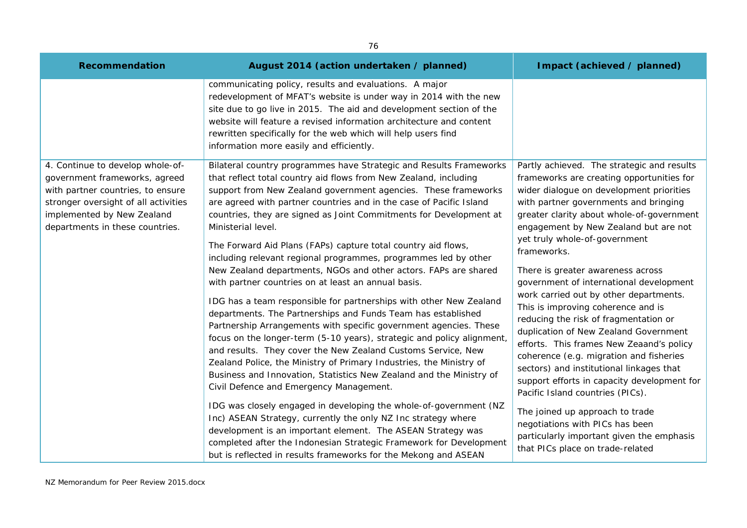| 76                                                                                                                                                                                                              |                                                                                                                                                                                                                                                                                                                                                                                                                                                                                                                                                                                                                                                                      |                                                                                                                                                                                                                                                                                                                                                                                                                                                                                                                                                                                                                                                                                                                                                                                            |
|-----------------------------------------------------------------------------------------------------------------------------------------------------------------------------------------------------------------|----------------------------------------------------------------------------------------------------------------------------------------------------------------------------------------------------------------------------------------------------------------------------------------------------------------------------------------------------------------------------------------------------------------------------------------------------------------------------------------------------------------------------------------------------------------------------------------------------------------------------------------------------------------------|--------------------------------------------------------------------------------------------------------------------------------------------------------------------------------------------------------------------------------------------------------------------------------------------------------------------------------------------------------------------------------------------------------------------------------------------------------------------------------------------------------------------------------------------------------------------------------------------------------------------------------------------------------------------------------------------------------------------------------------------------------------------------------------------|
| <b>Recommendation</b>                                                                                                                                                                                           | August 2014 (action undertaken / planned)                                                                                                                                                                                                                                                                                                                                                                                                                                                                                                                                                                                                                            | Impact (achieved / planned)                                                                                                                                                                                                                                                                                                                                                                                                                                                                                                                                                                                                                                                                                                                                                                |
|                                                                                                                                                                                                                 | communicating policy, results and evaluations. A major<br>redevelopment of MFAT's website is under way in 2014 with the new<br>site due to go live in 2015. The aid and development section of the<br>website will feature a revised information architecture and content<br>rewritten specifically for the web which will help users find<br>information more easily and efficiently.                                                                                                                                                                                                                                                                               |                                                                                                                                                                                                                                                                                                                                                                                                                                                                                                                                                                                                                                                                                                                                                                                            |
| 4. Continue to develop whole-of-<br>government frameworks, agreed<br>with partner countries, to ensure<br>stronger oversight of all activities<br>implemented by New Zealand<br>departments in these countries. | Bilateral country programmes have Strategic and Results Frameworks<br>that reflect total country aid flows from New Zealand, including<br>support from New Zealand government agencies. These frameworks<br>are agreed with partner countries and in the case of Pacific Island<br>countries, they are signed as Joint Commitments for Development at<br>Ministerial level.<br>The Forward Aid Plans (FAPs) capture total country aid flows,<br>including relevant regional programmes, programmes led by other                                                                                                                                                      | Partly achieved. The strategic and results<br>frameworks are creating opportunities for<br>wider dialogue on development priorities<br>with partner governments and bringing<br>greater clarity about whole-of-government<br>engagement by New Zealand but are not<br>yet truly whole-of-government<br>frameworks.<br>There is greater awareness across<br>government of international development<br>work carried out by other departments.<br>This is improving coherence and is<br>reducing the risk of fragmentation or<br>duplication of New Zealand Government<br>efforts. This frames New Zeaand's policy<br>coherence (e.g. migration and fisheries<br>sectors) and institutional linkages that<br>support efforts in capacity development for<br>Pacific Island countries (PICs). |
|                                                                                                                                                                                                                 | New Zealand departments, NGOs and other actors. FAPs are shared<br>with partner countries on at least an annual basis.<br>IDG has a team responsible for partnerships with other New Zealand<br>departments. The Partnerships and Funds Team has established<br>Partnership Arrangements with specific government agencies. These<br>focus on the longer-term (5-10 years), strategic and policy alignment,<br>and results. They cover the New Zealand Customs Service, New<br>Zealand Police, the Ministry of Primary Industries, the Ministry of<br>Business and Innovation, Statistics New Zealand and the Ministry of<br>Civil Defence and Emergency Management. |                                                                                                                                                                                                                                                                                                                                                                                                                                                                                                                                                                                                                                                                                                                                                                                            |
|                                                                                                                                                                                                                 | IDG was closely engaged in developing the whole-of-government (NZ<br>Inc) ASEAN Strategy, currently the only NZ Inc strategy where<br>development is an important element. The ASEAN Strategy was<br>completed after the Indonesian Strategic Framework for Development<br>but is reflected in results frameworks for the Mekong and ASEAN                                                                                                                                                                                                                                                                                                                           | The joined up approach to trade<br>negotiations with PICs has been<br>particularly important given the emphasis<br>that PICs place on trade-related                                                                                                                                                                                                                                                                                                                                                                                                                                                                                                                                                                                                                                        |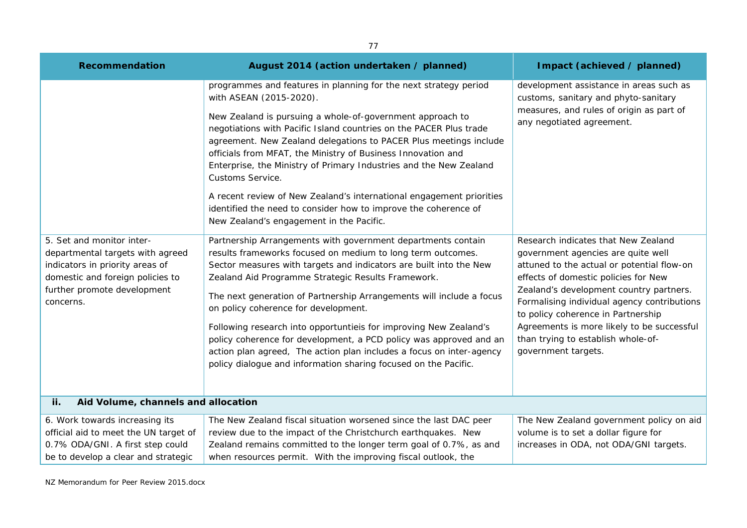| 77                                                                                                                                                                               |                                                                                                                                                                                                                                                                                                                                                                                                                                                                                                                                                                                                                                                               |                                                                                                                                                                                                                                                                                                                                                                                                            |  |
|----------------------------------------------------------------------------------------------------------------------------------------------------------------------------------|---------------------------------------------------------------------------------------------------------------------------------------------------------------------------------------------------------------------------------------------------------------------------------------------------------------------------------------------------------------------------------------------------------------------------------------------------------------------------------------------------------------------------------------------------------------------------------------------------------------------------------------------------------------|------------------------------------------------------------------------------------------------------------------------------------------------------------------------------------------------------------------------------------------------------------------------------------------------------------------------------------------------------------------------------------------------------------|--|
| <b>Recommendation</b>                                                                                                                                                            | August 2014 (action undertaken / planned)                                                                                                                                                                                                                                                                                                                                                                                                                                                                                                                                                                                                                     | Impact (achieved / planned)                                                                                                                                                                                                                                                                                                                                                                                |  |
|                                                                                                                                                                                  | programmes and features in planning for the next strategy period<br>with ASEAN (2015-2020).<br>New Zealand is pursuing a whole-of-government approach to<br>negotiations with Pacific Island countries on the PACER Plus trade<br>agreement. New Zealand delegations to PACER Plus meetings include<br>officials from MFAT, the Ministry of Business Innovation and<br>Enterprise, the Ministry of Primary Industries and the New Zealand<br>Customs Service.<br>A recent review of New Zealand's international engagement priorities<br>identified the need to consider how to improve the coherence of<br>New Zealand's engagement in the Pacific.          | development assistance in areas such as<br>customs, sanitary and phyto-sanitary<br>measures, and rules of origin as part of<br>any negotiated agreement.                                                                                                                                                                                                                                                   |  |
| 5. Set and monitor inter-<br>departmental targets with agreed<br>indicators in priority areas of<br>domestic and foreign policies to<br>further promote development<br>concerns. | Partnership Arrangements with government departments contain<br>results frameworks focused on medium to long term outcomes.<br>Sector measures with targets and indicators are built into the New<br>Zealand Aid Programme Strategic Results Framework.<br>The next generation of Partnership Arrangements will include a focus<br>on policy coherence for development.<br>Following research into opportuntiels for improving New Zealand's<br>policy coherence for development, a PCD policy was approved and an<br>action plan agreed, The action plan includes a focus on inter-agency<br>policy dialogue and information sharing focused on the Pacific. | Research indicates that New Zealand<br>government agencies are quite well<br>attuned to the actual or potential flow-on<br>effects of domestic policies for New<br>Zealand's development country partners.<br>Formalising individual agency contributions<br>to policy coherence in Partnership<br>Agreements is more likely to be successful<br>than trying to establish whole-of-<br>government targets. |  |
| Aid Volume, channels and allocation<br>ii.                                                                                                                                       |                                                                                                                                                                                                                                                                                                                                                                                                                                                                                                                                                                                                                                                               |                                                                                                                                                                                                                                                                                                                                                                                                            |  |
| 6. Work towards increasing its<br>official aid to meet the UN target of<br>0.7% ODA/GNI. A first step could<br>be to develop a clear and strategic                               | The New Zealand fiscal situation worsened since the last DAC peer<br>review due to the impact of the Christchurch earthquakes. New<br>Zealand remains committed to the longer term goal of 0.7%, as and<br>when resources permit. With the improving fiscal outlook, the                                                                                                                                                                                                                                                                                                                                                                                      | The New Zealand government policy on aid<br>volume is to set a dollar figure for<br>increases in ODA, not ODA/GNI targets.                                                                                                                                                                                                                                                                                 |  |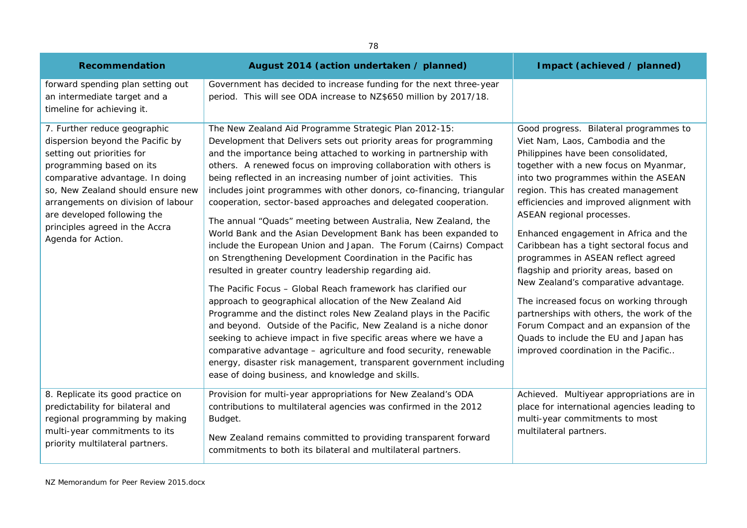| <b>Recommendation</b>                                                                                                                                                                                                                                                                                                           | August 2014 (action undertaken / planned)                                                                                                                                                                                                                                                                                                                                                                                                                                                                                                                                                                                                                                                                                                                                                                                                                                                                                                                                                                                                                                                                                                                                                                                                                                                                                                                       | Impact (achieved / planned)                                                                                                                                                                                                                                                                                                                                                                                                                                                                                                                                                                                                                                                                                                                     |
|---------------------------------------------------------------------------------------------------------------------------------------------------------------------------------------------------------------------------------------------------------------------------------------------------------------------------------|-----------------------------------------------------------------------------------------------------------------------------------------------------------------------------------------------------------------------------------------------------------------------------------------------------------------------------------------------------------------------------------------------------------------------------------------------------------------------------------------------------------------------------------------------------------------------------------------------------------------------------------------------------------------------------------------------------------------------------------------------------------------------------------------------------------------------------------------------------------------------------------------------------------------------------------------------------------------------------------------------------------------------------------------------------------------------------------------------------------------------------------------------------------------------------------------------------------------------------------------------------------------------------------------------------------------------------------------------------------------|-------------------------------------------------------------------------------------------------------------------------------------------------------------------------------------------------------------------------------------------------------------------------------------------------------------------------------------------------------------------------------------------------------------------------------------------------------------------------------------------------------------------------------------------------------------------------------------------------------------------------------------------------------------------------------------------------------------------------------------------------|
| forward spending plan setting out<br>an intermediate target and a<br>timeline for achieving it.                                                                                                                                                                                                                                 | Government has decided to increase funding for the next three-year<br>period. This will see ODA increase to NZ\$650 million by 2017/18.                                                                                                                                                                                                                                                                                                                                                                                                                                                                                                                                                                                                                                                                                                                                                                                                                                                                                                                                                                                                                                                                                                                                                                                                                         |                                                                                                                                                                                                                                                                                                                                                                                                                                                                                                                                                                                                                                                                                                                                                 |
| 7. Further reduce geographic<br>dispersion beyond the Pacific by<br>setting out priorities for<br>programming based on its<br>comparative advantage. In doing<br>so, New Zealand should ensure new<br>arrangements on division of labour<br>are developed following the<br>principles agreed in the Accra<br>Agenda for Action. | The New Zealand Aid Programme Strategic Plan 2012-15:<br>Development that Delivers sets out priority areas for programming<br>and the importance being attached to working in partnership with<br>others. A renewed focus on improving collaboration with others is<br>being reflected in an increasing number of joint activities. This<br>includes joint programmes with other donors, co-financing, triangular<br>cooperation, sector-based approaches and delegated cooperation.<br>The annual "Quads" meeting between Australia, New Zealand, the<br>World Bank and the Asian Development Bank has been expanded to<br>include the European Union and Japan. The Forum (Cairns) Compact<br>on Strengthening Development Coordination in the Pacific has<br>resulted in greater country leadership regarding aid.<br>The Pacific Focus - Global Reach framework has clarified our<br>approach to geographical allocation of the New Zealand Aid<br>Programme and the distinct roles New Zealand plays in the Pacific<br>and beyond. Outside of the Pacific, New Zealand is a niche donor<br>seeking to achieve impact in five specific areas where we have a<br>comparative advantage - agriculture and food security, renewable<br>energy, disaster risk management, transparent government including<br>ease of doing business, and knowledge and skills. | Good progress. Bilateral programmes to<br>Viet Nam, Laos, Cambodia and the<br>Philippines have been consolidated,<br>together with a new focus on Myanmar,<br>into two programmes within the ASEAN<br>region. This has created management<br>efficiencies and improved alignment with<br>ASEAN regional processes.<br>Enhanced engagement in Africa and the<br>Caribbean has a tight sectoral focus and<br>programmes in ASEAN reflect agreed<br>flagship and priority areas, based on<br>New Zealand's comparative advantage.<br>The increased focus on working through<br>partnerships with others, the work of the<br>Forum Compact and an expansion of the<br>Quads to include the EU and Japan has<br>improved coordination in the Pacific |
| 8. Replicate its good practice on<br>predictability for bilateral and<br>regional programming by making<br>multi-year commitments to its<br>priority multilateral partners.                                                                                                                                                     | Provision for multi-year appropriations for New Zealand's ODA<br>contributions to multilateral agencies was confirmed in the 2012<br>Budget.<br>New Zealand remains committed to providing transparent forward<br>commitments to both its bilateral and multilateral partners.                                                                                                                                                                                                                                                                                                                                                                                                                                                                                                                                                                                                                                                                                                                                                                                                                                                                                                                                                                                                                                                                                  | Achieved. Multiyear appropriations are in<br>place for international agencies leading to<br>multi-year commitments to most<br>multilateral partners.                                                                                                                                                                                                                                                                                                                                                                                                                                                                                                                                                                                            |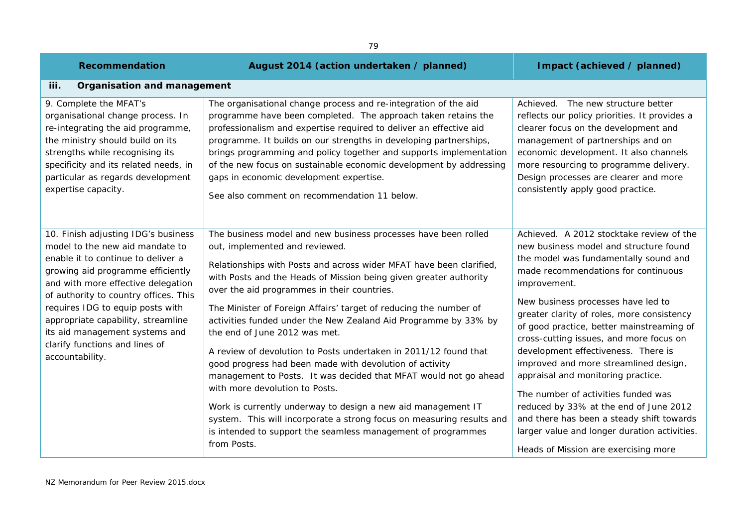| <b>Recommendation</b>                                                                                                                                                                                                                                                                                                                                                                             | August 2014 (action undertaken / planned)                                                                                                                                                                                                                                                                                                                                                                                                                                                                                                                                                                                                                                                                                                                                                                                                                                                                                         | Impact (achieved / planned)                                                                                                                                                                                                                                                                                                                                                                                                                                                                                                                                                                                                                                                                                |
|---------------------------------------------------------------------------------------------------------------------------------------------------------------------------------------------------------------------------------------------------------------------------------------------------------------------------------------------------------------------------------------------------|-----------------------------------------------------------------------------------------------------------------------------------------------------------------------------------------------------------------------------------------------------------------------------------------------------------------------------------------------------------------------------------------------------------------------------------------------------------------------------------------------------------------------------------------------------------------------------------------------------------------------------------------------------------------------------------------------------------------------------------------------------------------------------------------------------------------------------------------------------------------------------------------------------------------------------------|------------------------------------------------------------------------------------------------------------------------------------------------------------------------------------------------------------------------------------------------------------------------------------------------------------------------------------------------------------------------------------------------------------------------------------------------------------------------------------------------------------------------------------------------------------------------------------------------------------------------------------------------------------------------------------------------------------|
| iii.<br>Organisation and management                                                                                                                                                                                                                                                                                                                                                               |                                                                                                                                                                                                                                                                                                                                                                                                                                                                                                                                                                                                                                                                                                                                                                                                                                                                                                                                   |                                                                                                                                                                                                                                                                                                                                                                                                                                                                                                                                                                                                                                                                                                            |
| 9. Complete the MFAT's<br>organisational change process. In<br>re-integrating the aid programme,<br>the ministry should build on its<br>strengths while recognising its<br>specificity and its related needs, in<br>particular as regards development<br>expertise capacity.                                                                                                                      | The organisational change process and re-integration of the aid<br>programme have been completed. The approach taken retains the<br>professionalism and expertise required to deliver an effective aid<br>programme. It builds on our strengths in developing partnerships,<br>brings programming and policy together and supports implementation<br>of the new focus on sustainable economic development by addressing<br>gaps in economic development expertise.<br>See also comment on recommendation 11 below.                                                                                                                                                                                                                                                                                                                                                                                                                | Achieved. The new structure better<br>reflects our policy priorities. It provides a<br>clearer focus on the development and<br>management of partnerships and on<br>economic development. It also channels<br>more resourcing to programme delivery.<br>Design processes are clearer and more<br>consistently apply good practice.                                                                                                                                                                                                                                                                                                                                                                         |
| 10. Finish adjusting IDG's business<br>model to the new aid mandate to<br>enable it to continue to deliver a<br>growing aid programme efficiently<br>and with more effective delegation<br>of authority to country offices. This<br>requires IDG to equip posts with<br>appropriate capability, streamline<br>its aid management systems and<br>clarify functions and lines of<br>accountability. | The business model and new business processes have been rolled<br>out, implemented and reviewed.<br>Relationships with Posts and across wider MFAT have been clarified,<br>with Posts and the Heads of Mission being given greater authority<br>over the aid programmes in their countries.<br>The Minister of Foreign Affairs' target of reducing the number of<br>activities funded under the New Zealand Aid Programme by 33% by<br>the end of June 2012 was met.<br>A review of devolution to Posts undertaken in 2011/12 found that<br>good progress had been made with devolution of activity<br>management to Posts. It was decided that MFAT would not go ahead<br>with more devolution to Posts.<br>Work is currently underway to design a new aid management IT<br>system. This will incorporate a strong focus on measuring results and<br>is intended to support the seamless management of programmes<br>from Posts. | Achieved. A 2012 stocktake review of the<br>new business model and structure found<br>the model was fundamentally sound and<br>made recommendations for continuous<br>improvement.<br>New business processes have led to<br>greater clarity of roles, more consistency<br>of good practice, better mainstreaming of<br>cross-cutting issues, and more focus on<br>development effectiveness. There is<br>improved and more streamlined design,<br>appraisal and monitoring practice.<br>The number of activities funded was<br>reduced by 33% at the end of June 2012<br>and there has been a steady shift towards<br>larger value and longer duration activities.<br>Heads of Mission are exercising more |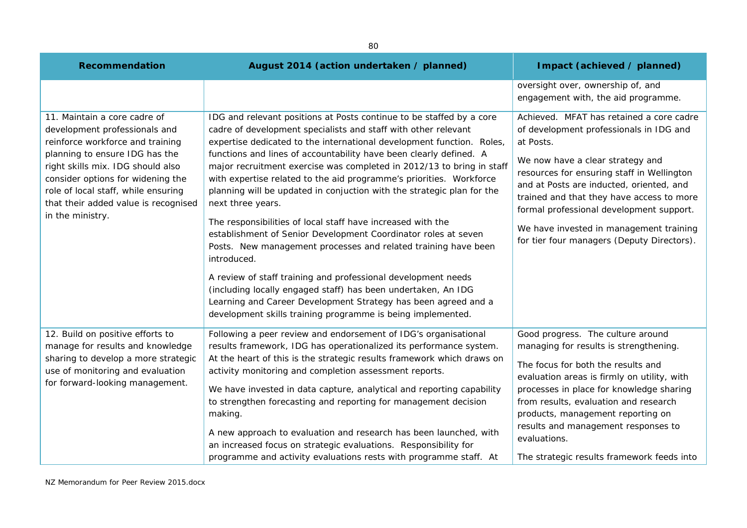| 80                                                                                                                                                                                                                                                                                                               |                                                                                                                                                                                                                                                                                                                                                                                                                                                                                                                                                                                                                                                                                                                                                                                                                                                                                                                                                                                                                           |                                                                                                                                                                                                                                                                                                                                                                                                                  |
|------------------------------------------------------------------------------------------------------------------------------------------------------------------------------------------------------------------------------------------------------------------------------------------------------------------|---------------------------------------------------------------------------------------------------------------------------------------------------------------------------------------------------------------------------------------------------------------------------------------------------------------------------------------------------------------------------------------------------------------------------------------------------------------------------------------------------------------------------------------------------------------------------------------------------------------------------------------------------------------------------------------------------------------------------------------------------------------------------------------------------------------------------------------------------------------------------------------------------------------------------------------------------------------------------------------------------------------------------|------------------------------------------------------------------------------------------------------------------------------------------------------------------------------------------------------------------------------------------------------------------------------------------------------------------------------------------------------------------------------------------------------------------|
| Recommendation                                                                                                                                                                                                                                                                                                   | August 2014 (action undertaken / planned)                                                                                                                                                                                                                                                                                                                                                                                                                                                                                                                                                                                                                                                                                                                                                                                                                                                                                                                                                                                 | Impact (achieved / planned)                                                                                                                                                                                                                                                                                                                                                                                      |
|                                                                                                                                                                                                                                                                                                                  |                                                                                                                                                                                                                                                                                                                                                                                                                                                                                                                                                                                                                                                                                                                                                                                                                                                                                                                                                                                                                           | oversight over, ownership of, and<br>engagement with, the aid programme.                                                                                                                                                                                                                                                                                                                                         |
| 11. Maintain a core cadre of<br>development professionals and<br>reinforce workforce and training<br>planning to ensure IDG has the<br>right skills mix. IDG should also<br>consider options for widening the<br>role of local staff, while ensuring<br>that their added value is recognised<br>in the ministry. | IDG and relevant positions at Posts continue to be staffed by a core<br>cadre of development specialists and staff with other relevant<br>expertise dedicated to the international development function. Roles,<br>functions and lines of accountability have been clearly defined. A<br>major recruitment exercise was completed in 2012/13 to bring in staff<br>with expertise related to the aid programme's priorities. Workforce<br>planning will be updated in conjuction with the strategic plan for the<br>next three years.<br>The responsibilities of local staff have increased with the<br>establishment of Senior Development Coordinator roles at seven<br>Posts. New management processes and related training have been<br>introduced.<br>A review of staff training and professional development needs<br>(including locally engaged staff) has been undertaken, An IDG<br>Learning and Career Development Strategy has been agreed and a<br>development skills training programme is being implemented. | Achieved. MFAT has retained a core cadre<br>of development professionals in IDG and<br>at Posts.<br>We now have a clear strategy and<br>resources for ensuring staff in Wellington<br>and at Posts are inducted, oriented, and<br>trained and that they have access to more<br>formal professional development support.<br>We have invested in management training<br>for tier four managers (Deputy Directors). |
| 12. Build on positive efforts to<br>manage for results and knowledge<br>sharing to develop a more strategic<br>use of monitoring and evaluation<br>for forward-looking management.                                                                                                                               | Following a peer review and endorsement of IDG's organisational<br>results framework, IDG has operationalized its performance system.<br>At the heart of this is the strategic results framework which draws on<br>activity monitoring and completion assessment reports.<br>We have invested in data capture, analytical and reporting capability<br>to strengthen forecasting and reporting for management decision<br>making.<br>A new approach to evaluation and research has been launched, with<br>an increased focus on strategic evaluations. Responsibility for<br>programme and activity evaluations rests with programme staff. At                                                                                                                                                                                                                                                                                                                                                                             | Good progress. The culture around<br>managing for results is strengthening.<br>The focus for both the results and<br>evaluation areas is firmly on utility, with<br>processes in place for knowledge sharing<br>from results, evaluation and research<br>products, management reporting on<br>results and management responses to<br>evaluations.<br>The strategic results framework feeds into                  |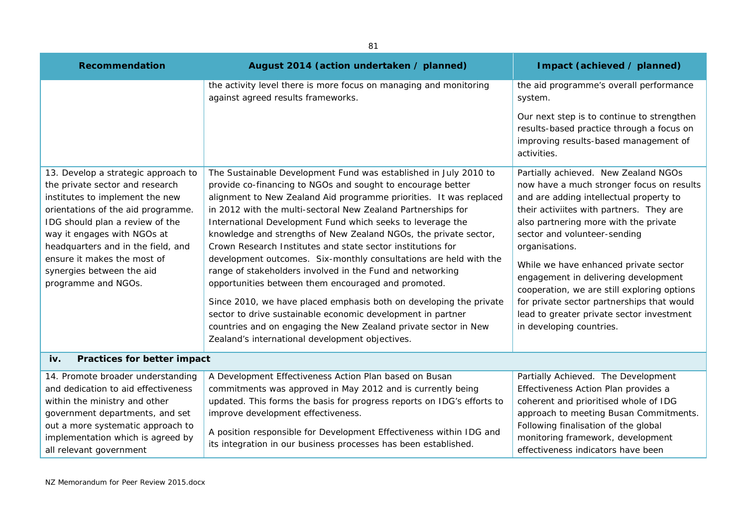| <b>Recommendation</b>                                                                                                                                                                                                                                                                                                                      | August 2014 (action undertaken / planned)                                                                                                                                                                                                                                                                                                                                                                                                                                                                                                                                                                                                                                                                                                                                                                                                                                                                                  | Impact (achieved / planned)                                                                                                                                                                                                                                                                                                                                                                                                                                                                                                |
|--------------------------------------------------------------------------------------------------------------------------------------------------------------------------------------------------------------------------------------------------------------------------------------------------------------------------------------------|----------------------------------------------------------------------------------------------------------------------------------------------------------------------------------------------------------------------------------------------------------------------------------------------------------------------------------------------------------------------------------------------------------------------------------------------------------------------------------------------------------------------------------------------------------------------------------------------------------------------------------------------------------------------------------------------------------------------------------------------------------------------------------------------------------------------------------------------------------------------------------------------------------------------------|----------------------------------------------------------------------------------------------------------------------------------------------------------------------------------------------------------------------------------------------------------------------------------------------------------------------------------------------------------------------------------------------------------------------------------------------------------------------------------------------------------------------------|
|                                                                                                                                                                                                                                                                                                                                            | the activity level there is more focus on managing and monitoring<br>against agreed results frameworks.                                                                                                                                                                                                                                                                                                                                                                                                                                                                                                                                                                                                                                                                                                                                                                                                                    | the aid programme's overall performance<br>system.                                                                                                                                                                                                                                                                                                                                                                                                                                                                         |
|                                                                                                                                                                                                                                                                                                                                            |                                                                                                                                                                                                                                                                                                                                                                                                                                                                                                                                                                                                                                                                                                                                                                                                                                                                                                                            | Our next step is to continue to strengthen<br>results-based practice through a focus on<br>improving results-based management of<br>activities.                                                                                                                                                                                                                                                                                                                                                                            |
| 13. Develop a strategic approach to<br>the private sector and research<br>institutes to implement the new<br>orientations of the aid programme.<br>IDG should plan a review of the<br>way it engages with NGOs at<br>headquarters and in the field, and<br>ensure it makes the most of<br>synergies between the aid<br>programme and NGOs. | The Sustainable Development Fund was established in July 2010 to<br>provide co-financing to NGOs and sought to encourage better<br>alignment to New Zealand Aid programme priorities. It was replaced<br>in 2012 with the multi-sectoral New Zealand Partnerships for<br>International Development Fund which seeks to leverage the<br>knowledge and strengths of New Zealand NGOs, the private sector,<br>Crown Research Institutes and state sector institutions for<br>development outcomes. Six-monthly consultations are held with the<br>range of stakeholders involved in the Fund and networking<br>opportunities between them encouraged and promoted.<br>Since 2010, we have placed emphasis both on developing the private<br>sector to drive sustainable economic development in partner<br>countries and on engaging the New Zealand private sector in New<br>Zealand's international development objectives. | Partially achieved. New Zealand NGOs<br>now have a much stronger focus on results<br>and are adding intellectual property to<br>their activiites with partners. They are<br>also partnering more with the private<br>sector and volunteer-sending<br>organisations.<br>While we have enhanced private sector<br>engagement in delivering development<br>cooperation, we are still exploring options<br>for private sector partnerships that would<br>lead to greater private sector investment<br>in developing countries. |
| Practices for better impact<br>iv.                                                                                                                                                                                                                                                                                                         |                                                                                                                                                                                                                                                                                                                                                                                                                                                                                                                                                                                                                                                                                                                                                                                                                                                                                                                            |                                                                                                                                                                                                                                                                                                                                                                                                                                                                                                                            |
| 14. Promote broader understanding<br>and dedication to aid effectiveness<br>within the ministry and other<br>government departments, and set<br>out a more systematic approach to<br>implementation which is agreed by<br>all relevant government                                                                                          | A Development Effectiveness Action Plan based on Busan<br>commitments was approved in May 2012 and is currently being<br>updated. This forms the basis for progress reports on IDG's efforts to<br>improve development effectiveness.<br>A position responsible for Development Effectiveness within IDG and<br>its integration in our business processes has been established.                                                                                                                                                                                                                                                                                                                                                                                                                                                                                                                                            | Partially Achieved. The Development<br>Effectiveness Action Plan provides a<br>coherent and prioritised whole of IDG<br>approach to meeting Busan Commitments.<br>Following finalisation of the global<br>monitoring framework, development<br>effectiveness indicators have been                                                                                                                                                                                                                                          |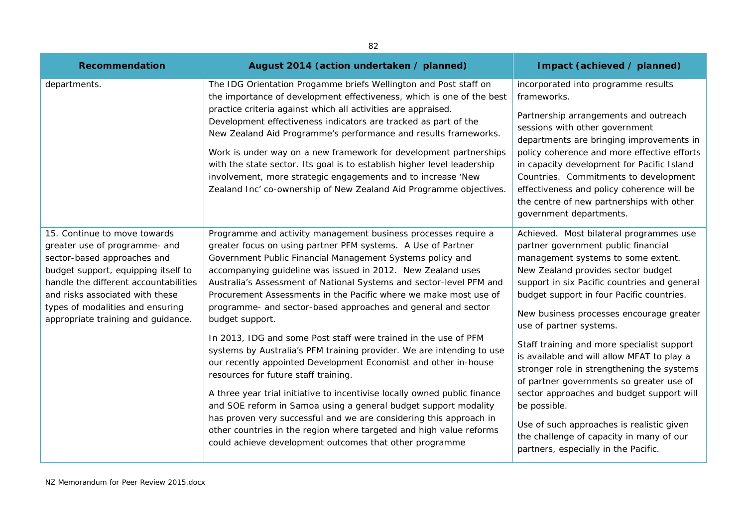| 82                                                                                                                                                                                                                                                                                        |                                                                                                                                                                                                                                                                                                                                                                                                                                                                                                                                                                                                                                                                                                                                                                                                                                                                                                                                                                                                                                                                                                          |                                                                                                                                                                                                                                                                                                                                                                                                                                                                                                                                                                                                                                                                                                                    |
|-------------------------------------------------------------------------------------------------------------------------------------------------------------------------------------------------------------------------------------------------------------------------------------------|----------------------------------------------------------------------------------------------------------------------------------------------------------------------------------------------------------------------------------------------------------------------------------------------------------------------------------------------------------------------------------------------------------------------------------------------------------------------------------------------------------------------------------------------------------------------------------------------------------------------------------------------------------------------------------------------------------------------------------------------------------------------------------------------------------------------------------------------------------------------------------------------------------------------------------------------------------------------------------------------------------------------------------------------------------------------------------------------------------|--------------------------------------------------------------------------------------------------------------------------------------------------------------------------------------------------------------------------------------------------------------------------------------------------------------------------------------------------------------------------------------------------------------------------------------------------------------------------------------------------------------------------------------------------------------------------------------------------------------------------------------------------------------------------------------------------------------------|
| Recommendation                                                                                                                                                                                                                                                                            | August 2014 (action undertaken / planned)                                                                                                                                                                                                                                                                                                                                                                                                                                                                                                                                                                                                                                                                                                                                                                                                                                                                                                                                                                                                                                                                | Impact (achieved / planned)                                                                                                                                                                                                                                                                                                                                                                                                                                                                                                                                                                                                                                                                                        |
| departments.                                                                                                                                                                                                                                                                              | The IDG Orientation Progamme briefs Wellington and Post staff on<br>the importance of development effectiveness, which is one of the best<br>practice criteria against which all activities are appraised.<br>Development effectiveness indicators are tracked as part of the<br>New Zealand Aid Programme's performance and results frameworks.<br>Work is under way on a new framework for development partnerships<br>with the state sector. Its goal is to establish higher level leadership<br>involvement, more strategic engagements and to increase 'New<br>Zealand Inc' co-ownership of New Zealand Aid Programme objectives.                                                                                                                                                                                                                                                                                                                                                                                                                                                                   | incorporated into programme results<br>frameworks.<br>Partnership arrangements and outreach<br>sessions with other government<br>departments are bringing improvements in<br>policy coherence and more effective efforts<br>in capacity development for Pacific Island<br>Countries. Commitments to development<br>effectiveness and policy coherence will be<br>the centre of new partnerships with other<br>government departments.                                                                                                                                                                                                                                                                              |
| 15. Continue to move towards<br>greater use of programme- and<br>sector-based approaches and<br>budget support, equipping itself to<br>handle the different accountabilities<br>and risks associated with these<br>types of modalities and ensuring<br>appropriate training and guidance. | Programme and activity management business processes require a<br>greater focus on using partner PFM systems. A Use of Partner<br>Government Public Financial Management Systems policy and<br>accompanying guideline was issued in 2012. New Zealand uses<br>Australia's Assessment of National Systems and sector-level PFM and<br>Procurement Assessments in the Pacific where we make most use of<br>programme- and sector-based approaches and general and sector<br>budget support.<br>In 2013, IDG and some Post staff were trained in the use of PFM<br>systems by Australia's PFM training provider. We are intending to use<br>our recently appointed Development Economist and other in-house<br>resources for future staff training.<br>A three year trial initiative to incentivise locally owned public finance<br>and SOE reform in Samoa using a general budget support modality<br>has proven very successful and we are considering this approach in<br>other countries in the region where targeted and high value reforms<br>could achieve development outcomes that other programme | Achieved. Most bilateral programmes use<br>partner government public financial<br>management systems to some extent.<br>New Zealand provides sector budget<br>support in six Pacific countries and general<br>budget support in four Pacific countries.<br>New business processes encourage greater<br>use of partner systems.<br>Staff training and more specialist support<br>is available and will allow MFAT to play a<br>stronger role in strengthening the systems<br>of partner governments so greater use of<br>sector approaches and budget support will<br>be possible.<br>Use of such approaches is realistic given<br>the challenge of capacity in many of our<br>partners, especially in the Pacific. |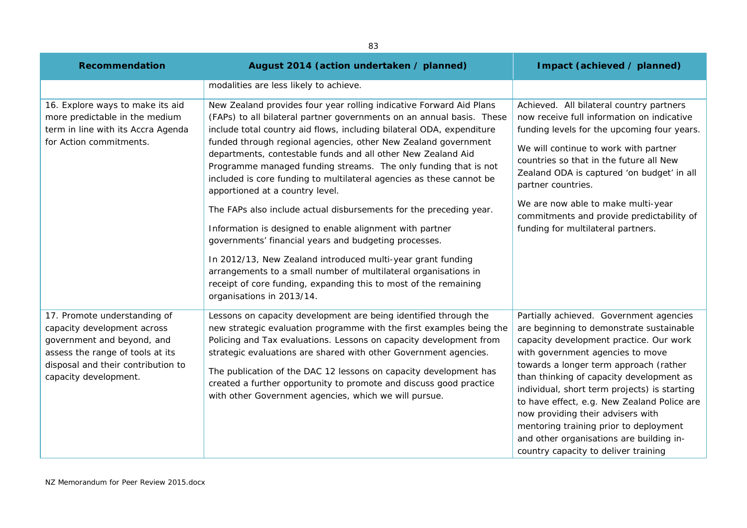| Recommendation                                                                                                                                                                               | August 2014 (action undertaken / planned)                                                                                                                                                                                                                                                                                                                                                                                                                                                                                                                                                                   | Impact (achieved / planned)                                                                                                                                                                                                                                                                                                                                                                                                                                                                                                |
|----------------------------------------------------------------------------------------------------------------------------------------------------------------------------------------------|-------------------------------------------------------------------------------------------------------------------------------------------------------------------------------------------------------------------------------------------------------------------------------------------------------------------------------------------------------------------------------------------------------------------------------------------------------------------------------------------------------------------------------------------------------------------------------------------------------------|----------------------------------------------------------------------------------------------------------------------------------------------------------------------------------------------------------------------------------------------------------------------------------------------------------------------------------------------------------------------------------------------------------------------------------------------------------------------------------------------------------------------------|
|                                                                                                                                                                                              | modalities are less likely to achieve.                                                                                                                                                                                                                                                                                                                                                                                                                                                                                                                                                                      |                                                                                                                                                                                                                                                                                                                                                                                                                                                                                                                            |
| 16. Explore ways to make its aid<br>more predictable in the medium<br>term in line with its Accra Agenda<br>for Action commitments.                                                          | New Zealand provides four year rolling indicative Forward Aid Plans<br>(FAPs) to all bilateral partner governments on an annual basis. These<br>include total country aid flows, including bilateral ODA, expenditure<br>funded through regional agencies, other New Zealand government<br>departments, contestable funds and all other New Zealand Aid<br>Programme managed funding streams. The only funding that is not<br>included is core funding to multilateral agencies as these cannot be<br>apportioned at a country level.<br>The FAPs also include actual disbursements for the preceding year. | Achieved. All bilateral country partners<br>now receive full information on indicative<br>funding levels for the upcoming four years.<br>We will continue to work with partner<br>countries so that in the future all New<br>Zealand ODA is captured 'on budget' in all<br>partner countries.<br>We are now able to make multi-year                                                                                                                                                                                        |
|                                                                                                                                                                                              | Information is designed to enable alignment with partner<br>governments' financial years and budgeting processes.<br>In 2012/13, New Zealand introduced multi-year grant funding<br>arrangements to a small number of multilateral organisations in<br>receipt of core funding, expanding this to most of the remaining<br>organisations in 2013/14.                                                                                                                                                                                                                                                        | commitments and provide predictability of<br>funding for multilateral partners.                                                                                                                                                                                                                                                                                                                                                                                                                                            |
| 17. Promote understanding of<br>capacity development across<br>government and beyond, and<br>assess the range of tools at its<br>disposal and their contribution to<br>capacity development. | Lessons on capacity development are being identified through the<br>new strategic evaluation programme with the first examples being the<br>Policing and Tax evaluations. Lessons on capacity development from<br>strategic evaluations are shared with other Government agencies.<br>The publication of the DAC 12 lessons on capacity development has<br>created a further opportunity to promote and discuss good practice<br>with other Government agencies, which we will pursue.                                                                                                                      | Partially achieved. Government agencies<br>are beginning to demonstrate sustainable<br>capacity development practice. Our work<br>with government agencies to move<br>towards a longer term approach (rather<br>than thinking of capacity development as<br>individual, short term projects) is starting<br>to have effect, e.g. New Zealand Police are<br>now providing their advisers with<br>mentoring training prior to deployment<br>and other organisations are building in-<br>country capacity to deliver training |

83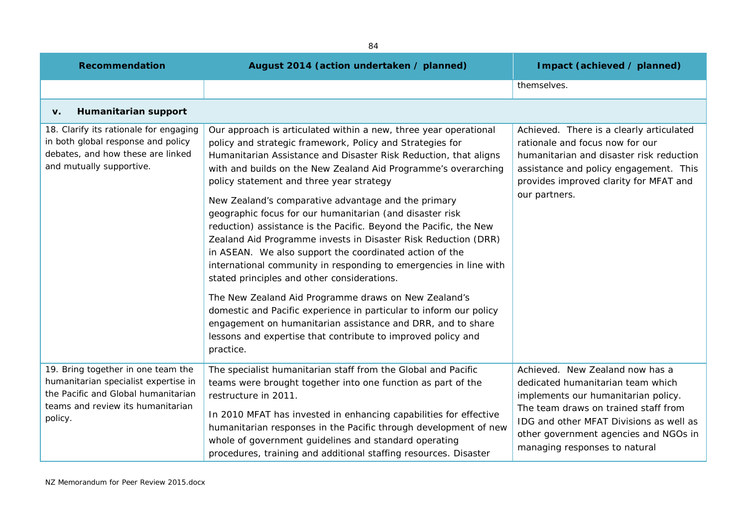| <b>Recommendation</b>                                                                                                                                             | August 2014 (action undertaken / planned)                                                                                                                                                                                                                                                                                                                                                                                                                                                                                                                                                                                                                                                                                                                                                                                                                                                                                                                                                                                          | Impact (achieved / planned)                                                                                                                                                                                                                                              |
|-------------------------------------------------------------------------------------------------------------------------------------------------------------------|------------------------------------------------------------------------------------------------------------------------------------------------------------------------------------------------------------------------------------------------------------------------------------------------------------------------------------------------------------------------------------------------------------------------------------------------------------------------------------------------------------------------------------------------------------------------------------------------------------------------------------------------------------------------------------------------------------------------------------------------------------------------------------------------------------------------------------------------------------------------------------------------------------------------------------------------------------------------------------------------------------------------------------|--------------------------------------------------------------------------------------------------------------------------------------------------------------------------------------------------------------------------------------------------------------------------|
|                                                                                                                                                                   |                                                                                                                                                                                                                                                                                                                                                                                                                                                                                                                                                                                                                                                                                                                                                                                                                                                                                                                                                                                                                                    | themselves.                                                                                                                                                                                                                                                              |
| Humanitarian support<br>v.                                                                                                                                        |                                                                                                                                                                                                                                                                                                                                                                                                                                                                                                                                                                                                                                                                                                                                                                                                                                                                                                                                                                                                                                    |                                                                                                                                                                                                                                                                          |
| 18. Clarify its rationale for engaging<br>in both global response and policy<br>debates, and how these are linked<br>and mutually supportive.                     | Our approach is articulated within a new, three year operational<br>policy and strategic framework, Policy and Strategies for<br>Humanitarian Assistance and Disaster Risk Reduction, that aligns<br>with and builds on the New Zealand Aid Programme's overarching<br>policy statement and three year strategy<br>New Zealand's comparative advantage and the primary<br>geographic focus for our humanitarian (and disaster risk<br>reduction) assistance is the Pacific. Beyond the Pacific, the New<br>Zealand Aid Programme invests in Disaster Risk Reduction (DRR)<br>in ASEAN. We also support the coordinated action of the<br>international community in responding to emergencies in line with<br>stated principles and other considerations.<br>The New Zealand Aid Programme draws on New Zealand's<br>domestic and Pacific experience in particular to inform our policy<br>engagement on humanitarian assistance and DRR, and to share<br>lessons and expertise that contribute to improved policy and<br>practice. | Achieved. There is a clearly articulated<br>rationale and focus now for our<br>humanitarian and disaster risk reduction<br>assistance and policy engagement. This<br>provides improved clarity for MFAT and<br>our partners.                                             |
| 19. Bring together in one team the<br>humanitarian specialist expertise in<br>the Pacific and Global humanitarian<br>teams and review its humanitarian<br>policy. | The specialist humanitarian staff from the Global and Pacific<br>teams were brought together into one function as part of the<br>restructure in 2011.<br>In 2010 MFAT has invested in enhancing capabilities for effective<br>humanitarian responses in the Pacific through development of new<br>whole of government guidelines and standard operating<br>procedures, training and additional staffing resources. Disaster                                                                                                                                                                                                                                                                                                                                                                                                                                                                                                                                                                                                        | Achieved. New Zealand now has a<br>dedicated humanitarian team which<br>implements our humanitarian policy.<br>The team draws on trained staff from<br>IDG and other MFAT Divisions as well as<br>other government agencies and NGOs in<br>managing responses to natural |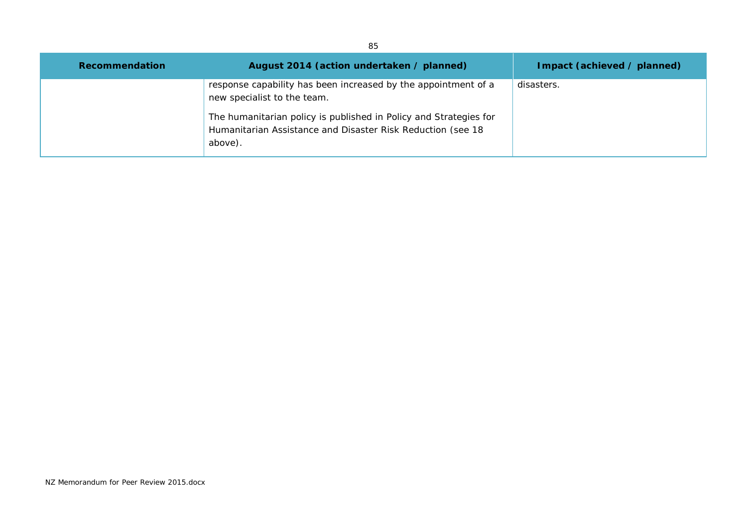| 85             |                                                                                                                                                                                                                                              |                             |
|----------------|----------------------------------------------------------------------------------------------------------------------------------------------------------------------------------------------------------------------------------------------|-----------------------------|
| Recommendation | August 2014 (action undertaken / planned)                                                                                                                                                                                                    | Impact (achieved / planned) |
|                | response capability has been increased by the appointment of a<br>new specialist to the team.<br>The humanitarian policy is published in Policy and Strategies for<br>Humanitarian Assistance and Disaster Risk Reduction (see 18<br>above). | disasters.                  |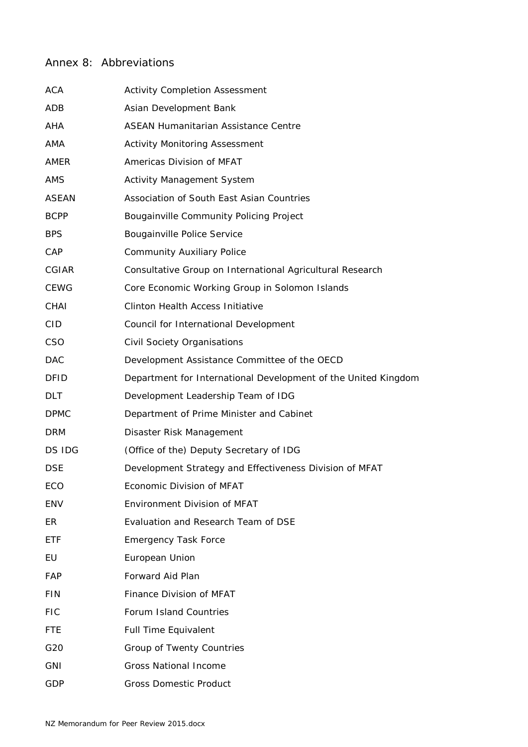## Annex 8: Abbreviations

| <b>ACA</b>   | <b>Activity Completion Assessment</b>                          |
|--------------|----------------------------------------------------------------|
| ADB          | Asian Development Bank                                         |
| AHA          | ASEAN Humanitarian Assistance Centre                           |
| AMA          | <b>Activity Monitoring Assessment</b>                          |
| AMER         | Americas Division of MFAT                                      |
| <b>AMS</b>   | <b>Activity Management System</b>                              |
| ASEAN        | Association of South East Asian Countries                      |
| <b>BCPP</b>  | Bougainville Community Policing Project                        |
| <b>BPS</b>   | <b>Bougainville Police Service</b>                             |
| CAP          | <b>Community Auxiliary Police</b>                              |
| <b>CGIAR</b> | Consultative Group on International Agricultural Research      |
| <b>CEWG</b>  | Core Economic Working Group in Solomon Islands                 |
| CHAI         | <b>Clinton Health Access Initiative</b>                        |
| <b>CID</b>   | Council for International Development                          |
| <b>CSO</b>   | Civil Society Organisations                                    |
| <b>DAC</b>   | Development Assistance Committee of the OECD                   |
| <b>DFID</b>  | Department for International Development of the United Kingdom |
| <b>DLT</b>   | Development Leadership Team of IDG                             |
| <b>DPMC</b>  | Department of Prime Minister and Cabinet                       |
| <b>DRM</b>   | Disaster Risk Management                                       |
| DS IDG       | (Office of the) Deputy Secretary of IDG                        |
| <b>DSE</b>   | Development Strategy and Effectiveness Division of MFAT        |
| ECO          | Economic Division of MFAT                                      |
| <b>ENV</b>   | <b>Environment Division of MFAT</b>                            |
| ER           | Evaluation and Research Team of DSE                            |
| <b>ETF</b>   | <b>Emergency Task Force</b>                                    |
| EU           | European Union                                                 |
| FAP          | Forward Aid Plan                                               |
| <b>FIN</b>   | Finance Division of MFAT                                       |
| <b>FIC</b>   | Forum Island Countries                                         |
| <b>FTE</b>   | <b>Full Time Equivalent</b>                                    |
| G20          | Group of Twenty Countries                                      |
| <b>GNI</b>   | <b>Gross National Income</b>                                   |
| GDP          | <b>Gross Domestic Product</b>                                  |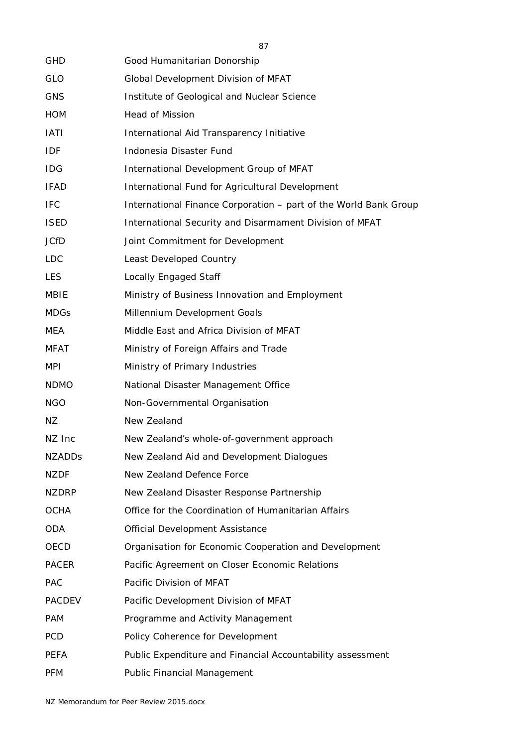| <b>GHD</b>    | Good Humanitarian Donorship                                      |
|---------------|------------------------------------------------------------------|
| <b>GLO</b>    | Global Development Division of MFAT                              |
| <b>GNS</b>    | Institute of Geological and Nuclear Science                      |
| <b>HOM</b>    | <b>Head of Mission</b>                                           |
| <b>IATI</b>   | International Aid Transparency Initiative                        |
| IDF           | Indonesia Disaster Fund                                          |
| <b>IDG</b>    | International Development Group of MFAT                          |
| <b>IFAD</b>   | International Fund for Agricultural Development                  |
| <b>IFC</b>    | International Finance Corporation - part of the World Bank Group |
| <b>ISED</b>   | International Security and Disarmament Division of MFAT          |
| <b>JCfD</b>   | Joint Commitment for Development                                 |
| <b>LDC</b>    | Least Developed Country                                          |
| <b>LES</b>    | Locally Engaged Staff                                            |
| MBIE          | Ministry of Business Innovation and Employment                   |
| <b>MDGs</b>   | Millennium Development Goals                                     |
| MEA           | Middle East and Africa Division of MFAT                          |
| <b>MFAT</b>   | Ministry of Foreign Affairs and Trade                            |
| <b>MPI</b>    | Ministry of Primary Industries                                   |
| <b>NDMO</b>   | National Disaster Management Office                              |
| <b>NGO</b>    | Non-Governmental Organisation                                    |
| ΝZ            | New Zealand                                                      |
| NZ Inc        | New Zealand's whole-of-government approach                       |
| <b>NZADDS</b> | New Zealand Aid and Development Dialogues                        |
| <b>NZDF</b>   | New Zealand Defence Force                                        |
| <b>NZDRP</b>  | New Zealand Disaster Response Partnership                        |
| <b>OCHA</b>   | Office for the Coordination of Humanitarian Affairs              |
| <b>ODA</b>    | <b>Official Development Assistance</b>                           |
| OECD          | Organisation for Economic Cooperation and Development            |
| <b>PACER</b>  | Pacific Agreement on Closer Economic Relations                   |
| <b>PAC</b>    | Pacific Division of MFAT                                         |
| <b>PACDEV</b> | Pacific Development Division of MFAT                             |
| <b>PAM</b>    | Programme and Activity Management                                |
| PCD           | Policy Coherence for Development                                 |
| <b>PEFA</b>   | Public Expenditure and Financial Accountability assessment       |
| <b>PFM</b>    | Public Financial Management                                      |